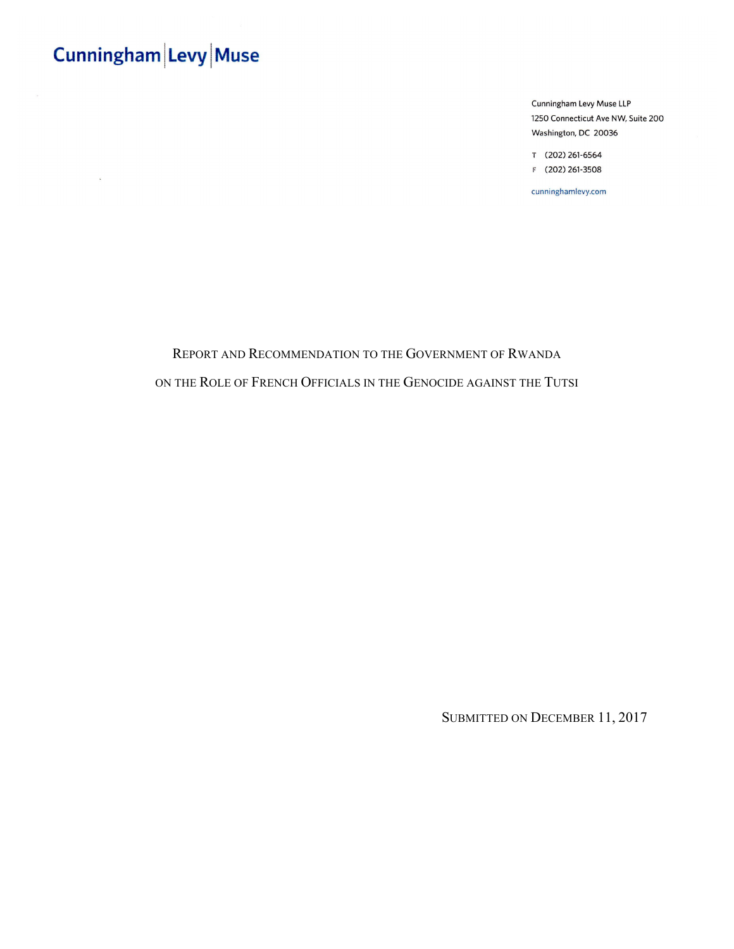$\mathbf{u}$ 

Cunningham Levy Muse LLP 1250 Connecticut Ave NW, Suite 200 Washington, DC 20036

T (202) 261-6564 F (202) 261-3508

cunninghamlevy.com

### REPORT AND RECOMMENDATION TO THE GOVERNMENT OF RWANDA ON THE ROLE OF FRENCH OFFICIALS IN THE GENOCIDE AGAINST THE TUTSI

SUBMITTED ON DECEMBER 11, 2017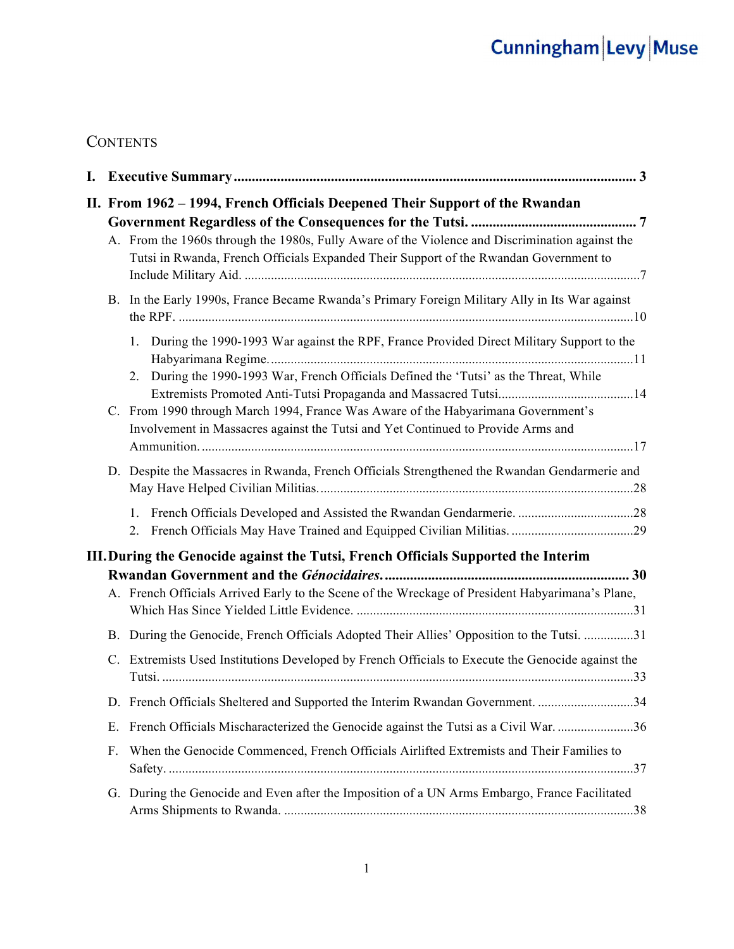### **CONTENTS**

| II. From 1962 – 1994, French Officials Deepened Their Support of the Rwandan |                                                                                                                                                                                          |  |  |
|------------------------------------------------------------------------------|------------------------------------------------------------------------------------------------------------------------------------------------------------------------------------------|--|--|
|                                                                              |                                                                                                                                                                                          |  |  |
|                                                                              | A. From the 1960s through the 1980s, Fully Aware of the Violence and Discrimination against the<br>Tutsi in Rwanda, French Officials Expanded Their Support of the Rwandan Government to |  |  |
|                                                                              | B. In the Early 1990s, France Became Rwanda's Primary Foreign Military Ally in Its War against                                                                                           |  |  |
|                                                                              | During the 1990-1993 War against the RPF, France Provided Direct Military Support to the<br>1.                                                                                           |  |  |
|                                                                              | During the 1990-1993 War, French Officials Defined the 'Tutsi' as the Threat, While<br>2.                                                                                                |  |  |
|                                                                              | C. From 1990 through March 1994, France Was Aware of the Habyarimana Government's<br>Involvement in Massacres against the Tutsi and Yet Continued to Provide Arms and                    |  |  |
|                                                                              | D. Despite the Massacres in Rwanda, French Officials Strengthened the Rwandan Gendarmerie and                                                                                            |  |  |
|                                                                              | 1.<br>2.                                                                                                                                                                                 |  |  |
|                                                                              | III. During the Genocide against the Tutsi, French Officials Supported the Interim                                                                                                       |  |  |
|                                                                              |                                                                                                                                                                                          |  |  |
|                                                                              | A. French Officials Arrived Early to the Scene of the Wreckage of President Habyarimana's Plane,                                                                                         |  |  |
|                                                                              | B. During the Genocide, French Officials Adopted Their Allies' Opposition to the Tutsi. 31                                                                                               |  |  |
| C.                                                                           | Extremists Used Institutions Developed by French Officials to Execute the Genocide against the                                                                                           |  |  |
|                                                                              | D. French Officials Sheltered and Supported the Interim Rwandan Government. 34                                                                                                           |  |  |
| E.                                                                           | French Officials Mischaracterized the Genocide against the Tutsi as a Civil War36                                                                                                        |  |  |
| F.                                                                           | When the Genocide Commenced, French Officials Airlifted Extremists and Their Families to                                                                                                 |  |  |
|                                                                              | G. During the Genocide and Even after the Imposition of a UN Arms Embargo, France Facilitated                                                                                            |  |  |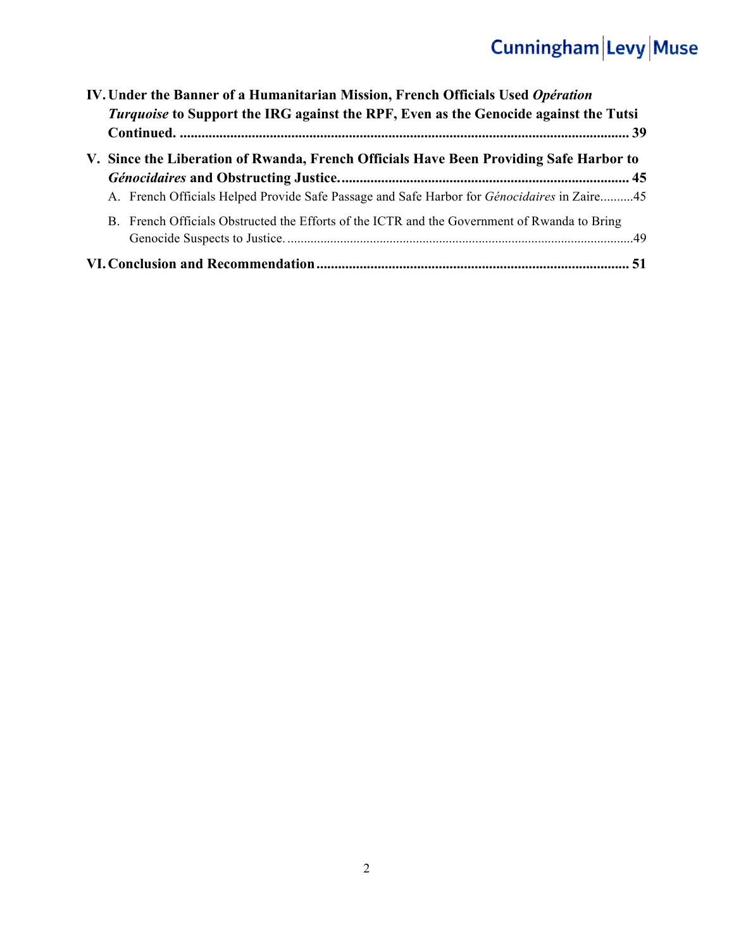| IV. Under the Banner of a Humanitarian Mission, French Officials Used Opération<br><i>Turquoise</i> to Support the IRG against the RPF, Even as the Genocide against the Tutsi               |  |
|----------------------------------------------------------------------------------------------------------------------------------------------------------------------------------------------|--|
| V. Since the Liberation of Rwanda, French Officials Have Been Providing Safe Harbor to<br>A. French Officials Helped Provide Safe Passage and Safe Harbor for <i>Génocidaires</i> in Zaire45 |  |
| B. French Officials Obstructed the Efforts of the ICTR and the Government of Rwanda to Bring                                                                                                 |  |
|                                                                                                                                                                                              |  |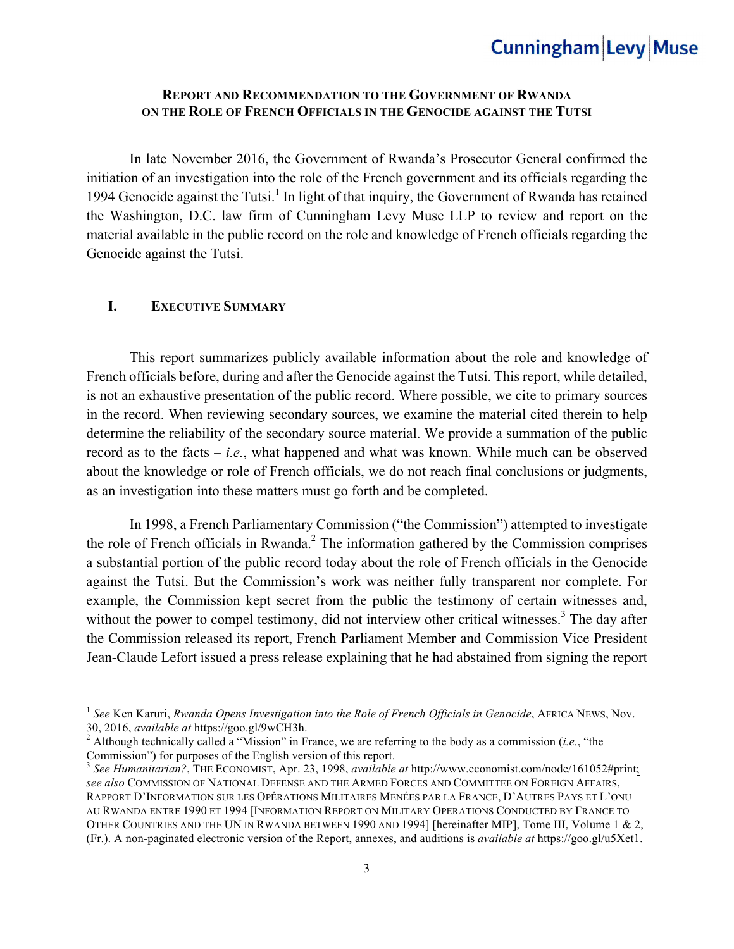#### **REPORT AND RECOMMENDATION TO THE GOVERNMENT OF RWANDA ON THE ROLE OF FRENCH OFFICIALS IN THE GENOCIDE AGAINST THE TUTSI**

In late November 2016, the Government of Rwanda's Prosecutor General confirmed the initiation of an investigation into the role of the French government and its officials regarding the 1994 Genocide against the Tutsi.<sup>1</sup> In light of that inquiry, the Government of Rwanda has retained the Washington, D.C. law firm of Cunningham Levy Muse LLP to review and report on the material available in the public record on the role and knowledge of French officials regarding the Genocide against the Tutsi.

#### **I. EXECUTIVE SUMMARY**

<u> 1989 - Johann Barn, mars ann an t-Amhain an t-Amhain an t-Amhain an t-Amhain an t-Amhain an t-Amhain an t-Amh</u>

This report summarizes publicly available information about the role and knowledge of French officials before, during and after the Genocide against the Tutsi. This report, while detailed, is not an exhaustive presentation of the public record. Where possible, we cite to primary sources in the record. When reviewing secondary sources, we examine the material cited therein to help determine the reliability of the secondary source material. We provide a summation of the public record as to the facts – *i.e.*, what happened and what was known. While much can be observed about the knowledge or role of French officials, we do not reach final conclusions or judgments, as an investigation into these matters must go forth and be completed.

In 1998, a French Parliamentary Commission ("the Commission") attempted to investigate the role of French officials in Rwanda. $<sup>2</sup>$  The information gathered by the Commission comprises</sup> a substantial portion of the public record today about the role of French officials in the Genocide against the Tutsi. But the Commission's work was neither fully transparent nor complete. For example, the Commission kept secret from the public the testimony of certain witnesses and, without the power to compel testimony, did not interview other critical witnesses.<sup>3</sup> The day after the Commission released its report, French Parliament Member and Commission Vice President Jean-Claude Lefort issued a press release explaining that he had abstained from signing the report

<sup>1</sup> *See* Ken Karuri, *Rwanda Opens Investigation into the Role of French Officials in Genocide*, AFRICA NEWS, Nov. 30, 2016, *available at* https://goo.gl/9wCH3h. <sup>2</sup> Although technically called a "Mission" in France, we are referring to the body as a commission (*i.e.*, "the

Commission") for purposes of the English version of this report.

<sup>3</sup> *See Humanitarian?*, THE ECONOMIST, Apr. 23, 1998, *available at* http://www.economist.com/node/161052#print; *see also* COMMISSION OF NATIONAL DEFENSE AND THE ARMED FORCES AND COMMITTEE ON FOREIGN AFFAIRS, RAPPORT D'INFORMATION SUR LES OPÉRATIONS MILITAIRES MENÉES PAR LA FRANCE, D'AUTRES PAYS ET L'ONU AU RWANDA ENTRE 1990 ET 1994 [INFORMATION REPORT ON MILITARY OPERATIONS CONDUCTED BY FRANCE TO OTHER COUNTRIES AND THE UN IN RWANDA BETWEEN 1990 AND 1994] [hereinafter MIP], Tome III, Volume 1 & 2, (Fr.). A non-paginated electronic version of the Report, annexes, and auditions is *available at* https://goo.gl/u5Xet1.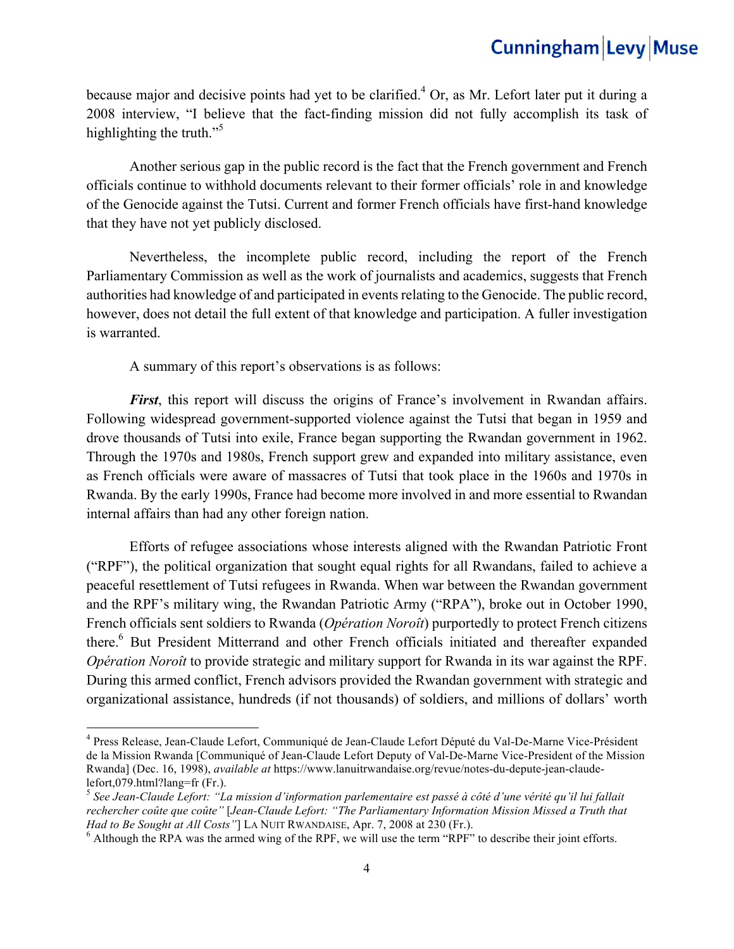because major and decisive points had yet to be clarified.<sup>4</sup> Or, as Mr. Lefort later put it during a 2008 interview, "I believe that the fact-finding mission did not fully accomplish its task of highlighting the truth."<sup>5</sup>

Another serious gap in the public record is the fact that the French government and French officials continue to withhold documents relevant to their former officials' role in and knowledge of the Genocide against the Tutsi. Current and former French officials have first-hand knowledge that they have not yet publicly disclosed.

Nevertheless, the incomplete public record, including the report of the French Parliamentary Commission as well as the work of journalists and academics, suggests that French authorities had knowledge of and participated in events relating to the Genocide. The public record, however, does not detail the full extent of that knowledge and participation. A fuller investigation is warranted.

A summary of this report's observations is as follows:

<u> 1989 - Johann Barn, mars ann an t-Amhain an t-Amhain an t-Amhain an t-Amhain an t-Amhain an t-Amhain an t-Amh</u>

*First*, this report will discuss the origins of France's involvement in Rwandan affairs. Following widespread government-supported violence against the Tutsi that began in 1959 and drove thousands of Tutsi into exile, France began supporting the Rwandan government in 1962. Through the 1970s and 1980s, French support grew and expanded into military assistance, even as French officials were aware of massacres of Tutsi that took place in the 1960s and 1970s in Rwanda. By the early 1990s, France had become more involved in and more essential to Rwandan internal affairs than had any other foreign nation.

Efforts of refugee associations whose interests aligned with the Rwandan Patriotic Front ("RPF"), the political organization that sought equal rights for all Rwandans, failed to achieve a peaceful resettlement of Tutsi refugees in Rwanda. When war between the Rwandan government and the RPF's military wing, the Rwandan Patriotic Army ("RPA"), broke out in October 1990, French officials sent soldiers to Rwanda (*Opération Noroît*) purportedly to protect French citizens there.<sup>6</sup> But President Mitterrand and other French officials initiated and thereafter expanded *Opération Noroît* to provide strategic and military support for Rwanda in its war against the RPF. During this armed conflict, French advisors provided the Rwandan government with strategic and organizational assistance, hundreds (if not thousands) of soldiers, and millions of dollars' worth

<sup>4</sup> Press Release, Jean-Claude Lefort, Communiqué de Jean-Claude Lefort Député du Val-De-Marne Vice-Président de la Mission Rwanda [Communiqué of Jean-Claude Lefort Deputy of Val-De-Marne Vice-President of the Mission Rwanda] (Dec. 16, 1998), *available at* https://www.lanuitrwandaise.org/revue/notes-du-depute-jean-claudelefort,079.html?lang=fr (Fr.).

<sup>5</sup> *See Jean-Claude Lefort: "La mission d'information parlementaire est passé à côté d'une vérité qu'il lui fallait rechercher coûte que coûte"* [*Jean-Claude Lefort: "The Parliamentary Information Mission Missed a Truth that Had to Be Sought at All Costs"*] LA NUIT RWANDAISE, Apr. 7, 2008 at 230 (Fr.). <sup>6</sup> Although the RPA was the armed wing of the RPF, we will use the term "RPF" to describe their joint efforts.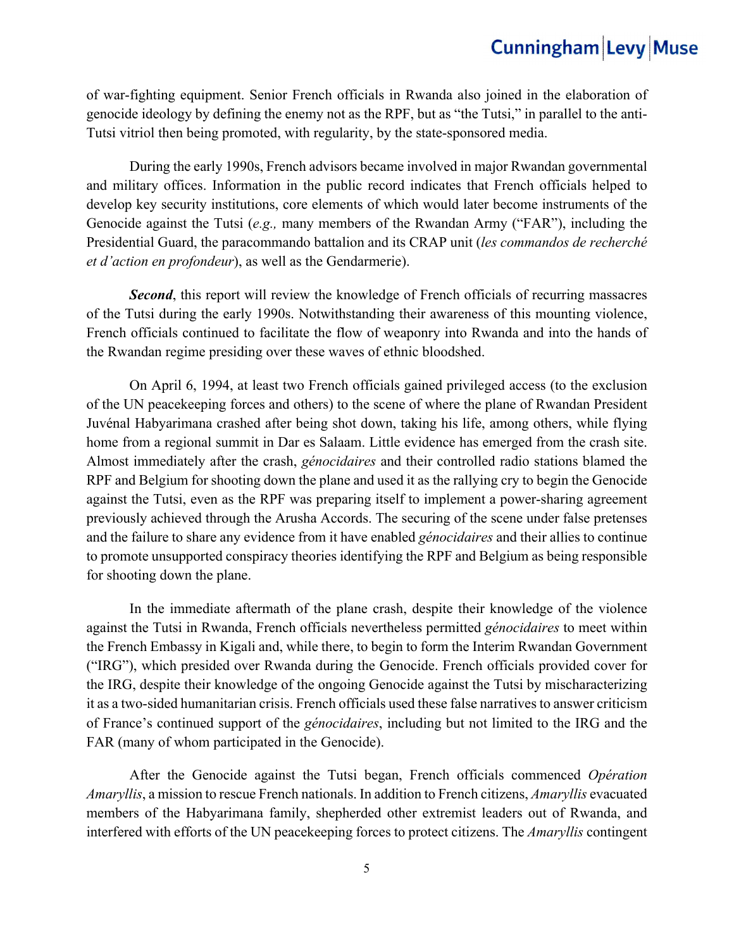of war-fighting equipment. Senior French officials in Rwanda also joined in the elaboration of genocide ideology by defining the enemy not as the RPF, but as "the Tutsi," in parallel to the anti-Tutsi vitriol then being promoted, with regularity, by the state-sponsored media.

During the early 1990s, French advisors became involved in major Rwandan governmental and military offices. Information in the public record indicates that French officials helped to develop key security institutions, core elements of which would later become instruments of the Genocide against the Tutsi (*e.g.,* many members of the Rwandan Army ("FAR"), including the Presidential Guard, the paracommando battalion and its CRAP unit (*les commandos de recherché et d'action en profondeur*), as well as the Gendarmerie).

**Second**, this report will review the knowledge of French officials of recurring massacres of the Tutsi during the early 1990s. Notwithstanding their awareness of this mounting violence, French officials continued to facilitate the flow of weaponry into Rwanda and into the hands of the Rwandan regime presiding over these waves of ethnic bloodshed.

On April 6, 1994, at least two French officials gained privileged access (to the exclusion of the UN peacekeeping forces and others) to the scene of where the plane of Rwandan President Juvénal Habyarimana crashed after being shot down, taking his life, among others, while flying home from a regional summit in Dar es Salaam. Little evidence has emerged from the crash site. Almost immediately after the crash, *génocidaires* and their controlled radio stations blamed the RPF and Belgium for shooting down the plane and used it as the rallying cry to begin the Genocide against the Tutsi, even as the RPF was preparing itself to implement a power-sharing agreement previously achieved through the Arusha Accords. The securing of the scene under false pretenses and the failure to share any evidence from it have enabled *génocidaires* and their allies to continue to promote unsupported conspiracy theories identifying the RPF and Belgium as being responsible for shooting down the plane.

In the immediate aftermath of the plane crash, despite their knowledge of the violence against the Tutsi in Rwanda, French officials nevertheless permitted *génocidaires* to meet within the French Embassy in Kigali and, while there, to begin to form the Interim Rwandan Government ("IRG"), which presided over Rwanda during the Genocide. French officials provided cover for the IRG, despite their knowledge of the ongoing Genocide against the Tutsi by mischaracterizing it as a two-sided humanitarian crisis. French officials used these false narratives to answer criticism of France's continued support of the *génocidaires*, including but not limited to the IRG and the FAR (many of whom participated in the Genocide).

After the Genocide against the Tutsi began, French officials commenced *Opération Amaryllis*, a mission to rescue French nationals. In addition to French citizens, *Amaryllis* evacuated members of the Habyarimana family, shepherded other extremist leaders out of Rwanda, and interfered with efforts of the UN peacekeeping forces to protect citizens. The *Amaryllis* contingent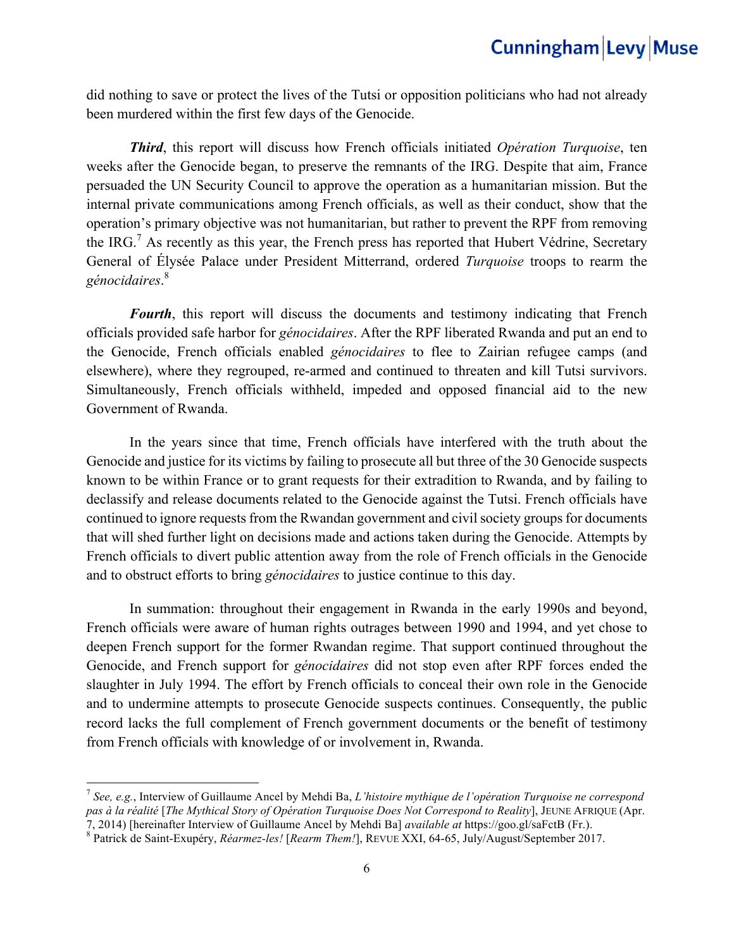did nothing to save or protect the lives of the Tutsi or opposition politicians who had not already been murdered within the first few days of the Genocide.

*Third*, this report will discuss how French officials initiated *Opération Turquoise*, ten weeks after the Genocide began, to preserve the remnants of the IRG. Despite that aim, France persuaded the UN Security Council to approve the operation as a humanitarian mission. But the internal private communications among French officials, as well as their conduct, show that the operation's primary objective was not humanitarian, but rather to prevent the RPF from removing the IRG.<sup>7</sup> As recently as this year, the French press has reported that Hubert Védrine, Secretary General of Élysée Palace under President Mitterrand, ordered *Turquoise* troops to rearm the *génocidaires*. 8

*Fourth*, this report will discuss the documents and testimony indicating that French officials provided safe harbor for *génocidaires*. After the RPF liberated Rwanda and put an end to the Genocide, French officials enabled *génocidaires* to flee to Zairian refugee camps (and elsewhere), where they regrouped, re-armed and continued to threaten and kill Tutsi survivors. Simultaneously, French officials withheld, impeded and opposed financial aid to the new Government of Rwanda.

In the years since that time, French officials have interfered with the truth about the Genocide and justice for its victims by failing to prosecute all but three of the 30 Genocide suspects known to be within France or to grant requests for their extradition to Rwanda, and by failing to declassify and release documents related to the Genocide against the Tutsi. French officials have continued to ignore requests from the Rwandan government and civil society groups for documents that will shed further light on decisions made and actions taken during the Genocide. Attempts by French officials to divert public attention away from the role of French officials in the Genocide and to obstruct efforts to bring *génocidaires* to justice continue to this day.

In summation: throughout their engagement in Rwanda in the early 1990s and beyond, French officials were aware of human rights outrages between 1990 and 1994, and yet chose to deepen French support for the former Rwandan regime. That support continued throughout the Genocide, and French support for *génocidaires* did not stop even after RPF forces ended the slaughter in July 1994. The effort by French officials to conceal their own role in the Genocide and to undermine attempts to prosecute Genocide suspects continues. Consequently, the public record lacks the full complement of French government documents or the benefit of testimony from French officials with knowledge of or involvement in, Rwanda.

<sup>7</sup> *See, e.g.*, Interview of Guillaume Ancel by Mehdi Ba, *L'histoire mythique de l'opération Turquoise ne correspond pas à la réalité* [*The Mythical Story of Opération Turquoise Does Not Correspond to Reality*], JEUNE AFRIQUE (Apr. 7, 2014) [hereinafter Interview of Guillaume Ancel by Mehdi Ba] *available at* https://goo.gl/saFctB (Fr.).<br><sup>8</sup> Patrick de Saint-Exupéry, *Réarmez-les!* [*Rearm Them!*], REVUE XXI, 64-65, July/August/September 2017.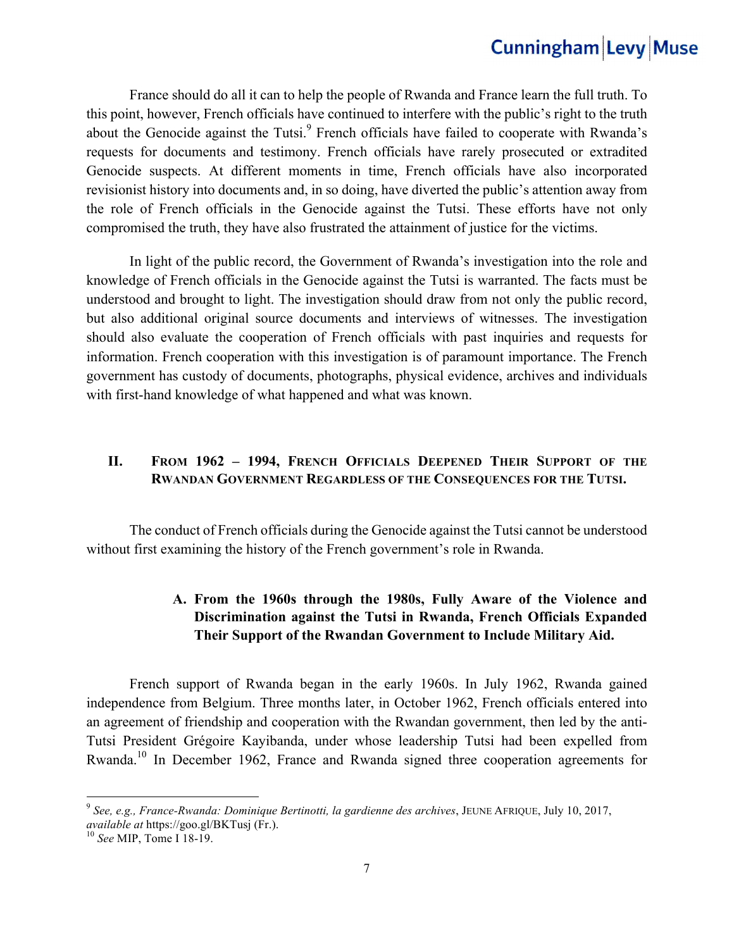France should do all it can to help the people of Rwanda and France learn the full truth. To this point, however, French officials have continued to interfere with the public's right to the truth about the Genocide against the Tutsi.<sup>9</sup> French officials have failed to cooperate with Rwanda's requests for documents and testimony. French officials have rarely prosecuted or extradited Genocide suspects. At different moments in time, French officials have also incorporated revisionist history into documents and, in so doing, have diverted the public's attention away from the role of French officials in the Genocide against the Tutsi. These efforts have not only compromised the truth, they have also frustrated the attainment of justice for the victims.

 In light of the public record, the Government of Rwanda's investigation into the role and knowledge of French officials in the Genocide against the Tutsi is warranted. The facts must be understood and brought to light. The investigation should draw from not only the public record, but also additional original source documents and interviews of witnesses. The investigation should also evaluate the cooperation of French officials with past inquiries and requests for information. French cooperation with this investigation is of paramount importance. The French government has custody of documents, photographs, physical evidence, archives and individuals with first-hand knowledge of what happened and what was known.

#### **II. FROM 1962 – 1994, FRENCH OFFICIALS DEEPENED THEIR SUPPORT OF THE RWANDAN GOVERNMENT REGARDLESS OF THE CONSEQUENCES FOR THE TUTSI.**

 The conduct of French officials during the Genocide against the Tutsi cannot be understood without first examining the history of the French government's role in Rwanda.

### **A. From the 1960s through the 1980s, Fully Aware of the Violence and Discrimination against the Tutsi in Rwanda, French Officials Expanded Their Support of the Rwandan Government to Include Military Aid.**

French support of Rwanda began in the early 1960s. In July 1962, Rwanda gained independence from Belgium. Three months later, in October 1962, French officials entered into an agreement of friendship and cooperation with the Rwandan government, then led by the anti-Tutsi President Grégoire Kayibanda, under whose leadership Tutsi had been expelled from Rwanda.10 In December 1962, France and Rwanda signed three cooperation agreements for

<sup>9</sup> *See, e.g., France-Rwanda: Dominique Bertinotti, la gardienne des archives*, JEUNE AFRIQUE, July 10, 2017, *available at* https://goo.gl/BKTusj (Fr.). <sup>10</sup> *See* MIP, Tome I 18-19.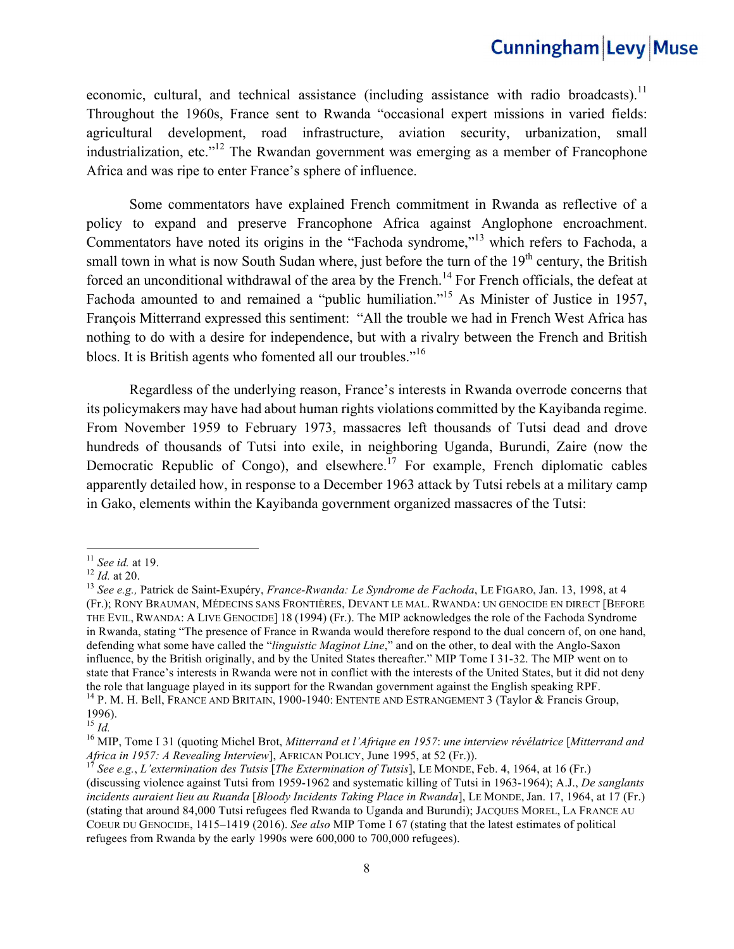economic, cultural, and technical assistance (including assistance with radio broadcasts).<sup>11</sup> Throughout the 1960s, France sent to Rwanda "occasional expert missions in varied fields: agricultural development, road infrastructure, aviation security, urbanization, small industrialization, etc."<sup>12</sup> The Rwandan government was emerging as a member of Francophone Africa and was ripe to enter France's sphere of influence.

Some commentators have explained French commitment in Rwanda as reflective of a policy to expand and preserve Francophone Africa against Anglophone encroachment. Commentators have noted its origins in the "Fachoda syndrome,"13 which refers to Fachoda, a small town in what is now South Sudan where, just before the turn of the  $19<sup>th</sup>$  century, the British forced an unconditional withdrawal of the area by the French.<sup>14</sup> For French officials, the defeat at Fachoda amounted to and remained a "public humiliation."<sup>15</sup> As Minister of Justice in 1957, François Mitterrand expressed this sentiment: "All the trouble we had in French West Africa has nothing to do with a desire for independence, but with a rivalry between the French and British blocs. It is British agents who fomented all our troubles."<sup>16</sup>

Regardless of the underlying reason, France's interests in Rwanda overrode concerns that its policymakers may have had about human rights violations committed by the Kayibanda regime. From November 1959 to February 1973, massacres left thousands of Tutsi dead and drove hundreds of thousands of Tutsi into exile, in neighboring Uganda, Burundi, Zaire (now the Democratic Republic of Congo), and elsewhere.<sup>17</sup> For example, French diplomatic cables apparently detailed how, in response to a December 1963 attack by Tutsi rebels at a military camp in Gako, elements within the Kayibanda government organized massacres of the Tutsi:

<sup>&</sup>lt;sup>11</sup> *See id.* at 19.<br><sup>12</sup> *Id.* at 20.<br><sup>13</sup> *See e.g.*, Patrick de Saint-Exupéry, *France-Rwanda: Le Syndrome de Fachoda*, LE FIGARO, Jan. 13, 1998, at 4 (Fr.); RONY BRAUMAN, MÉDECINS SANS FRONTIÈRES, DEVANT LE MAL. RWANDA: UN GENOCIDE EN DIRECT [BEFORE THE EVIL, RWANDA: A LIVE GENOCIDE] 18 (1994) (Fr.). The MIP acknowledges the role of the Fachoda Syndrome in Rwanda, stating "The presence of France in Rwanda would therefore respond to the dual concern of, on one hand, defending what some have called the "*linguistic Maginot Line*," and on the other, to deal with the Anglo-Saxon influence, by the British originally, and by the United States thereafter." MIP Tome I 31-32. The MIP went on to state that France's interests in Rwanda were not in conflict with the interests of the United States, but it did not deny the role that language played in its support for the Rwandan government against the English speaking RPF. <sup>14</sup> P. M. H. Bell, FRANCE AND BRITAIN, 1900-1940: ENTENTE AND ESTRANGEMENT 3 (Taylor & Francis Group,

<sup>1996).&</sup>lt;br><sup>15</sup> *Id*.

<sup>15</sup> *Id.* <sup>16</sup> MIP, Tome I 31 (quoting Michel Brot, *Mitterrand et l'Afrique en 1957*: *une interview révélatrice* [*Mitterrand and Africa in 1957: A Revealing Interview*], AFRICAN POLICY, June 1995, at 52 (Fr.)).<br><sup>17</sup> *See e.g., L'extermination des Tutsis* [*The Extermination of Tutsis*], LE MONDE, Feb. 4, 1964, at 16 (Fr.)

<sup>(</sup>discussing violence against Tutsi from 1959-1962 and systematic killing of Tutsi in 1963-1964); A.J., *De sanglants incidents auraient lieu au Ruanda* [*Bloody Incidents Taking Place in Rwanda*], LE MONDE, Jan. 17, 1964, at 17 (Fr.) (stating that around 84,000 Tutsi refugees fled Rwanda to Uganda and Burundi); JACQUES MOREL, LA FRANCE AU COEUR DU GENOCIDE, 1415–1419 (2016). *See also* MIP Tome I 67 (stating that the latest estimates of political refugees from Rwanda by the early 1990s were 600,000 to 700,000 refugees).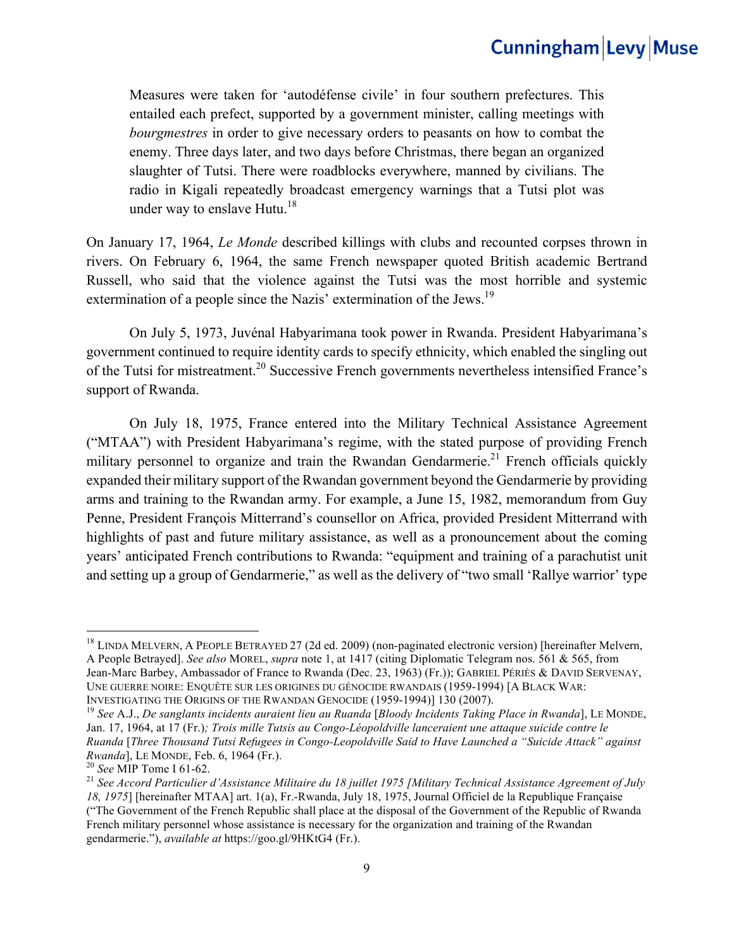Measures were taken for 'autodéfense civile' in four southern prefectures. This entailed each prefect, supported by a government minister, calling meetings with *bourgmestres* in order to give necessary orders to peasants on how to combat the enemy. Three days later, and two days before Christmas, there began an organized slaughter of Tutsi. There were roadblocks everywhere, manned by civilians. The radio in Kigali repeatedly broadcast emergency warnings that a Tutsi plot was under way to enslave Hutu.<sup>18</sup>

On January 17, 1964, *Le Monde* described killings with clubs and recounted corpses thrown in rivers. On February 6, 1964, the same French newspaper quoted British academic Bertrand Russell, who said that the violence against the Tutsi was the most horrible and systemic extermination of a people since the Nazis' extermination of the Jews.<sup>19</sup>

On July 5, 1973, Juvénal Habyarimana took power in Rwanda. President Habyarimana's government continued to require identity cards to specify ethnicity, which enabled the singling out of the Tutsi for mistreatment.<sup>20</sup> Successive French governments nevertheless intensified France's support of Rwanda.

On July 18, 1975, France entered into the Military Technical Assistance Agreement ("MTAA") with President Habyarimana's regime, with the stated purpose of providing French military personnel to organize and train the Rwandan Gendarmerie.<sup>21</sup> French officials quickly expanded their military support of the Rwandan government beyond the Gendarmerie by providing arms and training to the Rwandan army. For example, a June 15, 1982, memorandum from Guy Penne, President François Mitterrand's counsellor on Africa, provided President Mitterrand with highlights of past and future military assistance, as well as a pronouncement about the coming years' anticipated French contributions to Rwanda: "equipment and training of a parachutist unit and setting up a group of Gendarmerie," as well as the delivery of "two small 'Rallye warrior' type

<sup>&</sup>lt;sup>18</sup> LINDA MELVERN, A PEOPLE BETRAYED 27 (2d ed. 2009) (non-paginated electronic version) [hereinafter Melvern, A People Betrayed]. *See also* MOREL, *supra* note 1, at 1417 (citing Diplomatic Telegram nos. 561 & 565, from Jean-Marc Barbey, Ambassador of France to Rwanda (Dec. 23, 1963) (Fr.)); GABRIEL PÉRIÈS & DAVID SERVENAY, UNE GUERRE NOIRE: ENQUÊTE SUR LES ORIGINES DU GÉNOCIDE RWANDAIS (1959-1994) [A BLACK WAR: INVESTIGATING THE ORIGINS OF THE RWANDAN GENOCIDE (1959-1994)] 130 (2007).<br><sup>19</sup> *See A.J., De sanglants incidents auraient lieu au Ruanda* [*Bloody Incidents Taking Place in Rwanda*], LE MONDE,

Jan. 17, 1964, at 17 (Fr.)*; Trois mille Tutsis au Congo-Léopoldville lanceraient une attaque suicide contre le Ruanda* [*Three Thousand Tutsi Refugees in Congo-Leopoldville Said to Have Launched a "Suicide Attack" against Rwanda*], LE MONDE, Feb. 6, 1964 (Fr.).<br><sup>20</sup> *See* MIP Tome I 61-62.<br><sup>21</sup> *See Accord Particulier d'Assistance Militaire du 18 juillet 1975 [Military Technical Assistance Agreement of July* 

*<sup>18, 1975</sup>*] [hereinafter MTAA] art. 1(a), Fr.-Rwanda, July 18, 1975, Journal Officiel de la Republique Française ("The Government of the French Republic shall place at the disposal of the Government of the Republic of Rwanda French military personnel whose assistance is necessary for the organization and training of the Rwandan gendarmerie."), *available at* https://goo.gl/9HKtG4 (Fr.).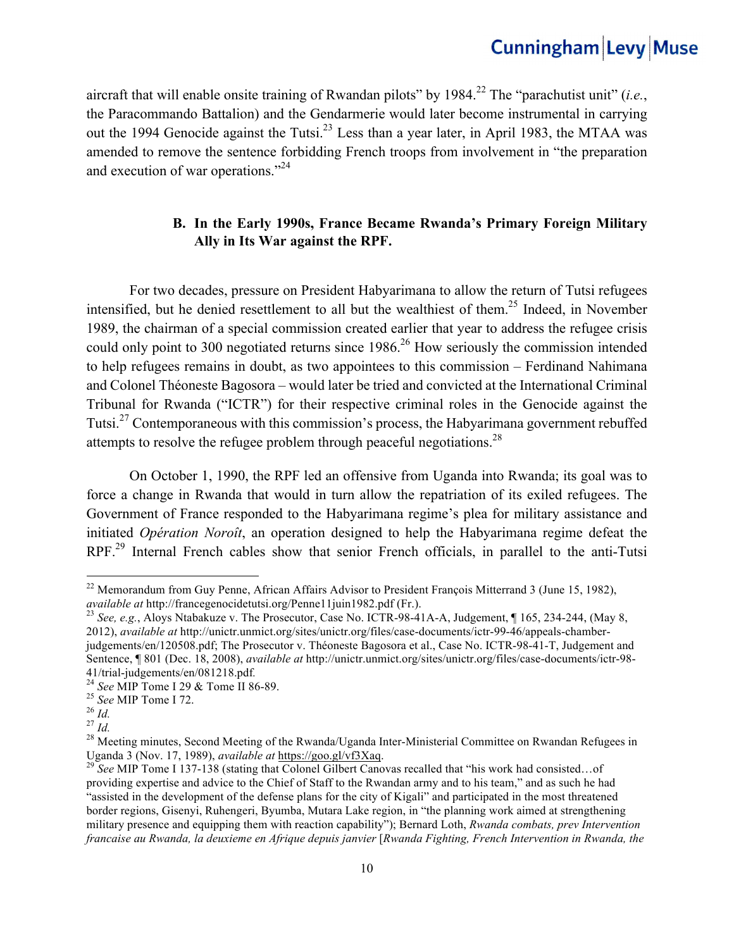aircraft that will enable onsite training of Rwandan pilots" by 1984.<sup>22</sup> The "parachutist unit" (*i.e.*, the Paracommando Battalion) and the Gendarmerie would later become instrumental in carrying out the 1994 Genocide against the Tutsi.<sup>23</sup> Less than a year later, in April 1983, the MTAA was amended to remove the sentence forbidding French troops from involvement in "the preparation and execution of war operations."24

### **B. In the Early 1990s, France Became Rwanda's Primary Foreign Military Ally in Its War against the RPF.**

For two decades, pressure on President Habyarimana to allow the return of Tutsi refugees intensified, but he denied resettlement to all but the wealthiest of them.<sup>25</sup> Indeed, in November 1989, the chairman of a special commission created earlier that year to address the refugee crisis could only point to 300 negotiated returns since 1986.<sup>26</sup> How seriously the commission intended to help refugees remains in doubt, as two appointees to this commission – Ferdinand Nahimana and Colonel Théoneste Bagosora – would later be tried and convicted at the International Criminal Tribunal for Rwanda ("ICTR") for their respective criminal roles in the Genocide against the Tutsi.27 Contemporaneous with this commission's process, the Habyarimana government rebuffed attempts to resolve the refugee problem through peaceful negotiations.<sup>28</sup>

On October 1, 1990, the RPF led an offensive from Uganda into Rwanda; its goal was to force a change in Rwanda that would in turn allow the repatriation of its exiled refugees. The Government of France responded to the Habyarimana regime's plea for military assistance and initiated *Opération Noroît*, an operation designed to help the Habyarimana regime defeat the RPF<sup>29</sup> Internal French cables show that senior French officials, in parallel to the anti-Tutsi

<sup>&</sup>lt;sup>22</sup> Memorandum from Guy Penne, African Affairs Advisor to President François Mitterrand 3 (June 15, 1982), *available at http://francegenocidetutsi.org/Penne11juin1982.pdf (Fr.).*<br><sup>23</sup> *See, e.g.*, Aloys Ntabakuze v. The Prosecutor, Case No. ICTR-98-41A-A, Judgement, ¶ 165, 234-244, (May 8, <sup>23</sup>

<sup>2012),</sup> *available at* http://unictr.unmict.org/sites/unictr.org/files/case-documents/ictr-99-46/appeals-chamberjudgements/en/120508.pdf; The Prosecutor v. Théoneste Bagosora et al., Case No. ICTR-98-41-T, Judgement and Sentence, ¶ 801 (Dec. 18, 2008), *available at* http://unictr.unmict.org/sites/unictr.org/files/case-documents/ictr-98-41/trial-judgements/en/081218.pdf.

<sup>&</sup>lt;sup>24</sup> See MIP Tome I 29 & Tome II 86-89.<br>
<sup>25</sup> See MIP Tome I 72.<br>
<sup>26</sup> *Id.*<br>
<sup>27</sup> *Id.*<br>
<sup>28</sup> Meeting minutes, Second Meeting of the Rwanda/Uganda Inter-Ministerial Committee on Rwandan Refugees in Uganda 3 (Nov. 17, 1989), *available at* https://goo.gl/vf3Xaq.<br><sup>29</sup> *See* MIP Tome I 137-138 (stating that Colonel Gilbert Canovas recalled that "his work had consisted...of

providing expertise and advice to the Chief of Staff to the Rwandan army and to his team," and as such he had "assisted in the development of the defense plans for the city of Kigali" and participated in the most threatened border regions, Gisenyi, Ruhengeri, Byumba, Mutara Lake region, in "the planning work aimed at strengthening military presence and equipping them with reaction capability"); Bernard Loth, *Rwanda combats, prev Intervention francaise au Rwanda, la deuxieme en Afrique depuis janvier* [*Rwanda Fighting, French Intervention in Rwanda, the*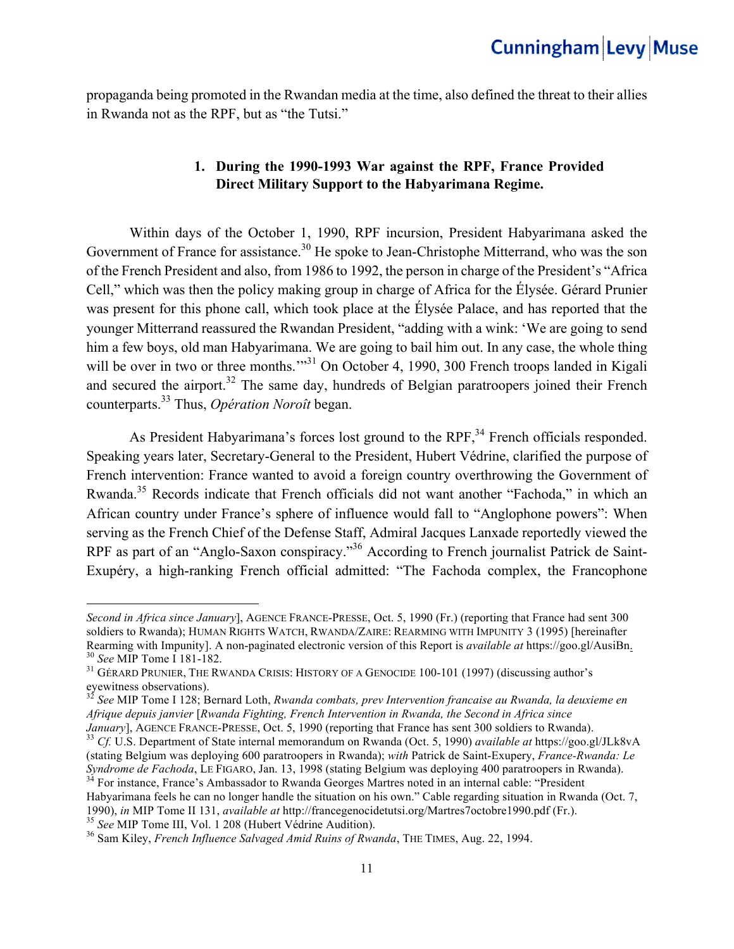propaganda being promoted in the Rwandan media at the time, also defined the threat to their allies in Rwanda not as the RPF, but as "the Tutsi."

### **1. During the 1990-1993 War against the RPF, France Provided Direct Military Support to the Habyarimana Regime.**

Within days of the October 1, 1990, RPF incursion, President Habyarimana asked the Government of France for assistance.<sup>30</sup> He spoke to Jean-Christophe Mitterrand, who was the son of the French President and also, from 1986 to 1992, the person in charge of the President's "Africa Cell," which was then the policy making group in charge of Africa for the Élysée. Gérard Prunier was present for this phone call, which took place at the Élysée Palace, and has reported that the younger Mitterrand reassured the Rwandan President, "adding with a wink: 'We are going to send him a few boys, old man Habyarimana. We are going to bail him out. In any case, the whole thing will be over in two or three months."<sup>31</sup> On October 4, 1990, 300 French troops landed in Kigali and secured the airport.<sup>32</sup> The same day, hundreds of Belgian paratroopers joined their French counterparts.33 Thus, *Opération Noroît* began.

As President Habyarimana's forces lost ground to the RPF,<sup>34</sup> French officials responded. Speaking years later, Secretary-General to the President, Hubert Védrine, clarified the purpose of French intervention: France wanted to avoid a foreign country overthrowing the Government of Rwanda.35 Records indicate that French officials did not want another "Fachoda," in which an African country under France's sphere of influence would fall to "Anglophone powers": When serving as the French Chief of the Defense Staff, Admiral Jacques Lanxade reportedly viewed the RPF as part of an "Anglo-Saxon conspiracy."<sup>36</sup> According to French journalist Patrick de Saint-Exupéry, a high-ranking French official admitted: "The Fachoda complex, the Francophone

 

*Second in Africa since January*], AGENCE FRANCE-PRESSE, Oct. 5, 1990 (Fr.) (reporting that France had sent 300 soldiers to Rwanda); HUMAN RIGHTS WATCH, RWANDA/ZAIRE: REARMING WITH IMPUNITY 3 (1995) [hereinafter Rearming with Impunity]. A non-paginated electronic version of this Report is *available at* https://goo.gl/AusiBn<sub>2</sub><br><sup>30</sup> See MIP Tome I 181-182.<br><sup>31</sup> GÉRARD PRUNIER, THE RWANDA CRISIS: HISTORY OF A GENOCIDE 100-101 (1997

eyewitness observations).

<sup>32</sup> *See* MIP Tome I 128; Bernard Loth, *Rwanda combats, prev Intervention francaise au Rwanda, la deuxieme en Afrique depuis janvier* [*Rwanda Fighting, French Intervention in Rwanda, the Second in Africa since* 

January], AGENCE FRANCE-PRESSE, Oct. 5, 1990 (reporting that France has sent 300 soldiers to Rwanda).<br><sup>33</sup> Cf. U.S. Department of State internal memorandum on Rwanda (Oct. 5, 1990) available at https://goo.gl/JLk8vA

<sup>(</sup>stating Belgium was deploying 600 paratroopers in Rwanda); *with* Patrick de Saint-Exupery, *France-Rwanda: Le* 

<sup>&</sup>lt;sup>34</sup> For instance, France's Ambassador to Rwanda Georges Martres noted in an internal cable: "President Habyarimana feels he can no longer handle the situation on his own." Cable regarding situation in Rwanda (Oct. 7, 1990), *in* MIP Tome II 131, *available at http://francegenocidetutsi.org/Martres7octobre1990.pdf* (Fr.).

<sup>&</sup>lt;sup>35</sup> See MIP Tome III, Vol. 1 208 (Hubert Védrine Audition).<br><sup>36</sup> Sam Kiley, *French Influence Salvaged Amid Ruins of Rwanda*, THE TIMES, Aug. 22, 1994.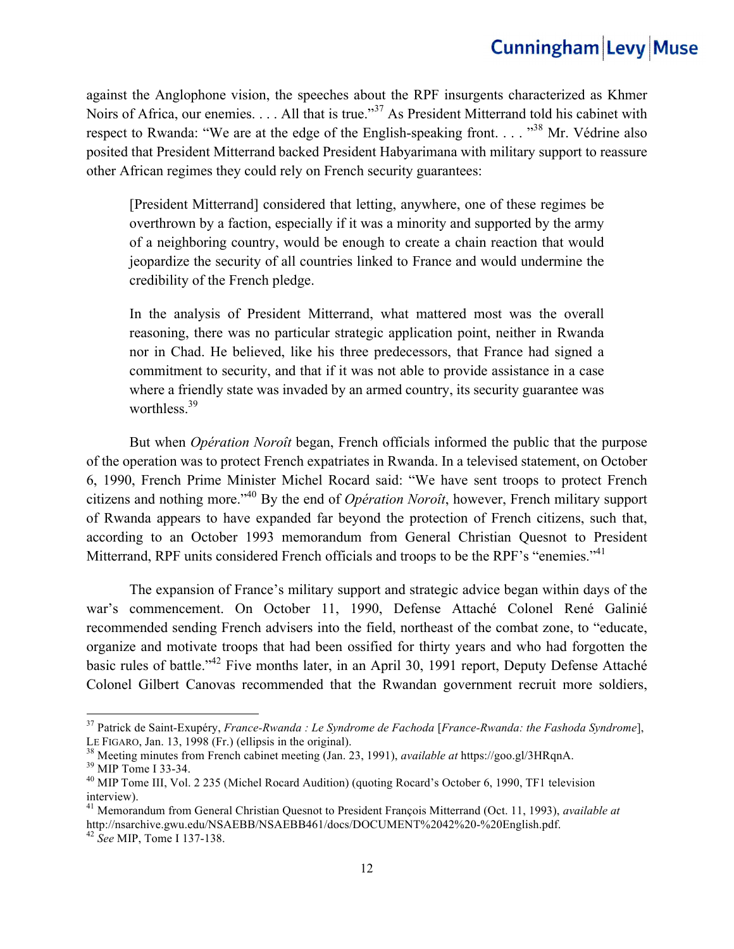against the Anglophone vision, the speeches about the RPF insurgents characterized as Khmer Noirs of Africa, our enemies. . . . All that is true."<sup>37</sup> As President Mitterrand told his cabinet with respect to Rwanda: "We are at the edge of the English-speaking front...."<sup>38</sup> Mr. Védrine also posited that President Mitterrand backed President Habyarimana with military support to reassure other African regimes they could rely on French security guarantees:

[President Mitterrand] considered that letting, anywhere, one of these regimes be overthrown by a faction, especially if it was a minority and supported by the army of a neighboring country, would be enough to create a chain reaction that would jeopardize the security of all countries linked to France and would undermine the credibility of the French pledge.

In the analysis of President Mitterrand, what mattered most was the overall reasoning, there was no particular strategic application point, neither in Rwanda nor in Chad. He believed, like his three predecessors, that France had signed a commitment to security, and that if it was not able to provide assistance in a case where a friendly state was invaded by an armed country, its security guarantee was worthless  $39<sup>39</sup>$ 

But when *Opération Noroît* began, French officials informed the public that the purpose of the operation was to protect French expatriates in Rwanda. In a televised statement, on October 6, 1990, French Prime Minister Michel Rocard said: "We have sent troops to protect French citizens and nothing more."40 By the end of *Opération Noroît*, however, French military support of Rwanda appears to have expanded far beyond the protection of French citizens, such that, according to an October 1993 memorandum from General Christian Quesnot to President Mitterrand, RPF units considered French officials and troops to be the RPF's "enemies."<sup>41</sup>

The expansion of France's military support and strategic advice began within days of the war's commencement. On October 11, 1990, Defense Attaché Colonel René Galinié recommended sending French advisers into the field, northeast of the combat zone, to "educate, organize and motivate troops that had been ossified for thirty years and who had forgotten the basic rules of battle."<sup>42</sup> Five months later, in an April 30, 1991 report, Deputy Defense Attaché Colonel Gilbert Canovas recommended that the Rwandan government recruit more soldiers,

<sup>37</sup> Patrick de Saint-Exupéry, *France-Rwanda : Le Syndrome de Fachoda* [*France-Rwanda: the Fashoda Syndrome*], LE FIGARO, Jan. 13, 1998 (Fr.) (ellipsis in the original).<br><sup>38</sup> Meeting minutes from French cabinet meeting (Jan. 23, 1991), *available at* https://goo.gl/3HRqnA.<br><sup>39</sup> MIP Tome I 33-34.<br><sup>40</sup> MIP Tome III, Vol. 2 235 (Miche

interview).

<sup>41</sup> Memorandum from General Christian Quesnot to President François Mitterrand (Oct. 11, 1993), *available at*  http://nsarchive.gwu.edu/NSAEBB/NSAEBB461/docs/DOCUMENT%2042%20-%20English.pdf. 42 *See* MIP, Tome I 137-138.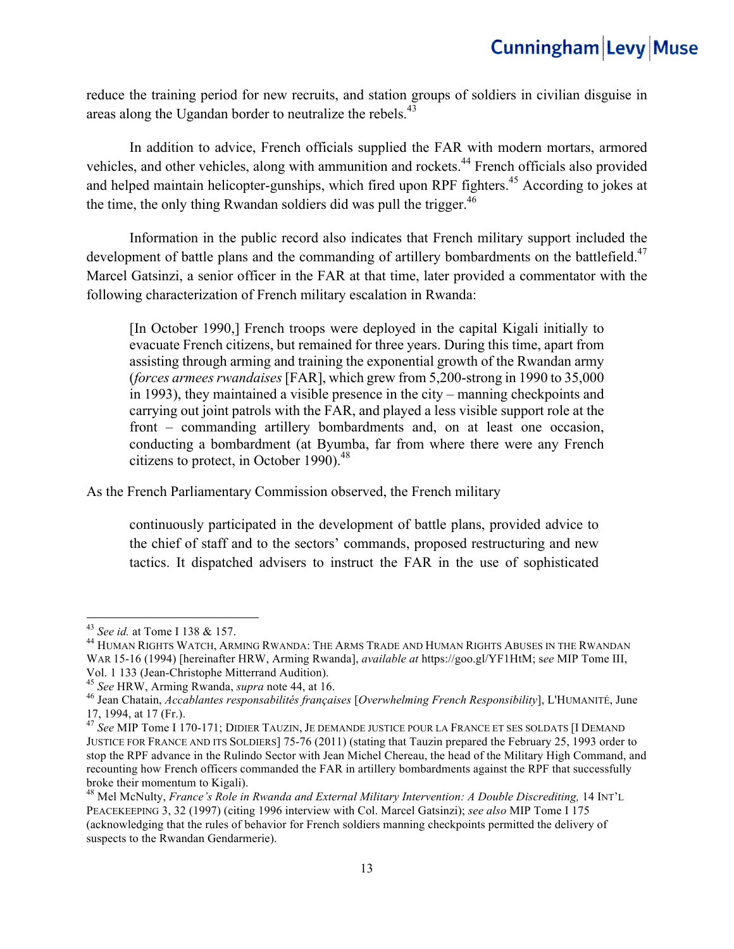reduce the training period for new recruits, and station groups of soldiers in civilian disguise in areas along the Ugandan border to neutralize the rebels.<sup>43</sup>

In addition to advice, French officials supplied the FAR with modern mortars, armored vehicles, and other vehicles, along with ammunition and rockets.44 French officials also provided and helped maintain helicopter-gunships, which fired upon RPF fighters.<sup>45</sup> According to jokes at the time, the only thing Rwandan soldiers did was pull the trigger.<sup>46</sup>

Information in the public record also indicates that French military support included the development of battle plans and the commanding of artillery bombardments on the battlefield.<sup>47</sup> Marcel Gatsinzi, a senior officer in the FAR at that time, later provided a commentator with the following characterization of French military escalation in Rwanda:

[In October 1990,] French troops were deployed in the capital Kigali initially to evacuate French citizens, but remained for three years. During this time, apart from assisting through arming and training the exponential growth of the Rwandan army (*forces armees rwandaises* [FAR], which grew from 5,200-strong in 1990 to 35,000 in 1993), they maintained a visible presence in the city – manning checkpoints and carrying out joint patrols with the FAR, and played a less visible support role at the front – commanding artillery bombardments and, on at least one occasion, conducting a bombardment (at Byumba, far from where there were any French citizens to protect, in October 1990). $^{48}$ 

As the French Parliamentary Commission observed, the French military

continuously participated in the development of battle plans, provided advice to the chief of staff and to the sectors' commands, proposed restructuring and new tactics. It dispatched advisers to instruct the FAR in the use of sophisticated

<sup>&</sup>lt;sup>43</sup> *See id.* at Tome I 138 & 157.<br><sup>44</sup> Human Rights Watch, Arming Rwanda: The Arms Trade and Human Rights Abuses in the Rwandan WAR 15-16 (1994) [hereinafter HRW, Arming Rwanda], *available at* https://goo.gl/YF1HtM; s*ee* MIP Tome III,

<sup>&</sup>lt;sup>45</sup> See HRW, Arming Rwanda, *supra* note 44, at 16.<br><sup>46</sup> Jean Chatain, *Accablantes responsabilités françaises* [Overwhelming French Responsibility], L'HUMANITÉ, June 17, 1994, at 17 (Fr.).

<sup>47</sup> *See* MIP Tome I 170-171; DIDIER TAUZIN, JE DEMANDE JUSTICE POUR LA FRANCE ET SES SOLDATS [I DEMAND JUSTICE FOR FRANCE AND ITS SOLDIERS] 75-76 (2011) (stating that Tauzin prepared the February 25, 1993 order to stop the RPF advance in the Rulindo Sector with Jean Michel Chereau, the head of the Military High Command, and recounting how French officers commanded the FAR in artillery bombardments against the RPF that successfully broke their momentum to Kigali).

<sup>&</sup>lt;sup>48</sup> Mel McNulty, *France's Role in Rwanda and External Military Intervention: A Double Discrediting, 14 INT'L* PEACEKEEPING 3, 32 (1997) (citing 1996 interview with Col. Marcel Gatsinzi); *see also* MIP Tome I 175 (acknowledging that the rules of behavior for French soldiers manning checkpoints permitted the delivery of suspects to the Rwandan Gendarmerie).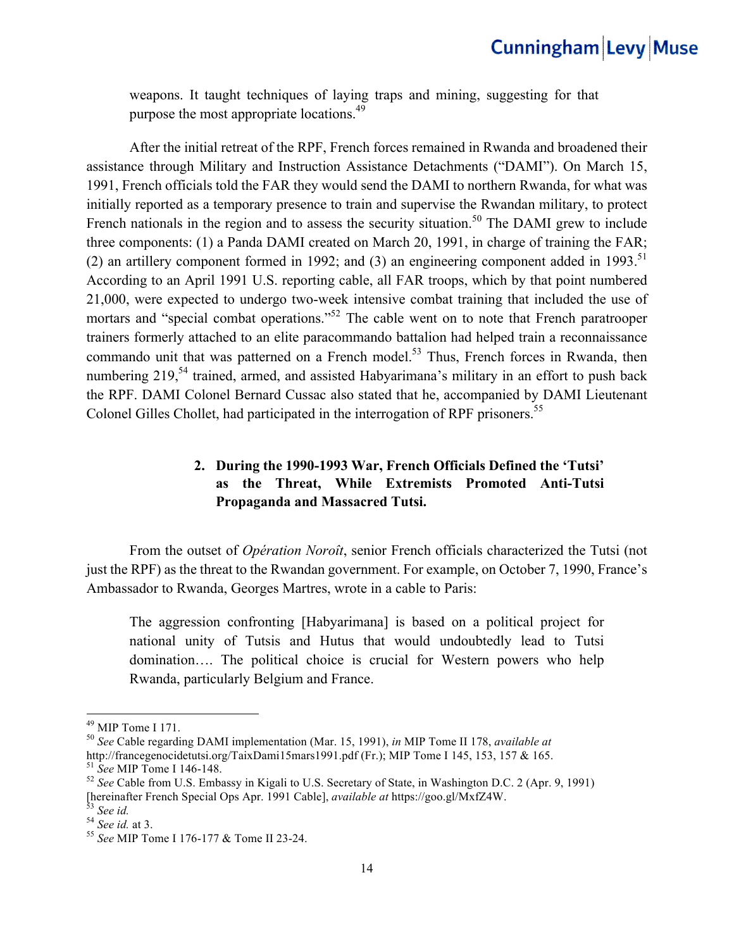weapons. It taught techniques of laying traps and mining, suggesting for that purpose the most appropriate locations.<sup>49</sup>

After the initial retreat of the RPF, French forces remained in Rwanda and broadened their assistance through Military and Instruction Assistance Detachments ("DAMI"). On March 15, 1991, French officials told the FAR they would send the DAMI to northern Rwanda, for what was initially reported as a temporary presence to train and supervise the Rwandan military, to protect French nationals in the region and to assess the security situation.<sup>50</sup> The DAMI grew to include three components: (1) a Panda DAMI created on March 20, 1991, in charge of training the FAR; (2) an artillery component formed in 1992; and (3) an engineering component added in 1993.<sup>51</sup> According to an April 1991 U.S. reporting cable, all FAR troops, which by that point numbered 21,000, were expected to undergo two-week intensive combat training that included the use of mortars and "special combat operations."<sup>52</sup> The cable went on to note that French paratrooper trainers formerly attached to an elite paracommando battalion had helped train a reconnaissance commando unit that was patterned on a French model.<sup>53</sup> Thus, French forces in Rwanda, then numbering  $219<sub>1</sub><sup>54</sup>$  trained, armed, and assisted Habyarimana's military in an effort to push back the RPF. DAMI Colonel Bernard Cussac also stated that he, accompanied by DAMI Lieutenant Colonel Gilles Chollet, had participated in the interrogation of RPF prisoners.<sup>55</sup>

### **2. During the 1990-1993 War, French Officials Defined the 'Tutsi' as the Threat, While Extremists Promoted Anti-Tutsi Propaganda and Massacred Tutsi.**

 From the outset of *Opération Noroît*, senior French officials characterized the Tutsi (not just the RPF) as the threat to the Rwandan government. For example, on October 7, 1990, France's Ambassador to Rwanda, Georges Martres, wrote in a cable to Paris:

The aggression confronting [Habyarimana] is based on a political project for national unity of Tutsis and Hutus that would undoubtedly lead to Tutsi domination…. The political choice is crucial for Western powers who help Rwanda, particularly Belgium and France.

<sup>&</sup>lt;sup>49</sup> MIP Tome I 171.<br><sup>50</sup> *See* Cable regarding DAMI implementation (Mar. 15, 1991), *in* MIP Tome II 178, *available at* http://francegenocidetutsi.org/TaixDami15mars1991.pdf (Fr.); MIP Tome I 145, 153, 157 & 165. <sup>51</sup> See MIP Tome I 146-148.<br><sup>52</sup> See Cable from U.S. Embassy in Kigali to U.S. Secretary of State, in Washington D.C. 2 (Apr. 9, 1991)

<sup>[</sup>hereinafter French Special Ops Apr. 1991 Cable], *available at* https://goo.gl/MxfZ4W. <sup>53</sup> *See id.* <sup>54</sup> *See id.* at 3. 55 *See* MIP Tome I 176-177 & Tome II 23-24.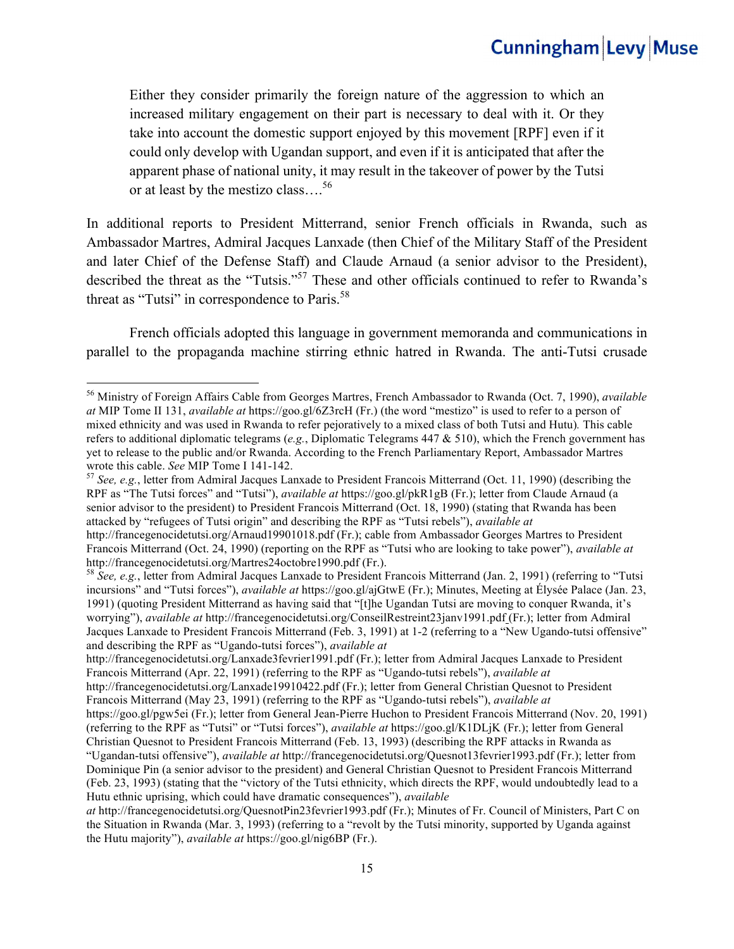Either they consider primarily the foreign nature of the aggression to which an increased military engagement on their part is necessary to deal with it. Or they take into account the domestic support enjoyed by this movement [RPF] even if it could only develop with Ugandan support, and even if it is anticipated that after the apparent phase of national unity, it may result in the takeover of power by the Tutsi or at least by the mestizo class….<sup>56</sup>

In additional reports to President Mitterrand, senior French officials in Rwanda, such as Ambassador Martres, Admiral Jacques Lanxade (then Chief of the Military Staff of the President and later Chief of the Defense Staff) and Claude Arnaud (a senior advisor to the President), described the threat as the "Tutsis."<sup>57</sup> These and other officials continued to refer to Rwanda's threat as "Tutsi" in correspondence to Paris.<sup>58</sup>

French officials adopted this language in government memoranda and communications in parallel to the propaganda machine stirring ethnic hatred in Rwanda. The anti-Tutsi crusade

<sup>56</sup> Ministry of Foreign Affairs Cable from Georges Martres, French Ambassador to Rwanda (Oct. 7, 1990), *available at* MIP Tome II 131, *available at* https://goo.gl/6Z3rcH (Fr.) (the word "mestizo" is used to refer to a person of mixed ethnicity and was used in Rwanda to refer pejoratively to a mixed class of both Tutsi and Hutu)*.* This cable refers to additional diplomatic telegrams (*e.g.*, Diplomatic Telegrams 447 & 510), which the French government has yet to release to the public and/or Rwanda. According to the French Parliamentary Report, Ambassador Martres wrote this cable. See MIP Tome I 141-142.

<sup>&</sup>lt;sup>57</sup> *See, e.g.*, letter from Admiral Jacques Lanxade to President Francois Mitterrand (Oct. 11, 1990) (describing the RPF as "The Tutsi forces" and "Tutsi"), *available at* https://goo.gl/pkR1gB (Fr.); letter from Claude Arnaud (a senior advisor to the president) to President Francois Mitterrand (Oct. 18, 1990) (stating that Rwanda has been attacked by "refugees of Tutsi origin" and describing the RPF as "Tutsi rebels"), *available at* 

http://francegenocidetutsi.org/Arnaud19901018.pdf (Fr.); cable from Ambassador Georges Martres to President Francois Mitterrand (Oct. 24, 1990) (reporting on the RPF as "Tutsi who are looking to take power"), *available at* http://francegenocidetutsi.org/Martres24octobre1990.pdf (Fr.).

<sup>&</sup>lt;sup>58</sup> See, e.g., letter from Admiral Jacques Lanxade to President Francois Mitterrand (Jan. 2, 1991) (referring to "Tutsi incursions" and "Tutsi forces"), *available at* https://goo.gl/ajGtwE (Fr.); Minutes, Meeting at Élysée Palace (Jan. 23, 1991) (quoting President Mitterrand as having said that "[t]he Ugandan Tutsi are moving to conquer Rwanda, it's worrying"), *available at* http://francegenocidetutsi.org/ConseilRestreint23janv1991.pdf (Fr.); letter from Admiral Jacques Lanxade to President Francois Mitterrand (Feb. 3, 1991) at 1-2 (referring to a "New Ugando-tutsi offensive" and describing the RPF as "Ugando-tutsi forces"), *available at*

http://francegenocidetutsi.org/Lanxade3fevrier1991.pdf (Fr.); letter from Admiral Jacques Lanxade to President Francois Mitterrand (Apr. 22, 1991) (referring to the RPF as "Ugando-tutsi rebels"), *available at* 

http://francegenocidetutsi.org/Lanxade19910422.pdf (Fr.); letter from General Christian Quesnot to President Francois Mitterrand (May 23, 1991) (referring to the RPF as "Ugando-tutsi rebels"), *available at* 

https://goo.gl/pgw5ei (Fr.); letter from General Jean-Pierre Huchon to President Francois Mitterrand (Nov. 20, 1991) (referring to the RPF as "Tutsi" or "Tutsi forces"), *available at* https://goo.gl/K1DLjK (Fr.); letter from General Christian Quesnot to President Francois Mitterrand (Feb. 13, 1993) (describing the RPF attacks in Rwanda as "Ugandan-tutsi offensive"), *available at* http://francegenocidetutsi.org/Quesnot13fevrier1993.pdf (Fr.); letter from Dominique Pin (a senior advisor to the president) and General Christian Quesnot to President Francois Mitterrand

<sup>(</sup>Feb. 23, 1993) (stating that the "victory of the Tutsi ethnicity, which directs the RPF, would undoubtedly lead to a Hutu ethnic uprising, which could have dramatic consequences"), *available* 

*at* http://francegenocidetutsi.org/QuesnotPin23fevrier1993.pdf (Fr.); Minutes of Fr. Council of Ministers, Part C on the Situation in Rwanda (Mar. 3, 1993) (referring to a "revolt by the Tutsi minority, supported by Uganda against the Hutu majority"), *available at* https://goo.gl/nig6BP (Fr.).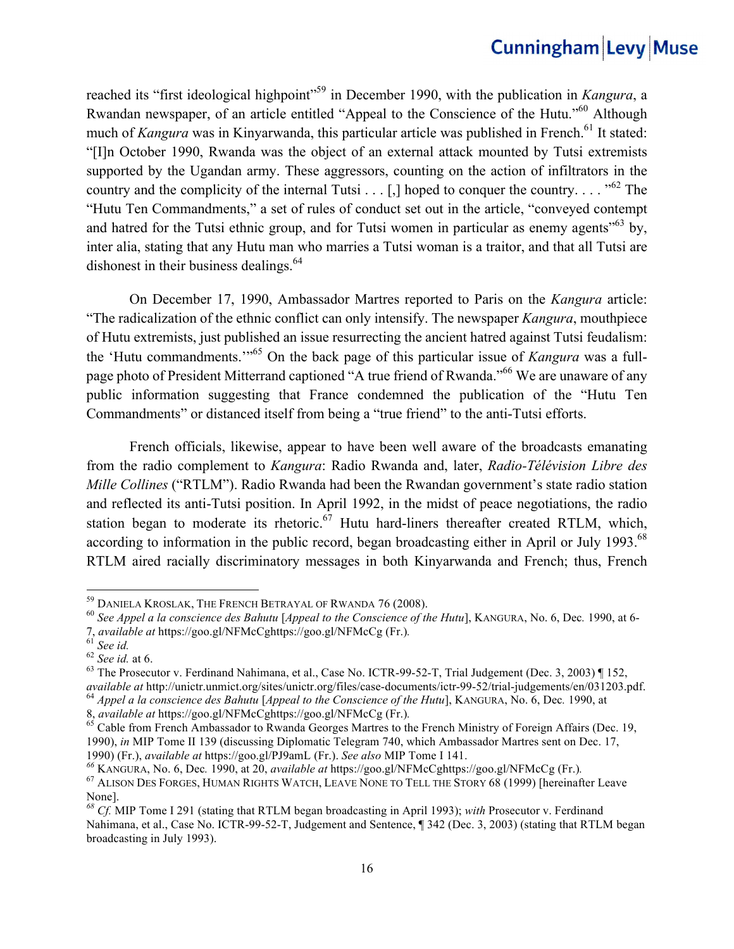reached its "first ideological highpoint"<sup>59</sup> in December 1990, with the publication in *Kangura*, a Rwandan newspaper, of an article entitled "Appeal to the Conscience of the Hutu."<sup>60</sup> Although much of *Kangura* was in Kinyarwanda, this particular article was published in French.<sup>61</sup> It stated: "[I]n October 1990, Rwanda was the object of an external attack mounted by Tutsi extremists supported by the Ugandan army. These aggressors, counting on the action of infiltrators in the country and the complicity of the internal Tutsi . . . [,] hoped to conquer the country. . . . "<sup>62</sup> The "Hutu Ten Commandments," a set of rules of conduct set out in the article, "conveyed contempt and hatred for the Tutsi ethnic group, and for Tutsi women in particular as enemy agents<sup> $563$ </sup> by, inter alia, stating that any Hutu man who marries a Tutsi woman is a traitor, and that all Tutsi are dishonest in their business dealings.<sup>64</sup>

On December 17, 1990, Ambassador Martres reported to Paris on the *Kangura* article: "The radicalization of the ethnic conflict can only intensify. The newspaper *Kangura*, mouthpiece of Hutu extremists, just published an issue resurrecting the ancient hatred against Tutsi feudalism: the 'Hutu commandments.'"65 On the back page of this particular issue of *Kangura* was a fullpage photo of President Mitterrand captioned "A true friend of Rwanda."66 We are unaware of any public information suggesting that France condemned the publication of the "Hutu Ten Commandments" or distanced itself from being a "true friend" to the anti-Tutsi efforts.

French officials, likewise, appear to have been well aware of the broadcasts emanating from the radio complement to *Kangura*: Radio Rwanda and, later, *Radio-Télévision Libre des Mille Collines* ("RTLM"). Radio Rwanda had been the Rwandan government's state radio station and reflected its anti-Tutsi position. In April 1992, in the midst of peace negotiations, the radio station began to moderate its rhetoric.<sup>67</sup> Hutu hard-liners thereafter created RTLM, which, according to information in the public record, began broadcasting either in April or July 1993.<sup>68</sup> RTLM aired racially discriminatory messages in both Kinyarwanda and French; thus, French

<sup>59</sup> DANIELA KROSLAK, THE FRENCH BETRAYAL OF RWANDA 76 (2008). <sup>60</sup> *See Appel a la conscience des Bahutu* [*Appeal to the Conscience of the Hutu*], KANGURA, No. 6, Dec*.* 1990, at 6- 7, available at https://goo.gl/NFMcCghttps://goo.gl/NFMcCg (Fr.).<br>
<sup>61</sup> See id. at 6.<br>
<sup>62</sup> See id. at 6.<br>
<sup>63</sup> The Prosecutor v. Ferdinand Nahimana, et al., Case No. ICTR-99-52-T, Trial Judgement (Dec. 3, 2003) ¶ 152,

available at http://unictr.unmict.org/sites/unictr.org/files/case-documents/ictr-99-52/trial-judgements/en/031203.pdf.<br><sup>64</sup> Appel a la conscience des Bahutu [Appeal to the Conscience of the Hutu], KANGURA, No. 6, Dec. 1990

<sup>&</sup>lt;sup>65</sup> Cable from French Ambassador to Rwanda Georges Martres to the French Ministry of Foreign Affairs (Dec. 19, 1990), *in* MIP Tome II 139 (discussing Diplomatic Telegram 740, which Ambassador Martres sent on Dec. 17, 1990) (Fr.), available at https://goo.gl/PJ9amL (Fr.). See also MIP Tome I 141.<br><sup>66</sup> KANGURA, No. 6, Dec. 1990, at 20, available at https://goo.gl/NFMcCghttps://goo.gl/NFMcCg (Fr.).<br><sup>67</sup> ALISON DES FORGES, HUMAN RIGHTS WAT

None].

*<sup>68</sup> Cf.* MIP Tome I 291 (stating that RTLM began broadcasting in April 1993); *with* Prosecutor v. Ferdinand Nahimana, et al., Case No. ICTR-99-52-T, Judgement and Sentence, ¶ 342 (Dec. 3, 2003) (stating that RTLM began broadcasting in July 1993).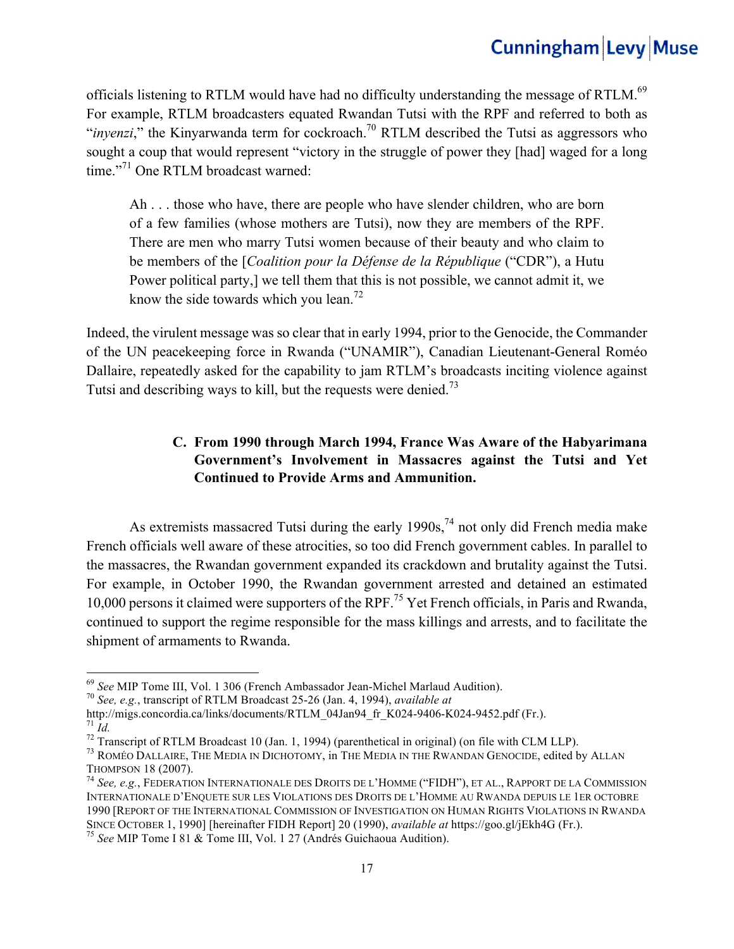officials listening to RTLM would have had no difficulty understanding the message of RTLM.<sup>69</sup> For example, RTLM broadcasters equated Rwandan Tutsi with the RPF and referred to both as "*inyenzi*," the Kinyarwanda term for cockroach.<sup>70</sup> RTLM described the Tutsi as aggressors who sought a coup that would represent "victory in the struggle of power they [had] waged for a long time."<sup>71</sup> One RTLM broadcast warned:

Ah . . . those who have, there are people who have slender children, who are born of a few families (whose mothers are Tutsi), now they are members of the RPF. There are men who marry Tutsi women because of their beauty and who claim to be members of the [*Coalition pour la Défense de la République* ("CDR"), a Hutu Power political party,] we tell them that this is not possible, we cannot admit it, we know the side towards which you lean.<sup>72</sup>

Indeed, the virulent message was so clear that in early 1994, prior to the Genocide, the Commander of the UN peacekeeping force in Rwanda ("UNAMIR"), Canadian Lieutenant-General Roméo Dallaire, repeatedly asked for the capability to jam RTLM's broadcasts inciting violence against Tutsi and describing ways to kill, but the requests were denied.<sup>73</sup>

### **C. From 1990 through March 1994, France Was Aware of the Habyarimana Government's Involvement in Massacres against the Tutsi and Yet Continued to Provide Arms and Ammunition.**

As extremists massacred Tutsi during the early  $1990s<sup>74</sup>$  not only did French media make French officials well aware of these atrocities, so too did French government cables. In parallel to the massacres, the Rwandan government expanded its crackdown and brutality against the Tutsi. For example, in October 1990, the Rwandan government arrested and detained an estimated 10,000 persons it claimed were supporters of the RPF.<sup>75</sup> Yet French officials, in Paris and Rwanda, continued to support the regime responsible for the mass killings and arrests, and to facilitate the shipment of armaments to Rwanda.

<sup>&</sup>lt;sup>69</sup> *See* MIP Tome III, Vol. 1 306 (French Ambassador Jean-Michel Marlaud Audition).<br><sup>70</sup> *See, e.g.*, transcript of RTLM Broadcast 25-26 (Jan. 4, 1994), *available at*<br>http://migs.concordia.ca/links/documents/RTLM 04Jan9

<sup>&</sup>lt;sup>71</sup> *Id.*<br><sup>72</sup> Transcript of RTLM Broadcast 10 (Jan. 1, 1994) (parenthetical in original) (on file with CLM LLP).<br><sup>73</sup> ROMÉO DALLAIRE, THE MEDIA IN DICHOTOMY, in THE MEDIA IN THE RWANDAN GENOCIDE, edited by ALLAN

THOMPSON 18 (2007).<br><sup>74</sup> *See, e.g.*, Federation Internationale des Droits de l'Homme ("FIDH"), et al., Rapport de la Commission

INTERNATIONALE D'ENQUETE SUR LES VIOLATIONS DES DROITS DE L'HOMME AU RWANDA DEPUIS LE 1ER OCTOBRE 1990 [REPORT OF THE INTERNATIONAL COMMISSION OF INVESTIGATION ON HUMAN RIGHTS VIOLATIONS IN RWANDA SINCE OCTOBER 1, 1990] [hereinafter FIDH Report] 20 (1990), *available at* https://goo.gl/jEkh4G (Fr.). <sup>75</sup> *See* MIP Tome I 81 & Tome III, Vol. 1 27 (Andrés Guichaoua Audition).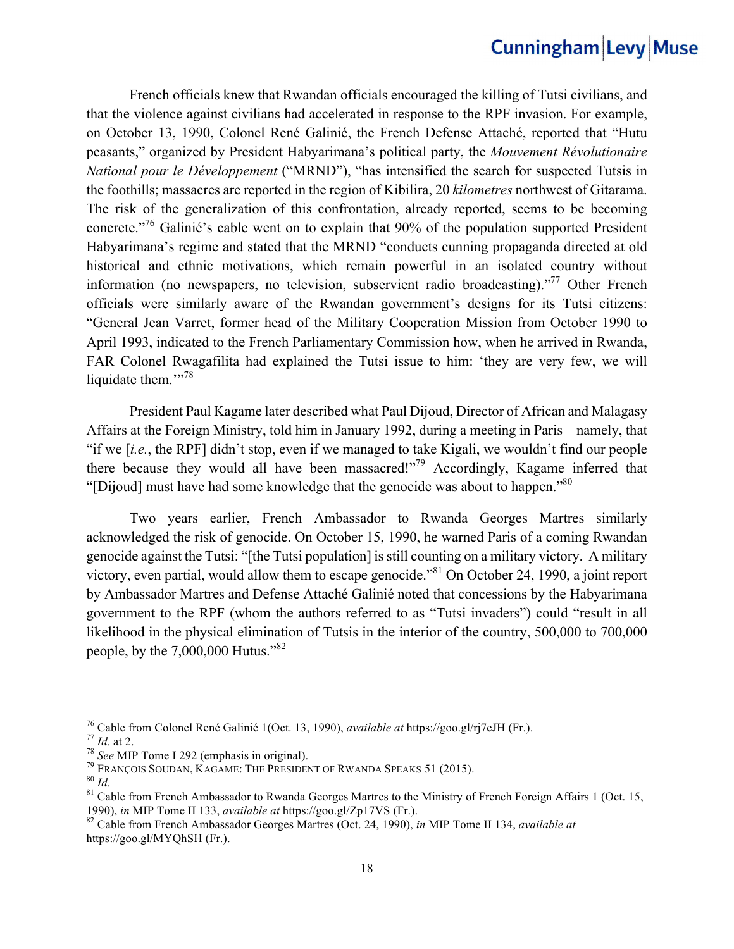French officials knew that Rwandan officials encouraged the killing of Tutsi civilians, and that the violence against civilians had accelerated in response to the RPF invasion. For example, on October 13, 1990, Colonel René Galinié, the French Defense Attaché, reported that "Hutu peasants," organized by President Habyarimana's political party, the *Mouvement Révolutionaire National pour le Développement* ("MRND"), "has intensified the search for suspected Tutsis in the foothills; massacres are reported in the region of Kibilira, 20 *kilometres* northwest of Gitarama. The risk of the generalization of this confrontation, already reported, seems to be becoming concrete."76 Galinié's cable went on to explain that 90% of the population supported President Habyarimana's regime and stated that the MRND "conducts cunning propaganda directed at old historical and ethnic motivations, which remain powerful in an isolated country without information (no newspapers, no television, subservient radio broadcasting). $177$  Other French officials were similarly aware of the Rwandan government's designs for its Tutsi citizens: "General Jean Varret, former head of the Military Cooperation Mission from October 1990 to April 1993, indicated to the French Parliamentary Commission how, when he arrived in Rwanda, FAR Colonel Rwagafilita had explained the Tutsi issue to him: 'they are very few, we will liquidate them."<sup>78</sup>

President Paul Kagame later described what Paul Dijoud, Director of African and Malagasy Affairs at the Foreign Ministry, told him in January 1992, during a meeting in Paris – namely, that "if we [*i.e.*, the RPF] didn't stop, even if we managed to take Kigali, we wouldn't find our people there because they would all have been massacred!"<sup>79</sup> Accordingly, Kagame inferred that "[Dijoud] must have had some knowledge that the genocide was about to happen."<sup>80</sup>

Two years earlier, French Ambassador to Rwanda Georges Martres similarly acknowledged the risk of genocide. On October 15, 1990, he warned Paris of a coming Rwandan genocide against the Tutsi: "[the Tutsi population] is still counting on a military victory. A military victory, even partial, would allow them to escape genocide."81 On October 24, 1990, a joint report by Ambassador Martres and Defense Attaché Galinié noted that concessions by the Habyarimana government to the RPF (whom the authors referred to as "Tutsi invaders") could "result in all likelihood in the physical elimination of Tutsis in the interior of the country, 500,000 to 700,000 people, by the 7,000,000 Hutus."82

<sup>&</sup>lt;sup>76</sup> Cable from Colonel René Galinié 1(Oct. 13, 1990), *available at* https://goo.gl/rj7eJH (Fr.).<br>
<sup>77</sup> *Id.* at 2.<br>
<sup>78</sup> *See* MIP Tome I 292 (emphasis in original).<br>
<sup>79</sup> FRANÇOIS SOUDAN, KAGAME: THE PRESIDENT OF RWAND

<sup>&</sup>lt;sup>82</sup> Cable from French Ambassador Georges Martres (Oct. 24, 1990), *in* MIP Tome II 134, *available at* https://goo.gl/MYQhSH (Fr.).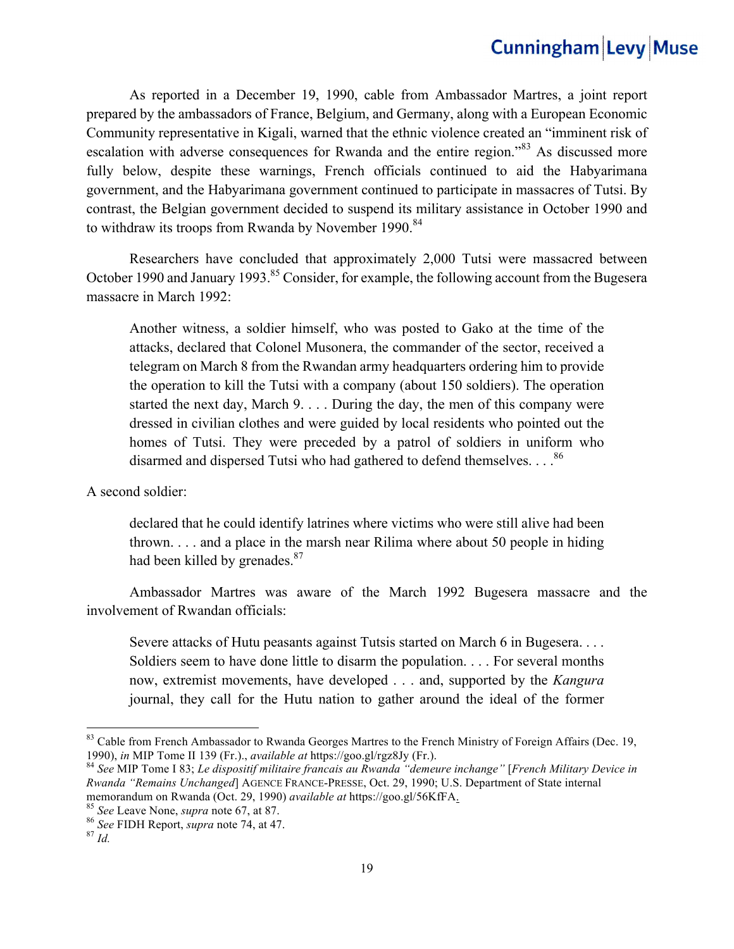As reported in a December 19, 1990, cable from Ambassador Martres, a joint report prepared by the ambassadors of France, Belgium, and Germany, along with a European Economic Community representative in Kigali, warned that the ethnic violence created an "imminent risk of escalation with adverse consequences for Rwanda and the entire region."<sup>83</sup> As discussed more fully below, despite these warnings, French officials continued to aid the Habyarimana government, and the Habyarimana government continued to participate in massacres of Tutsi. By contrast, the Belgian government decided to suspend its military assistance in October 1990 and to withdraw its troops from Rwanda by November 1990.<sup>84</sup>

Researchers have concluded that approximately 2,000 Tutsi were massacred between October 1990 and January 1993.<sup>85</sup> Consider, for example, the following account from the Bugesera massacre in March 1992:

Another witness, a soldier himself, who was posted to Gako at the time of the attacks, declared that Colonel Musonera, the commander of the sector, received a telegram on March 8 from the Rwandan army headquarters ordering him to provide the operation to kill the Tutsi with a company (about 150 soldiers). The operation started the next day, March 9. . . . During the day, the men of this company were dressed in civilian clothes and were guided by local residents who pointed out the homes of Tutsi. They were preceded by a patrol of soldiers in uniform who disarmed and dispersed Tutsi who had gathered to defend themselves....<sup>86</sup>

A second soldier:

declared that he could identify latrines where victims who were still alive had been thrown. . . . and a place in the marsh near Rilima where about 50 people in hiding had been killed by grenades.<sup>87</sup>

Ambassador Martres was aware of the March 1992 Bugesera massacre and the involvement of Rwandan officials:

Severe attacks of Hutu peasants against Tutsis started on March 6 in Bugesera. . . . Soldiers seem to have done little to disarm the population. . . . For several months now, extremist movements, have developed . . . and, supported by the *Kangura* journal, they call for the Hutu nation to gather around the ideal of the former

<sup>&</sup>lt;sup>83</sup> Cable from French Ambassador to Rwanda Georges Martres to the French Ministry of Foreign Affairs (Dec. 19, 1990), *in* MIP Tome II 139 (Fr.). *available at* https://goo.gl/rgz8Jy (Fr.).

<sup>&</sup>lt;sup>84</sup> See MIP Tome I 83; *Le dispositif militaire francais au Rwanda "demeure inchange" [French Military Device in Rwanda "Remains Unchanged*] AGENCE FRANCE-PRESSE, Oct. 29, 1990; U.S. Department of State internal memorandum on Rwanda (Oct. 29, 1990) *available at* https://goo.gl/56KfFA.<br><sup>85</sup> *See* Leave None, *supra* note 67, at 87.<br><sup>86</sup> *See* FIDH Report, *supra* note 74, at 47. 87 *Id.*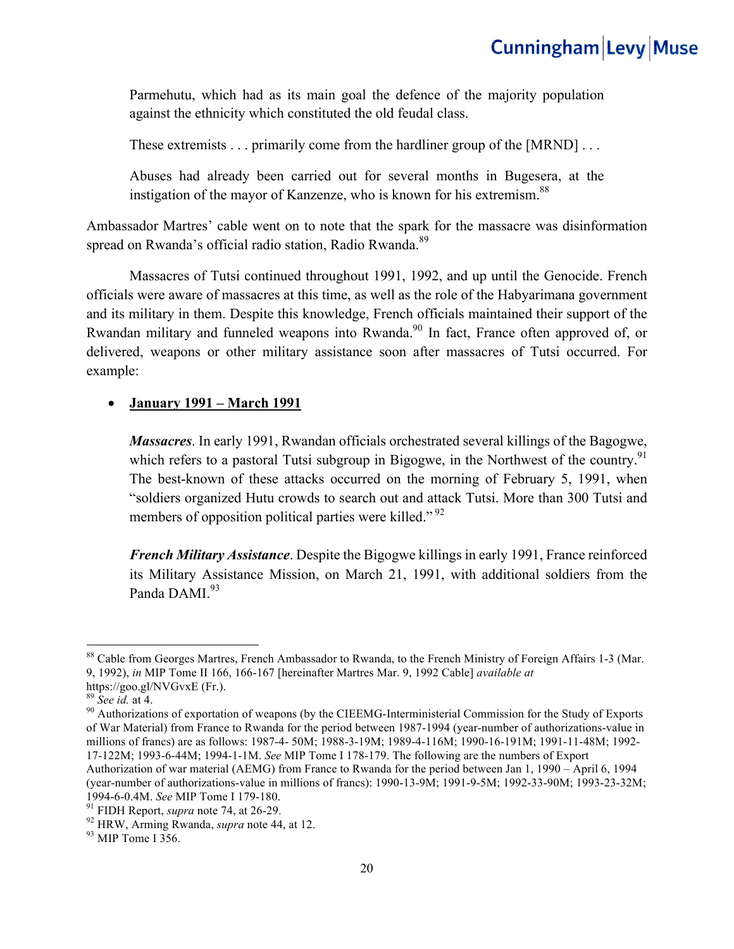Parmehutu, which had as its main goal the defence of the majority population against the ethnicity which constituted the old feudal class.

These extremists . . . primarily come from the hardliner group of the [MRND] . . .

Abuses had already been carried out for several months in Bugesera, at the instigation of the mayor of Kanzenze, who is known for his extremism.<sup>88</sup>

Ambassador Martres' cable went on to note that the spark for the massacre was disinformation spread on Rwanda's official radio station, Radio Rwanda.<sup>89</sup>

Massacres of Tutsi continued throughout 1991, 1992, and up until the Genocide. French officials were aware of massacres at this time, as well as the role of the Habyarimana government and its military in them. Despite this knowledge, French officials maintained their support of the Rwandan military and funneled weapons into Rwanda.<sup>90</sup> In fact, France often approved of, or delivered, weapons or other military assistance soon after massacres of Tutsi occurred. For example:

#### • **January 1991 – March 1991**

*Massacres*. In early 1991, Rwandan officials orchestrated several killings of the Bagogwe, which refers to a pastoral Tutsi subgroup in Bigogwe, in the Northwest of the country.<sup>91</sup> The best-known of these attacks occurred on the morning of February 5, 1991, when "soldiers organized Hutu crowds to search out and attack Tutsi. More than 300 Tutsi and members of opposition political parties were killed."<sup>92</sup>

*French Military Assistance*. Despite the Bigogwe killings in early 1991, France reinforced its Military Assistance Mission, on March 21, 1991, with additional soldiers from the Panda DAMI.<sup>93</sup>

<sup>&</sup>lt;sup>88</sup> Cable from Georges Martres, French Ambassador to Rwanda, to the French Ministry of Foreign Affairs 1-3 (Mar. 9, 1992), *in* MIP Tome II 166, 166-167 [hereinafter Martres Mar. 9, 1992 Cable] *available at* 

https://goo.gl/NVGvxE (Fr.).<br><sup>89</sup> See id. at 4.

<sup>&</sup>lt;sup>90</sup> Authorizations of exportation of weapons (by the CIEEMG-Interministerial Commission for the Study of Exports of War Material) from France to Rwanda for the period between 1987-1994 (year-number of authorizations-value in millions of francs) are as follows: 1987-4- 50M; 1988-3-19M; 1989-4-116M; 1990-16-191M; 1991-11-48M; 1992- 17-122M; 1993-6-44M; 1994-1-1M. *See* MIP Tome I 178-179. The following are the numbers of Export

Authorization of war material (AEMG) from France to Rwanda for the period between Jan 1, 1990 – April 6, 1994 (year-number of authorizations-value in millions of francs): 1990-13-9M; 1991-9-5M; 1992-33-90M; 1993-23-32M; 1994-6-0.4M. *See* MIP Tome I 179-180.<br><sup>91</sup> FIDH Report, *supra* note 74, at 26-29.<br><sup>92</sup> HRW, Arming Rwanda, *supra* note 44, at 12.<br><sup>93</sup> MIP Tome I 356.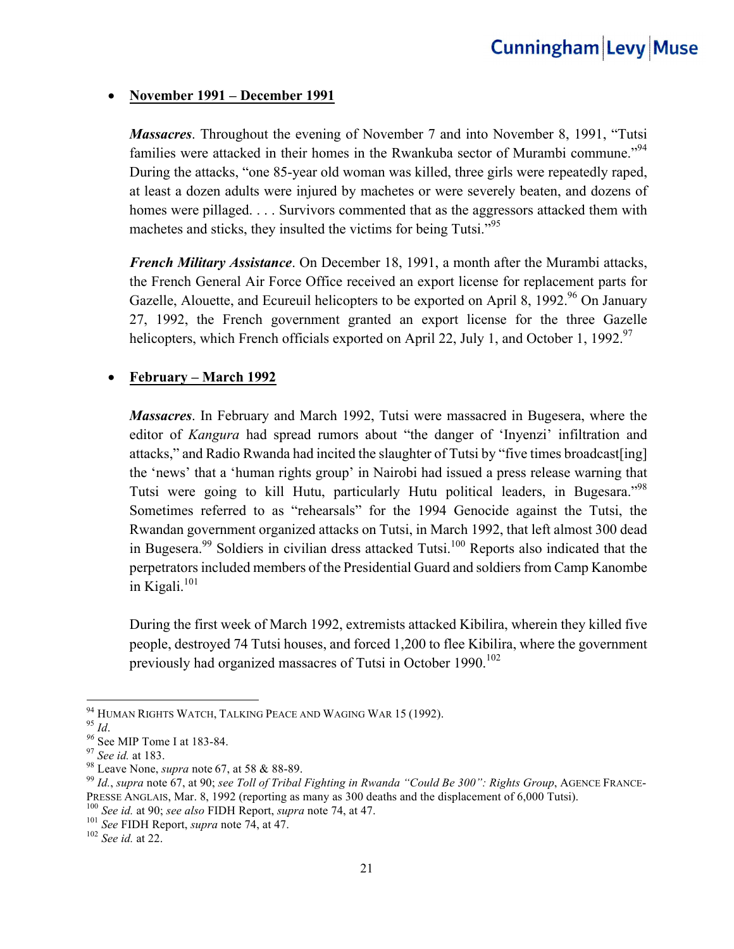#### • **November 1991 – December 1991**

*Massacres*. Throughout the evening of November 7 and into November 8, 1991, "Tutsi families were attacked in their homes in the Rwankuba sector of Murambi commune."<sup>94</sup> During the attacks, "one 85-year old woman was killed, three girls were repeatedly raped, at least a dozen adults were injured by machetes or were severely beaten, and dozens of homes were pillaged. . . . Survivors commented that as the aggressors attacked them with machetes and sticks, they insulted the victims for being Tutsi."<sup>95</sup>

*French Military Assistance*. On December 18, 1991, a month after the Murambi attacks, the French General Air Force Office received an export license for replacement parts for Gazelle, Alouette, and Ecureuil helicopters to be exported on April 8, 1992.<sup>96</sup> On January 27, 1992, the French government granted an export license for the three Gazelle helicopters, which French officials exported on April 22, July 1, and October 1, 1992.<sup>97</sup>

#### • **February – March 1992**

*Massacres*. In February and March 1992, Tutsi were massacred in Bugesera, where the editor of *Kangura* had spread rumors about "the danger of 'Inyenzi' infiltration and attacks," and Radio Rwanda had incited the slaughter of Tutsi by "five times broadcast[ing] the 'news' that a 'human rights group' in Nairobi had issued a press release warning that Tutsi were going to kill Hutu, particularly Hutu political leaders, in Bugesara."<sup>98</sup> Sometimes referred to as "rehearsals" for the 1994 Genocide against the Tutsi, the Rwandan government organized attacks on Tutsi, in March 1992, that left almost 300 dead in Bugesera.<sup>99</sup> Soldiers in civilian dress attacked Tutsi.<sup>100</sup> Reports also indicated that the perpetrators included members of the Presidential Guard and soldiers from Camp Kanombe in Kigali. $101$ 

During the first week of March 1992, extremists attacked Kibilira, wherein they killed five people, destroyed 74 Tutsi houses, and forced 1,200 to flee Kibilira, where the government previously had organized massacres of Tutsi in October 1990.<sup>102</sup>

<sup>94</sup> HUMAN RIGHTS WATCH, TALKING PEACE AND WAGING WAR 15 (1992).

<sup>&</sup>lt;sup>95</sup> Id.<br>
<sup>96</sup> See MIP Tome I at 183-84.<br>
<sup>97</sup> See id. at 183.<br>
<sup>98</sup> Leave None, *supra* note 67, at 58 & 88-89.<br>
<sup>99</sup> Id., *supra* note 67, at 90; *see Toll of Tribal Fighting in Rwanda "Could Be 300": Rights Group*, AGE PRESSE ANGLAIS, Mar. 8, 1992 (reporting as many as 300 deaths and the displacement of 6,000 Tutsi).<br><sup>100</sup> See id. at 90; see also FIDH Report, *supra* note 74, at 47.<br><sup>101</sup> See FIDH Report, *supra* note 74, at 47.<br><sup>101</sup> S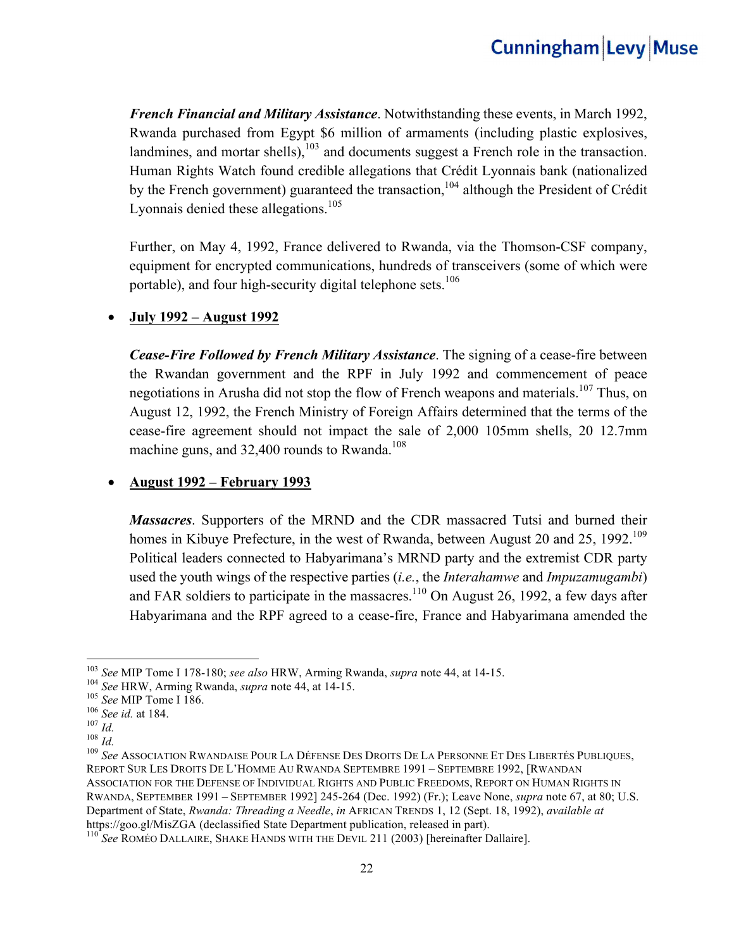*French Financial and Military Assistance*. Notwithstanding these events, in March 1992, Rwanda purchased from Egypt \$6 million of armaments (including plastic explosives, landmines, and mortar shells), $103$  and documents suggest a French role in the transaction. Human Rights Watch found credible allegations that Crédit Lyonnais bank (nationalized by the French government) guaranteed the transaction,<sup>104</sup> although the President of Crédit Lyonnais denied these allegations.<sup>105</sup>

Further, on May 4, 1992, France delivered to Rwanda, via the Thomson-CSF company, equipment for encrypted communications, hundreds of transceivers (some of which were portable), and four high-security digital telephone sets.<sup>106</sup>

#### • **July 1992 – August 1992**

*Cease-Fire Followed by French Military Assistance*. The signing of a cease-fire between the Rwandan government and the RPF in July 1992 and commencement of peace negotiations in Arusha did not stop the flow of French weapons and materials.<sup>107</sup> Thus, on August 12, 1992, the French Ministry of Foreign Affairs determined that the terms of the cease-fire agreement should not impact the sale of 2,000 105mm shells, 20 12.7mm machine guns, and  $32,400$  rounds to Rwanda.<sup>108</sup>

#### • **August 1992 – February 1993**

*Massacres*. Supporters of the MRND and the CDR massacred Tutsi and burned their homes in Kibuye Prefecture, in the west of Rwanda, between August 20 and 25, 1992.<sup>109</sup> Political leaders connected to Habyarimana's MRND party and the extremist CDR party used the youth wings of the respective parties (*i.e.*, the *Interahamwe* and *Impuzamugambi*) and FAR soldiers to participate in the massacres.<sup>110</sup> On August 26, 1992, a few days after Habyarimana and the RPF agreed to a cease-fire, France and Habyarimana amended the

<u> 1989 - Johann Barn, mars eta bainar eta industrial eta baina eta baina eta baina eta baina eta baina eta bain</u>

<sup>&</sup>lt;sup>103</sup> See MIP Tome I 178-180; see also HRW, Arming Rwanda, supra note 44, at 14-15.<br><sup>104</sup> See HRW, Arming Rwanda, supra note 44, at 14-15.<br><sup>105</sup> See MIP Tome I 186.<br><sup>105</sup> See id. at 184.<br><sup>107</sup> Id.<br><sup>108</sup> See ASSOCIATION RW REPORT SUR LES DROITS DE L'HOMME AU RWANDA SEPTEMBRE 1991 – SEPTEMBRE 1992, [RWANDAN ASSOCIATION FOR THE DEFENSE OF INDIVIDUAL RIGHTS AND PUBLIC FREEDOMS, REPORT ON HUMAN RIGHTS IN RWANDA, SEPTEMBER 1991 – SEPTEMBER 1992] 245-264 (Dec. 1992) (Fr.); Leave None, *supra* note 67, at 80; U.S. Department of State, *Rwanda: Threading a Needle*, *in* AFRICAN TRENDS 1, 12 (Sept. 18, 1992), *available at*  https://goo.gl/MisZGA (declassified State Department publication, released in part). <sup>110</sup> *See* ROMÉO DALLAIRE, SHAKE HANDS WITH THE DEVIL 211 (2003) [hereinafter Dallaire].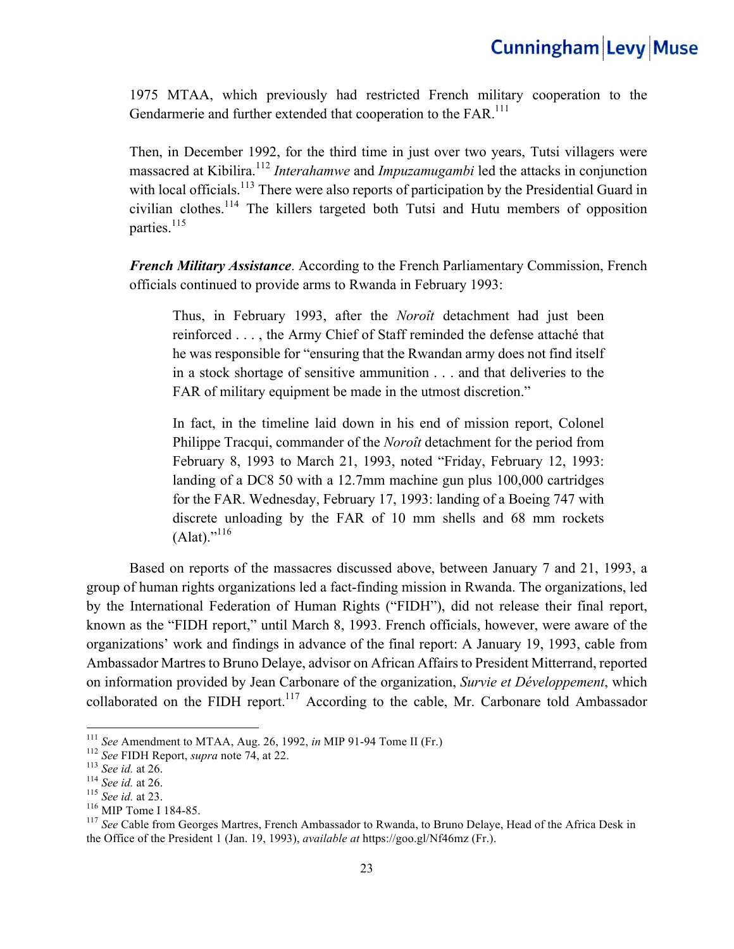1975 MTAA, which previously had restricted French military cooperation to the Gendarmerie and further extended that cooperation to the FAR.<sup>111</sup>

Then, in December 1992, for the third time in just over two years, Tutsi villagers were massacred at Kibilira.<sup>112</sup> *Interahamwe* and *Impuzamugambi* led the attacks in conjunction with local officials.<sup>113</sup> There were also reports of participation by the Presidential Guard in civilian clothes.114 The killers targeted both Tutsi and Hutu members of opposition parties.<sup>115</sup>

*French Military Assistance*. According to the French Parliamentary Commission, French officials continued to provide arms to Rwanda in February 1993:

Thus, in February 1993, after the *Noroît* detachment had just been reinforced . . . , the Army Chief of Staff reminded the defense attaché that he was responsible for "ensuring that the Rwandan army does not find itself in a stock shortage of sensitive ammunition . . . and that deliveries to the FAR of military equipment be made in the utmost discretion."

In fact, in the timeline laid down in his end of mission report, Colonel Philippe Tracqui, commander of the *Noroît* detachment for the period from February 8, 1993 to March 21, 1993, noted "Friday, February 12, 1993: landing of a DC8 50 with a 12.7mm machine gun plus 100,000 cartridges for the FAR. Wednesday, February 17, 1993: landing of a Boeing 747 with discrete unloading by the FAR of 10 mm shells and 68 mm rockets  $(Alat).$ <sup>"116</sup>

 Based on reports of the massacres discussed above, between January 7 and 21, 1993, a group of human rights organizations led a fact-finding mission in Rwanda. The organizations, led by the International Federation of Human Rights ("FIDH"), did not release their final report, known as the "FIDH report," until March 8, 1993. French officials, however, were aware of the organizations' work and findings in advance of the final report: A January 19, 1993, cable from Ambassador Martres to Bruno Delaye, advisor on African Affairs to President Mitterrand, reported on information provided by Jean Carbonare of the organization, *Survie et Développement*, which collaborated on the FIDH report.<sup>117</sup> According to the cable, Mr. Carbonare told Ambassador

 $^{111}$  See Amendment to MTAA, Aug. 26, 1992, in MIP 91-94 Tome II (Fr.)

<sup>&</sup>lt;sup>112</sup> See FIDH Report, *supra* note 74, at 22.<br>
<sup>113</sup> See id. at 26.<br>
<sup>114</sup> See id. at 26.<br>
<sup>114</sup> See id. at 23.<br>
<sup>116</sup> MIP Tome I 184-85.<br>
<sup>116</sup> MIP Tome I 184-85. the Office of the President 1 (Jan. 19, 1993), *available at* https://goo.gl/Nf46mz (Fr.).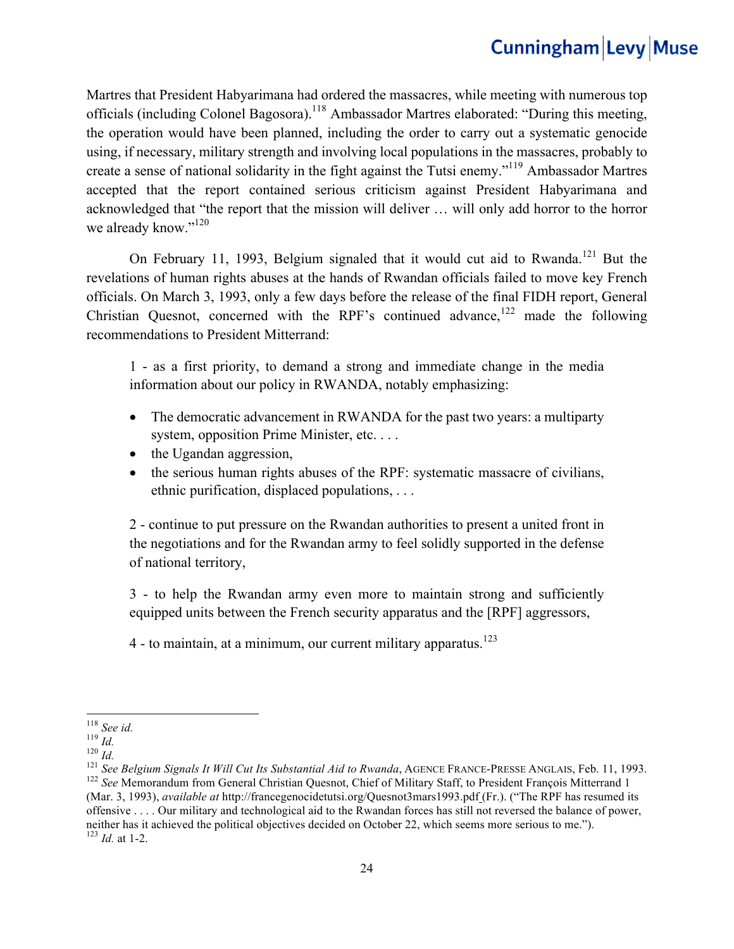Martres that President Habyarimana had ordered the massacres, while meeting with numerous top officials (including Colonel Bagosora).<sup>118</sup> Ambassador Martres elaborated: "During this meeting, the operation would have been planned, including the order to carry out a systematic genocide using, if necessary, military strength and involving local populations in the massacres, probably to create a sense of national solidarity in the fight against the Tutsi enemy."119 Ambassador Martres accepted that the report contained serious criticism against President Habyarimana and acknowledged that "the report that the mission will deliver … will only add horror to the horror we already know."<sup>120</sup>

On February 11, 1993, Belgium signaled that it would cut aid to Rwanda.<sup>121</sup> But the revelations of human rights abuses at the hands of Rwandan officials failed to move key French officials. On March 3, 1993, only a few days before the release of the final FIDH report, General Christian Quesnot, concerned with the RPF's continued advance,<sup>122</sup> made the following recommendations to President Mitterrand:

1 - as a first priority, to demand a strong and immediate change in the media information about our policy in RWANDA, notably emphasizing:

- The democratic advancement in RWANDA for the past two years: a multiparty system, opposition Prime Minister, etc. . . .
- the Ugandan aggression,
- the serious human rights abuses of the RPF: systematic massacre of civilians, ethnic purification, displaced populations, . . .

2 - continue to put pressure on the Rwandan authorities to present a united front in the negotiations and for the Rwandan army to feel solidly supported in the defense of national territory,

3 - to help the Rwandan army even more to maintain strong and sufficiently equipped units between the French security apparatus and the [RPF] aggressors,

 $4$  - to maintain, at a minimum, our current military apparatus.<sup>123</sup>

<sup>&</sup>lt;u> 1989 - Johann Barn, mars ann an t-Amhain an t-Amhain an t-Amhain an t-Amhain an t-Amhain an t-Amhain an t-Amh</u>

<sup>&</sup>lt;sup>118</sup> See id.<br><sup>119</sup> Id.<br><sup>120</sup> Id.<br><sup>121</sup> See Belgium Signals It Will Cut Its Substantial Aid to Rwanda, AGENCE FRANCE-PRESSE ANGLAIS, Feb. 11, 1993.<br><sup>122</sup> See Memorandum from General Christian Quesnot, Chief of Military St (Mar. 3, 1993), *available at* http://francegenocidetutsi.org/Quesnot3mars1993.pdf (Fr.). ("The RPF has resumed its offensive . . . . Our military and technological aid to the Rwandan forces has still not reversed the balance of power, neither has it achieved the political objectives decided on October 22, which seems more serious to me."). <sup>123</sup> *Id.* at 1-2.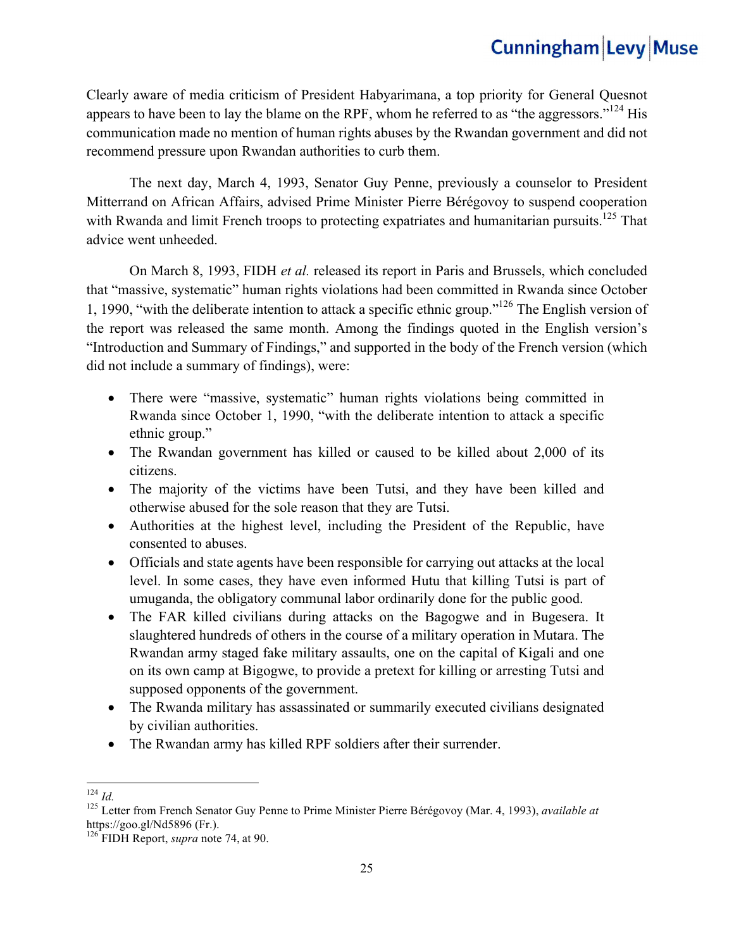Clearly aware of media criticism of President Habyarimana, a top priority for General Quesnot appears to have been to lay the blame on the RPF, whom he referred to as "the aggressors."<sup>124</sup> His communication made no mention of human rights abuses by the Rwandan government and did not recommend pressure upon Rwandan authorities to curb them.

The next day, March 4, 1993, Senator Guy Penne, previously a counselor to President Mitterrand on African Affairs, advised Prime Minister Pierre Bérégovoy to suspend cooperation with Rwanda and limit French troops to protecting expatriates and humanitarian pursuits.<sup>125</sup> That advice went unheeded.

On March 8, 1993, FIDH *et al.* released its report in Paris and Brussels, which concluded that "massive, systematic" human rights violations had been committed in Rwanda since October 1, 1990, "with the deliberate intention to attack a specific ethnic group."126 The English version of the report was released the same month. Among the findings quoted in the English version's "Introduction and Summary of Findings," and supported in the body of the French version (which did not include a summary of findings), were:

- There were "massive, systematic" human rights violations being committed in Rwanda since October 1, 1990, "with the deliberate intention to attack a specific ethnic group."
- The Rwandan government has killed or caused to be killed about 2,000 of its citizens.
- The majority of the victims have been Tutsi, and they have been killed and otherwise abused for the sole reason that they are Tutsi.
- Authorities at the highest level, including the President of the Republic, have consented to abuses.
- Officials and state agents have been responsible for carrying out attacks at the local level. In some cases, they have even informed Hutu that killing Tutsi is part of umuganda, the obligatory communal labor ordinarily done for the public good.
- The FAR killed civilians during attacks on the Bagogwe and in Bugesera. It slaughtered hundreds of others in the course of a military operation in Mutara. The Rwandan army staged fake military assaults, one on the capital of Kigali and one on its own camp at Bigogwe, to provide a pretext for killing or arresting Tutsi and supposed opponents of the government.
- The Rwanda military has assassinated or summarily executed civilians designated by civilian authorities.
- The Rwandan army has killed RPF soldiers after their surrender.

<sup>&</sup>lt;u> 1989 - Johann Barn, mars ann an t-Amhain an t-Amhain an t-Amhain an t-Amhain an t-Amhain an t-Amhain an t-Amh</u>

<sup>124</sup> *Id.* <sup>125</sup> Letter from French Senator Guy Penne to Prime Minister Pierre Bérégovoy (Mar. 4, 1993), *available at*  https://goo.gl/Nd5896 (Fr.). <sup>126</sup> FIDH Report, *supra* note 74, at 90.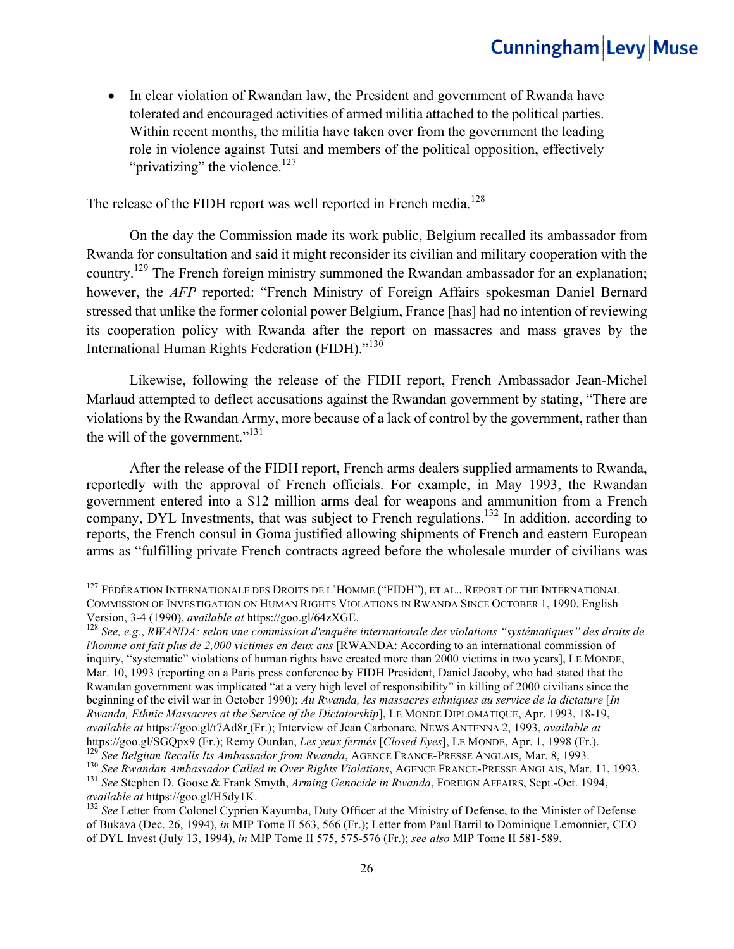• In clear violation of Rwandan law, the President and government of Rwanda have tolerated and encouraged activities of armed militia attached to the political parties. Within recent months, the militia have taken over from the government the leading role in violence against Tutsi and members of the political opposition, effectively "privatizing" the violence. $127$ 

The release of the FIDH report was well reported in French media.<sup>128</sup>

On the day the Commission made its work public, Belgium recalled its ambassador from Rwanda for consultation and said it might reconsider its civilian and military cooperation with the country.129 The French foreign ministry summoned the Rwandan ambassador for an explanation; however, the *AFP* reported: "French Ministry of Foreign Affairs spokesman Daniel Bernard stressed that unlike the former colonial power Belgium, France [has] had no intention of reviewing its cooperation policy with Rwanda after the report on massacres and mass graves by the International Human Rights Federation (FIDH)."<sup>130</sup>

Likewise, following the release of the FIDH report, French Ambassador Jean-Michel Marlaud attempted to deflect accusations against the Rwandan government by stating, "There are violations by the Rwandan Army, more because of a lack of control by the government, rather than the will of the government."131

After the release of the FIDH report, French arms dealers supplied armaments to Rwanda, reportedly with the approval of French officials. For example, in May 1993, the Rwandan government entered into a \$12 million arms deal for weapons and ammunition from a French company, DYL Investments, that was subject to French regulations.<sup>132</sup> In addition, according to reports, the French consul in Goma justified allowing shipments of French and eastern European arms as "fulfilling private French contracts agreed before the wholesale murder of civilians was

<sup>&</sup>lt;sup>127</sup> FÉDÉRATION INTERNATIONALE DES DROITS DE L'HOMME ("FIDH"), ET AL., REPORT OF THE INTERNATIONAL COMMISSION OF INVESTIGATION ON HUMAN RIGHTS VIOLATIONS IN RWANDA SINCE OCTOBER 1, 1990, English Version, 3-4 (1990), *available at* https://goo.gl/64zXGE. <sup>128</sup> *See, e.g.*, *RWANDA: selon une commission d'enquête internationale des violations "systématiques" des droits de* 

*l'homme ont fait plus de 2,000 victimes en deux ans* [RWANDA: According to an international commission of inquiry, "systematic" violations of human rights have created more than 2000 victims in two years], LE MONDE, Mar. 10, 1993 (reporting on a Paris press conference by FIDH President, Daniel Jacoby, who had stated that the Rwandan government was implicated "at a very high level of responsibility" in killing of 2000 civilians since the beginning of the civil war in October 1990); *Au Rwanda, les massacres ethniques au service de la dictature* [*In Rwanda, Ethnic Massacres at the Service of the Dictatorship*], LE MONDE DIPLOMATIQUE, Apr. 1993, 18-19, *available at* https://goo.gl/t7Ad8r (Fr.); Interview of Jean Carbonare, NEWS ANTENNA 2, 1993, *available at* 

https://goo.gl/SGQpx9 (Fr.); Remy Ourdan, *Les yeux fermés* [Closed Eyes], LE MONDE, Apr. 1, 1998 (Fr.).<br><sup>129</sup> See Belgium Recalls Its Ambassador from Rwanda, AGENCE FRANCE-PRESSE ANGLAIS, Mar. 8, 1993.<br><sup>130</sup> See Rwandan A

<sup>&</sup>lt;sup>132</sup> See Letter from Colonel Cyprien Kayumba, Duty Officer at the Ministry of Defense, to the Minister of Defense of Bukava (Dec. 26, 1994), *in* MIP Tome II 563, 566 (Fr.); Letter from Paul Barril to Dominique Lemonnier, CEO of DYL Invest (July 13, 1994), *in* MIP Tome II 575, 575-576 (Fr.); *see also* MIP Tome II 581-589.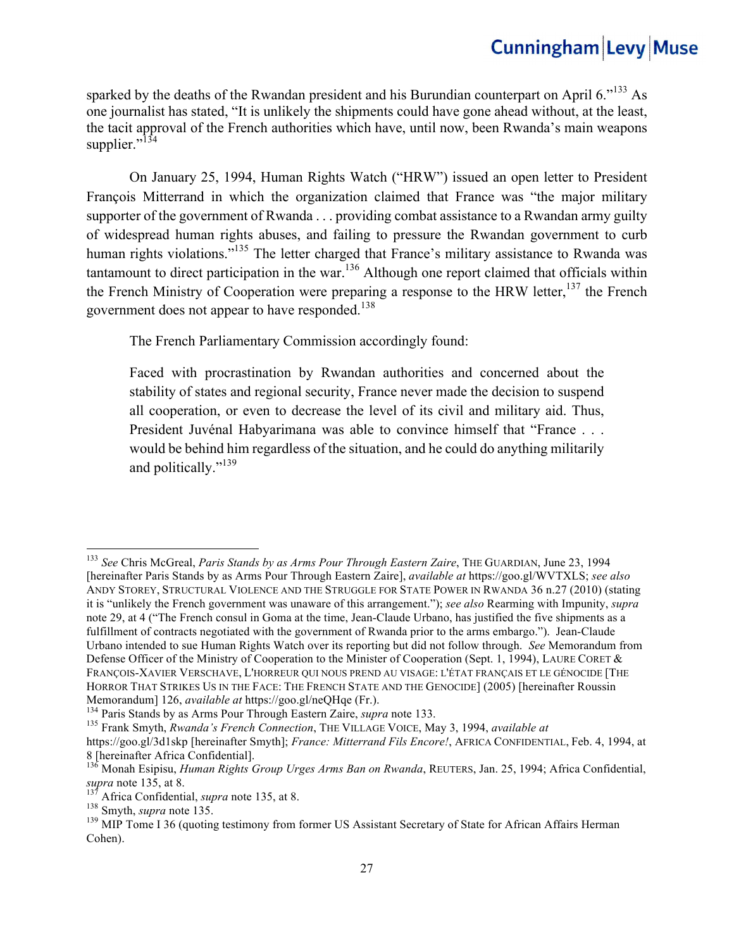sparked by the deaths of the Rwandan president and his Burundian counterpart on April  $6.^{133}$  As one journalist has stated, "It is unlikely the shipments could have gone ahead without, at the least, the tacit approval of the French authorities which have, until now, been Rwanda's main weapons supplier."<sup>134</sup>

On January 25, 1994, Human Rights Watch ("HRW") issued an open letter to President François Mitterrand in which the organization claimed that France was "the major military supporter of the government of Rwanda . . . providing combat assistance to a Rwandan army guilty of widespread human rights abuses, and failing to pressure the Rwandan government to curb human rights violations."<sup>135</sup> The letter charged that France's military assistance to Rwanda was tantamount to direct participation in the war.<sup>136</sup> Although one report claimed that officials within the French Ministry of Cooperation were preparing a response to the HRW letter,  $137$  the French government does not appear to have responded.<sup>138</sup>

The French Parliamentary Commission accordingly found:

Faced with procrastination by Rwandan authorities and concerned about the stability of states and regional security, France never made the decision to suspend all cooperation, or even to decrease the level of its civil and military aid. Thus, President Juvénal Habyarimana was able to convince himself that "France . . . would be behind him regardless of the situation, and he could do anything militarily and politically."<sup>139</sup>

<sup>133</sup> *See* Chris McGreal, *Paris Stands by as Arms Pour Through Eastern Zaire*, THE GUARDIAN, June 23, 1994 [hereinafter Paris Stands by as Arms Pour Through Eastern Zaire], *available at* https://goo.gl/WVTXLS; *see also*  ANDY STOREY, STRUCTURAL VIOLENCE AND THE STRUGGLE FOR STATE POWER IN RWANDA 36 n.27 (2010) (stating it is "unlikely the French government was unaware of this arrangement."); *see also* Rearming with Impunity, *supra* note 29, at 4 ("The French consul in Goma at the time, Jean-Claude Urbano, has justified the five shipments as a fulfillment of contracts negotiated with the government of Rwanda prior to the arms embargo."). Jean-Claude Urbano intended to sue Human Rights Watch over its reporting but did not follow through. *See* Memorandum from Defense Officer of the Ministry of Cooperation to the Minister of Cooperation (Sept. 1, 1994), LAURE CORET & FRANÇOIS-XAVIER VERSCHAVE, L'HORREUR QUI NOUS PREND AU VISAGE: L'ÉTAT FRANÇAIS ET LE GÉNOCIDE [THE HORROR THAT STRIKES US IN THE FACE: THE FRENCH STATE AND THE GENOCIDE] (2005) [hereinafter Roussin Memorandum] 126, *available at* https://goo.gl/neQHqe (Fr.).<br><sup>134</sup> Paris Stands by as Arms Pour Through Eastern Zaire, *supra* note 133.<br><sup>135</sup> Frank Smyth, *Rwanda's French Connection*, THE VILLAGE VOICE, May 3, 1994, *ava* 

https://goo.gl/3d1skp [hereinafter Smyth]; *France: Mitterrand Fils Encore!*, AFRICA CONFIDENTIAL, Feb. 4, 1994, at

<sup>8 [</sup>hereinafter Africa Confidential].<br><sup>136</sup> Monah Esipisu, *Human Rights Group Urges Arms Ban on Rwanda*, REUTERS, Jan. 25, 1994; Africa Confidential, *supra* note 135, at 8.

<sup>&</sup>lt;sup>137</sup> Africa Confidential, *supra* note 135, at 8.<br><sup>138</sup> Smyth, *supra* note 135.<br><sup>139</sup> MIP Tome I 36 (quoting testimony from former US Assistant Secretary of State for African Affairs Herman Cohen).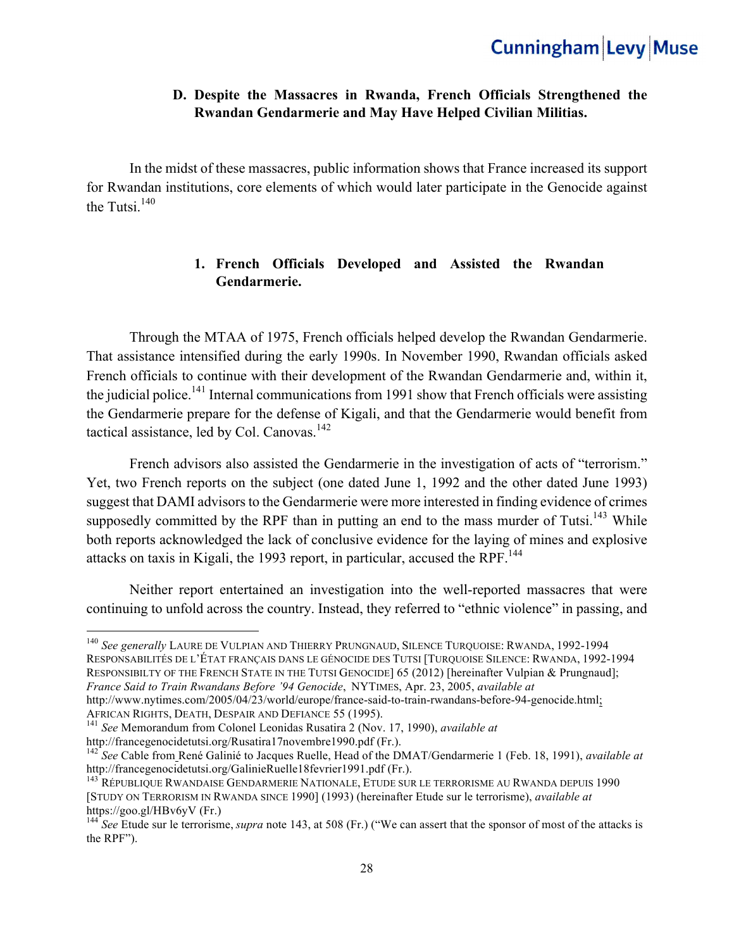### **D. Despite the Massacres in Rwanda, French Officials Strengthened the Rwandan Gendarmerie and May Have Helped Civilian Militias.**

In the midst of these massacres, public information shows that France increased its support for Rwandan institutions, core elements of which would later participate in the Genocide against the Tutsi $140$ .

### **1. French Officials Developed and Assisted the Rwandan Gendarmerie.**

 Through the MTAA of 1975, French officials helped develop the Rwandan Gendarmerie. That assistance intensified during the early 1990s. In November 1990, Rwandan officials asked French officials to continue with their development of the Rwandan Gendarmerie and, within it, the judicial police.<sup>141</sup> Internal communications from 1991 show that French officials were assisting the Gendarmerie prepare for the defense of Kigali, and that the Gendarmerie would benefit from tactical assistance, led by Col. Canovas. $142$ 

French advisors also assisted the Gendarmerie in the investigation of acts of "terrorism." Yet, two French reports on the subject (one dated June 1, 1992 and the other dated June 1993) suggest that DAMI advisors to the Gendarmerie were more interested in finding evidence of crimes supposedly committed by the RPF than in putting an end to the mass murder of Tutsi.<sup>143</sup> While both reports acknowledged the lack of conclusive evidence for the laying of mines and explosive attacks on taxis in Kigali, the 1993 report, in particular, accused the RPF.<sup>144</sup>

Neither report entertained an investigation into the well-reported massacres that were continuing to unfold across the country. Instead, they referred to "ethnic violence" in passing, and

<sup>140</sup> *See generally* LAURE DE VULPIAN AND THIERRY PRUNGNAUD, SILENCE TURQUOISE: RWANDA, 1992-1994 RESPONSABILITÉS DE L'ÉTAT FRANÇAIS DANS LE GÉNOCIDE DES TUTSI [TURQUOISE SILENCE: RWANDA, 1992-1994 RESPONSIBILTY OF THE FRENCH STATE IN THE TUTSI GENOCIDE] 65 (2012) [hereinafter Vulpian & Prungnaud]; *France Said to Train Rwandans Before '94 Genocide*, NYTIMES, Apr. 23, 2005, *available at* 

http://www.nytimes.com/2005/04/23/world/europe/france-said-to-train-rwandans-before-94-genocide.html;<br>AFRICAN RIGHTS, DEATH, DESPAIR AND DEFIANCE 55 (1995).

<sup>&</sup>lt;sup>141</sup> See Memorandum from Colonel Leonidas Rusatira 2 (Nov. 17, 1990), *available at* http://francegenocidetutsi.org/Rusatira17novembre1990.pdf (Fr.).

<sup>&</sup>lt;sup>142</sup> *See* Cable from René Galinié to Jacques Ruelle, Head of the DMAT/Gendarmerie 1 (Feb. 18, 1991), *available at* http://francegenocidetutsi.org/GalinieRuelle18fevrier1991.pdf (Fr.).

<sup>&</sup>lt;sup>143</sup> République Rwandaise Gendarmerie Nationale, Etude sur le terrorisme au Rwanda depuis 1990 [STUDY ON TERRORISM IN RWANDA SINCE 1990] (1993) (hereinafter Etude sur le terrorisme), *available at*  https://goo.gl/HBv6yV (Fr.) <sup>144</sup> *See* Etude sur le terrorisme, *supra* note 143, at 508 (Fr.) ("We can assert that the sponsor of most of the attacks is

the RPF").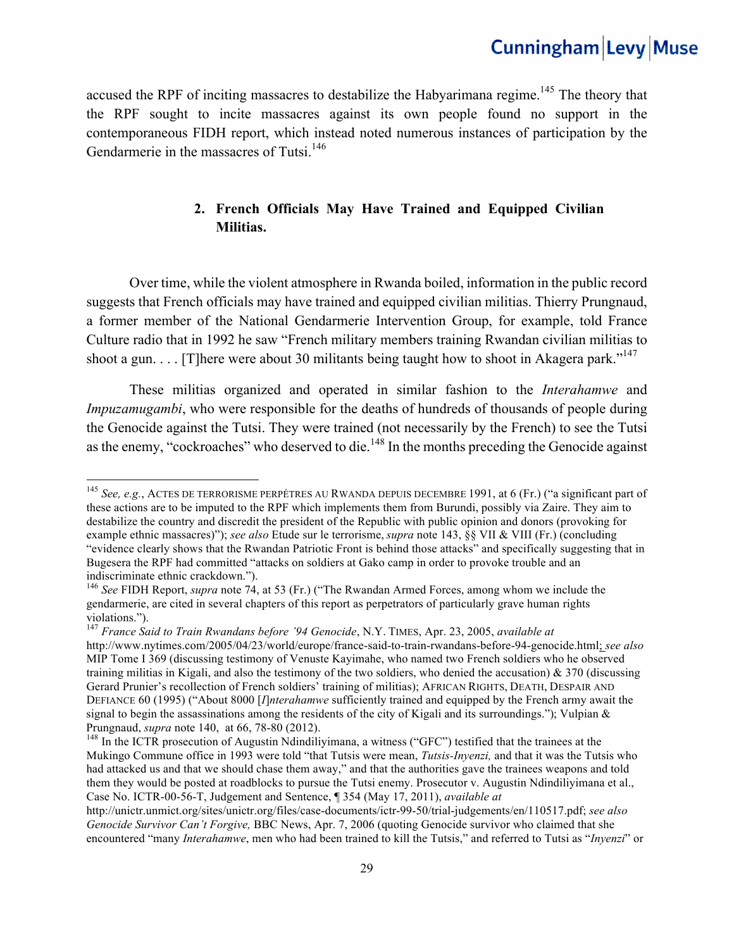accused the RPF of inciting massacres to destabilize the Habyarimana regime.<sup>145</sup> The theory that the RPF sought to incite massacres against its own people found no support in the contemporaneous FIDH report, which instead noted numerous instances of participation by the Gendarmerie in the massacres of Tutsi.<sup>146</sup>

### **2. French Officials May Have Trained and Equipped Civilian Militias.**

Over time, while the violent atmosphere in Rwanda boiled, information in the public record suggests that French officials may have trained and equipped civilian militias. Thierry Prungnaud, a former member of the National Gendarmerie Intervention Group, for example, told France Culture radio that in 1992 he saw "French military members training Rwandan civilian militias to shoot a gun.  $\ldots$  [T]here were about 30 militants being taught how to shoot in Akagera park."<sup>147</sup>

These militias organized and operated in similar fashion to the *Interahamwe* and *Impuzamugambi*, who were responsible for the deaths of hundreds of thousands of people during the Genocide against the Tutsi. They were trained (not necessarily by the French) to see the Tutsi as the enemy, "cockroaches" who deserved to die.<sup>148</sup> In the months preceding the Genocide against

<sup>145</sup> *See, e.g.*, ACTES DE TERRORISME PERPÉTRES AU RWANDA DEPUIS DECEMBRE 1991, at 6 (Fr.) ("a significant part of these actions are to be imputed to the RPF which implements them from Burundi, possibly via Zaire. They aim to destabilize the country and discredit the president of the Republic with public opinion and donors (provoking for example ethnic massacres)"); *see also* Etude sur le terrorisme, *supra* note 143, §§ VII & VIII (Fr.) (concluding "evidence clearly shows that the Rwandan Patriotic Front is behind those attacks" and specifically suggesting that in Bugesera the RPF had committed "attacks on soldiers at Gako camp in order to provoke trouble and an indiscriminate ethnic crackdown.").

<sup>146</sup> *See* FIDH Report, *supra* note 74, at 53 (Fr.) ("The Rwandan Armed Forces, among whom we include the gendarmerie, are cited in several chapters of this report as perpetrators of particularly grave human rights violations.").

<sup>147</sup> *France Said to Train Rwandans before '94 Genocide*, N.Y. TIMES, Apr. 23, 2005, *available at*  http://www.nytimes.com/2005/04/23/world/europe/france-said-to-train-rwandans-before-94-genocide.html; *see also*  MIP Tome I 369 (discussing testimony of Venuste Kayimahe, who named two French soldiers who he observed training militias in Kigali, and also the testimony of the two soldiers, who denied the accusation) & 370 (discussing Gerard Prunier's recollection of French soldiers' training of militias); AFRICAN RIGHTS, DEATH, DESPAIR AND DEFIANCE 60 (1995) ("About 8000 [*I*]*nterahamwe* sufficiently trained and equipped by the French army await the signal to begin the assassinations among the residents of the city of Kigali and its surroundings."); Vulpian  $\&$ Prungnaud, *supra* note 140, at 66, 78-80 (2012).<br><sup>148</sup> In the ICTR prosecution of Augustin Ndindiliyimana, a witness ("GFC") testified that the trainees at the

Mukingo Commune office in 1993 were told "that Tutsis were mean, *Tutsis-Inyenzi,* and that it was the Tutsis who had attacked us and that we should chase them away," and that the authorities gave the trainees weapons and told them they would be posted at roadblocks to pursue the Tutsi enemy. Prosecutor v. Augustin Ndindiliyimana et al., Case No. ICTR-00-56-T, Judgement and Sentence, ¶ 354 (May 17, 2011), *available at*

http://unictr.unmict.org/sites/unictr.org/files/case-documents/ictr-99-50/trial-judgements/en/110517.pdf; *see also Genocide Survivor Can't Forgive,* BBC News, Apr. 7, 2006 (quoting Genocide survivor who claimed that she encountered "many *Interahamwe*, men who had been trained to kill the Tutsis," and referred to Tutsi as "*Inyenzi*" or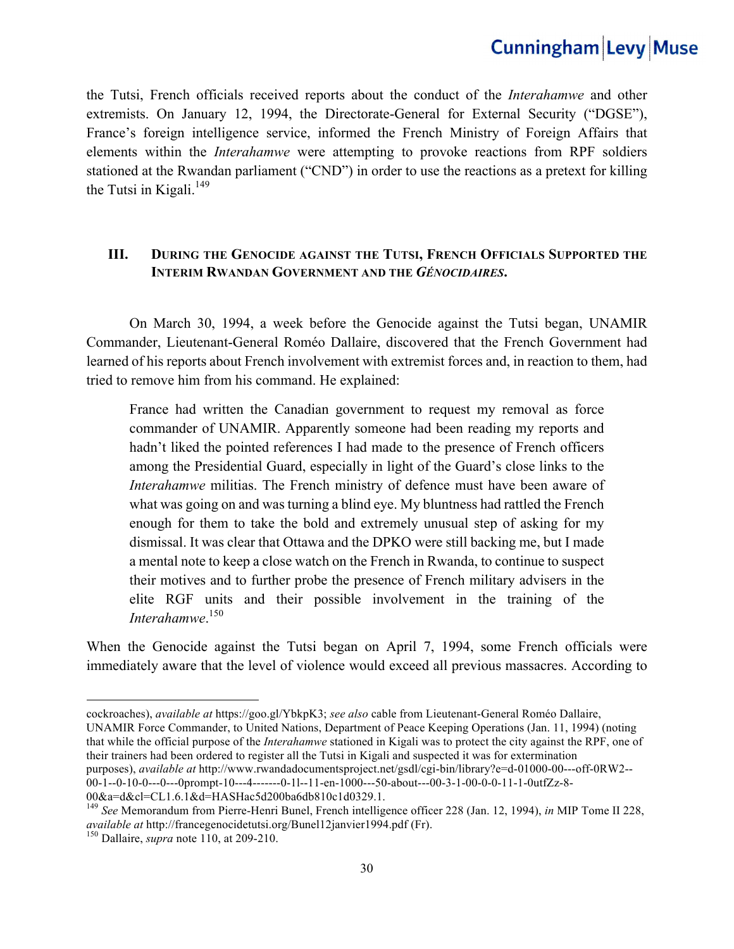the Tutsi, French officials received reports about the conduct of the *Interahamwe* and other extremists. On January 12, 1994, the Directorate-General for External Security ("DGSE"), France's foreign intelligence service, informed the French Ministry of Foreign Affairs that elements within the *Interahamwe* were attempting to provoke reactions from RPF soldiers stationed at the Rwandan parliament ("CND") in order to use the reactions as a pretext for killing the Tutsi in Kigali. $^{149}$ 

#### **III. DURING THE GENOCIDE AGAINST THE TUTSI, FRENCH OFFICIALS SUPPORTED THE INTERIM RWANDAN GOVERNMENT AND THE** *GÉNOCIDAIRES***.**

On March 30, 1994, a week before the Genocide against the Tutsi began, UNAMIR Commander, Lieutenant-General Roméo Dallaire, discovered that the French Government had learned of his reports about French involvement with extremist forces and, in reaction to them, had tried to remove him from his command. He explained:

France had written the Canadian government to request my removal as force commander of UNAMIR. Apparently someone had been reading my reports and hadn't liked the pointed references I had made to the presence of French officers among the Presidential Guard, especially in light of the Guard's close links to the *Interahamwe* militias. The French ministry of defence must have been aware of what was going on and was turning a blind eye. My bluntness had rattled the French enough for them to take the bold and extremely unusual step of asking for my dismissal. It was clear that Ottawa and the DPKO were still backing me, but I made a mental note to keep a close watch on the French in Rwanda, to continue to suspect their motives and to further probe the presence of French military advisers in the elite RGF units and their possible involvement in the training of the *Interahamwe*. 150

When the Genocide against the Tutsi began on April 7, 1994, some French officials were immediately aware that the level of violence would exceed all previous massacres. According to

UNAMIR Force Commander, to United Nations, Department of Peace Keeping Operations (Jan. 11, 1994) (noting that while the official purpose of the *Interahamwe* stationed in Kigali was to protect the city against the RPF, one of their trainers had been ordered to register all the Tutsi in Kigali and suspected it was for extermination

purposes), *available at* http://www.rwandadocumentsproject.net/gsdl/cgi-bin/library?e=d-01000-00---off-0RW2-- 00-1--0-10-0---0---0prompt-10---4-------0-1l--11-en-1000---50-about---00-3-1-00-0-0-11-1-0utfZz-8-

00&a=d&cl=CL1.6.1&d=HASHac5d200ba6db810c1d0329.1.

cockroaches), *available at* https://goo.gl/YbkpK3; *see also* cable from Lieutenant-General Roméo Dallaire,

<sup>149</sup> *See* Memorandum from Pierre-Henri Bunel, French intelligence officer 228 (Jan. 12, 1994), *in* MIP Tome II 228, *available at* http://francegenocidetutsi.org/Bunel12janvier1994.pdf (Fr). 150 Dallaire, *supra* note 110, at 209-210.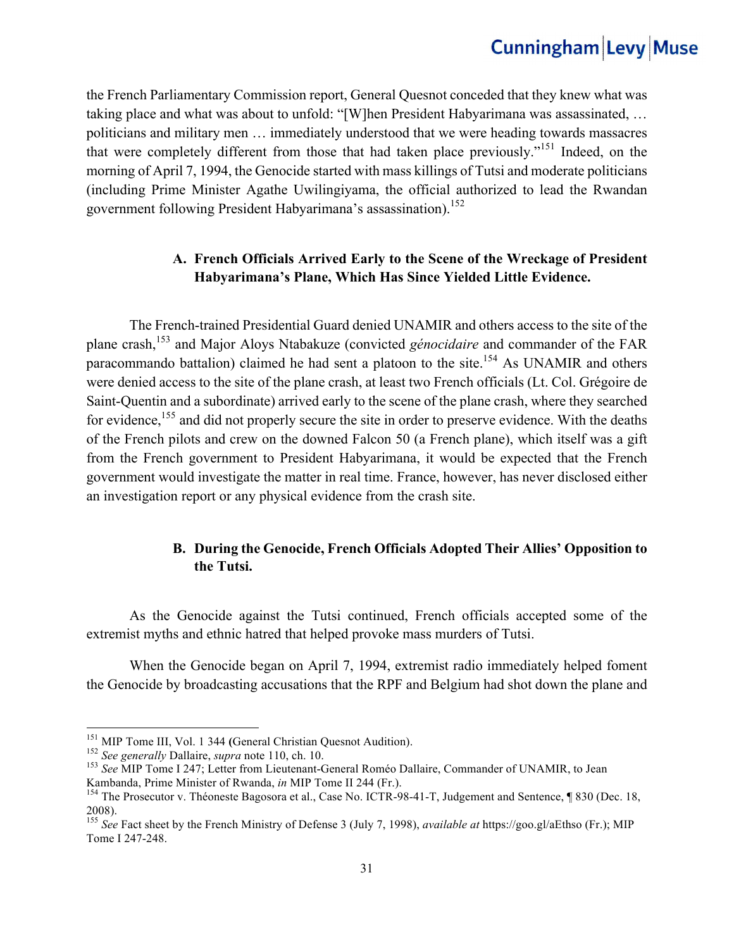the French Parliamentary Commission report, General Quesnot conceded that they knew what was taking place and what was about to unfold: "[W]hen President Habyarimana was assassinated, … politicians and military men … immediately understood that we were heading towards massacres that were completely different from those that had taken place previously."151 Indeed, on the morning of April 7, 1994, the Genocide started with mass killings of Tutsi and moderate politicians (including Prime Minister Agathe Uwilingiyama, the official authorized to lead the Rwandan government following President Habyarimana's assassination).<sup>152</sup>

#### **A. French Officials Arrived Early to the Scene of the Wreckage of President Habyarimana's Plane, Which Has Since Yielded Little Evidence.**

The French-trained Presidential Guard denied UNAMIR and others access to the site of the plane crash,153 and Major Aloys Ntabakuze (convicted *génocidaire* and commander of the FAR paracommando battalion) claimed he had sent a platoon to the site.<sup>154</sup> As UNAMIR and others were denied access to the site of the plane crash, at least two French officials (Lt. Col. Grégoire de Saint-Quentin and a subordinate) arrived early to the scene of the plane crash, where they searched for evidence,<sup>155</sup> and did not properly secure the site in order to preserve evidence. With the deaths of the French pilots and crew on the downed Falcon 50 (a French plane), which itself was a gift from the French government to President Habyarimana, it would be expected that the French government would investigate the matter in real time. France, however, has never disclosed either an investigation report or any physical evidence from the crash site.

### **B. During the Genocide, French Officials Adopted Their Allies' Opposition to the Tutsi.**

 As the Genocide against the Tutsi continued, French officials accepted some of the extremist myths and ethnic hatred that helped provoke mass murders of Tutsi.

When the Genocide began on April 7, 1994, extremist radio immediately helped foment the Genocide by broadcasting accusations that the RPF and Belgium had shot down the plane and

<sup>&</sup>lt;sup>151</sup> MIP Tome III, Vol. 1 344 (General Christian Quesnot Audition).

<sup>&</sup>lt;sup>152</sup> See generally Dallaire, supra note 110, ch. 10.<br><sup>153</sup> See MIP Tome I 247; Letter from Lieutenant-General Roméo Dallaire, Commander of UNAMIR, to Jean Kambanda, Prime Minister of Rwanda, *in* MIP Tome II 244 (Fr.).<br><sup>154</sup> The Prosecutor v. Théoneste Bagosora et al., Case No. ICTR-98-41-T, Judgement and Sentence, ¶ 830 (Dec. 18,

<sup>2008).</sup>

<sup>155</sup> *See* Fact sheet by the French Ministry of Defense 3 (July 7, 1998), *available at* https://goo.gl/aEthso (Fr.); MIP Tome I 247-248.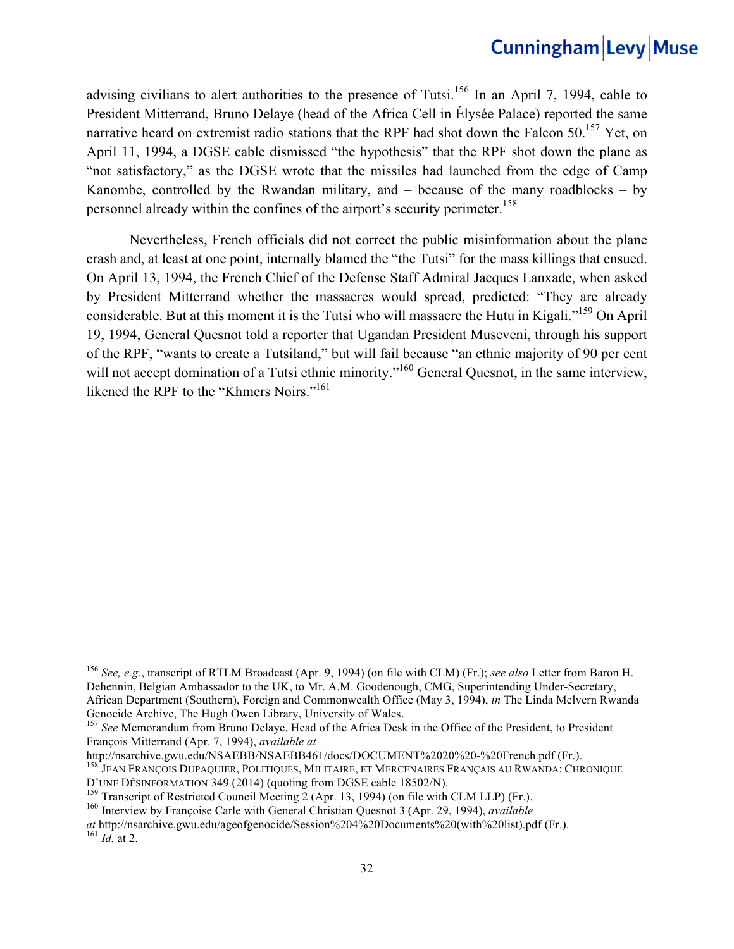advising civilians to alert authorities to the presence of Tutsi.<sup>156</sup> In an April 7, 1994, cable to President Mitterrand, Bruno Delaye (head of the Africa Cell in Élysée Palace) reported the same narrative heard on extremist radio stations that the RPF had shot down the Falcon 50.<sup>157</sup> Yet, on April 11, 1994, a DGSE cable dismissed "the hypothesis" that the RPF shot down the plane as "not satisfactory," as the DGSE wrote that the missiles had launched from the edge of Camp Kanombe, controlled by the Rwandan military, and  $-$  because of the many roadblocks  $-$  by personnel already within the confines of the airport's security perimeter.<sup>158</sup>

Nevertheless, French officials did not correct the public misinformation about the plane crash and, at least at one point, internally blamed the "the Tutsi" for the mass killings that ensued. On April 13, 1994, the French Chief of the Defense Staff Admiral Jacques Lanxade, when asked by President Mitterrand whether the massacres would spread, predicted: "They are already considerable. But at this moment it is the Tutsi who will massacre the Hutu in Kigali."159 On April 19, 1994, General Quesnot told a reporter that Ugandan President Museveni, through his support of the RPF, "wants to create a Tutsiland," but will fail because "an ethnic majority of 90 per cent will not accept domination of a Tutsi ethnic minority."<sup>160</sup> General Ouesnot, in the same interview, likened the RPF to the "Khmers Noirs."<sup>161</sup>

<u> 1989 - Johann Barn, mars eta bainar eta industrial eta baina eta baina eta baina eta baina eta baina eta bain</u>

<sup>156</sup> *See, e.g.*, transcript of RTLM Broadcast (Apr. 9, 1994) (on file with CLM) (Fr.); *see also* Letter from Baron H. Dehennin, Belgian Ambassador to the UK, to Mr. A.M. Goodenough, CMG, Superintending Under-Secretary, African Department (Southern), Foreign and Commonwealth Office (May 3, 1994), *in* The Linda Melvern Rwanda

<sup>&</sup>lt;sup>157</sup> See Memorandum from Bruno Delaye, Head of the Africa Desk in the Office of the President, to President François Mitterrand (Apr. 7, 1994), *available at* 

<sup>&</sup>lt;sup>158</sup> JEAN FRANÇOIS DUPAQUIER, POLITIQUES, MILITAIRE, ET MERCENAIRES FRANÇAIS AU RWANDA: CHRONIQUE

D'UNE DÉSINFORMATION 349 (2014) (quoting from DGSE cable 18502/N).<br><sup>159</sup> Transcript of Restricted Council Meeting 2 (Apr. 13, 1994) (on file with CLM LLP) (Fr.).<br><sup>160</sup> Interview by Françoise Carle with General Christian Qu

*at* http://nsarchive.gwu.edu/ageofgenocide/Session%204%20Documents%20(with%20list).pdf (Fr.). <sup>161</sup> *Id.* at 2.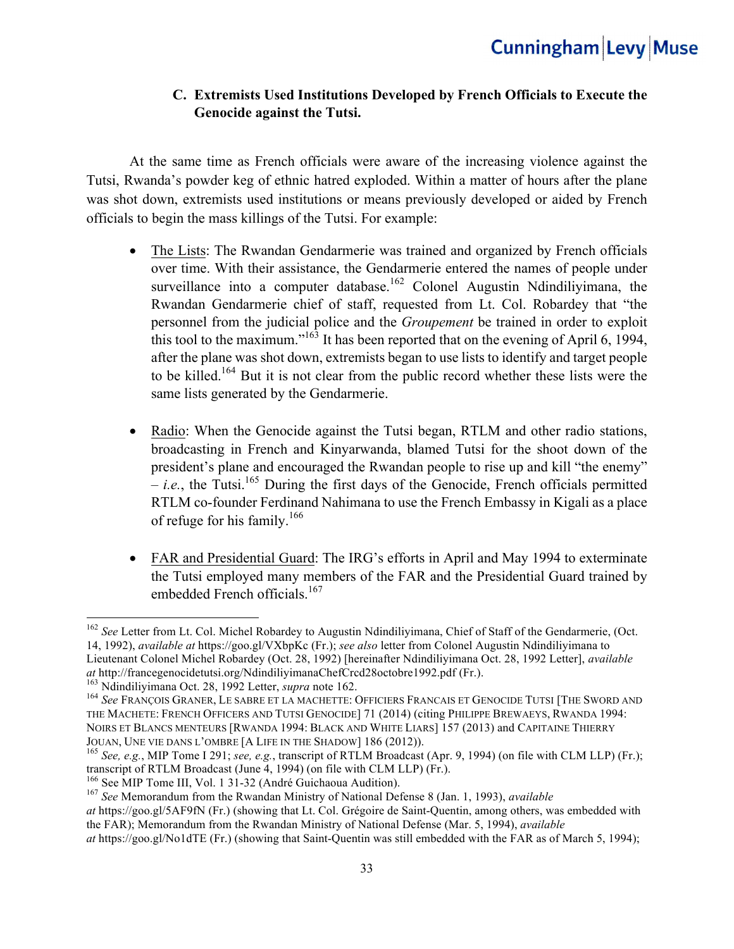### **C. Extremists Used Institutions Developed by French Officials to Execute the Genocide against the Tutsi.**

At the same time as French officials were aware of the increasing violence against the Tutsi, Rwanda's powder keg of ethnic hatred exploded. Within a matter of hours after the plane was shot down, extremists used institutions or means previously developed or aided by French officials to begin the mass killings of the Tutsi. For example:

- The Lists: The Rwandan Gendarmerie was trained and organized by French officials over time. With their assistance, the Gendarmerie entered the names of people under surveillance into a computer database.<sup>162</sup> Colonel Augustin Ndindiliyimana, the Rwandan Gendarmerie chief of staff, requested from Lt. Col. Robardey that "the personnel from the judicial police and the *Groupement* be trained in order to exploit this tool to the maximum."<sup>163</sup> It has been reported that on the evening of April 6, 1994, after the plane was shot down, extremists began to use lists to identify and target people to be killed.<sup>164</sup> But it is not clear from the public record whether these lists were the same lists generated by the Gendarmerie.
- Radio: When the Genocide against the Tutsi began, RTLM and other radio stations, broadcasting in French and Kinyarwanda, blamed Tutsi for the shoot down of the president's plane and encouraged the Rwandan people to rise up and kill "the enemy"  $- i.e.,$  the Tutsi.<sup>165</sup> During the first days of the Genocide, French officials permitted RTLM co-founder Ferdinand Nahimana to use the French Embassy in Kigali as a place of refuge for his family.<sup>166</sup>
- FAR and Presidential Guard: The IRG's efforts in April and May 1994 to exterminate the Tutsi employed many members of the FAR and the Presidential Guard trained by embedded French officials.<sup>167</sup>

<sup>&</sup>lt;sup>162</sup> *See* Letter from Lt. Col. Michel Robardey to Augustin Ndindiliyimana, Chief of Staff of the Gendarmerie, (Oct. 14, 1992), *available at* https://goo.gl/VXbpKc (Fr.); *see also* letter from Colonel Augustin Ndindiliyimana to Lieutenant Colonel Michel Robardey (Oct. 28, 1992) [hereinafter Ndindiliyimana Oct. 28, 1992 Letter], *available* 

<sup>&</sup>lt;sup>163</sup> Ndindiliyimana Oct. 28, 1992 Letter, *supra* note 162.<br><sup>164</sup> See FRANÇOIS GRANER, LE SABRE ET LA MACHETTE: OFFICIERS FRANCAIS ET GENOCIDE TUTSI [THE SWORD AND THE MACHETE: FRENCH OFFICERS AND TUTSI GENOCIDE] 71 (2014) (citing PHILIPPE BREWAEYS, RWANDA 1994: NOIRS ET BLANCS MENTEURS [RWANDA 1994: BLACK AND WHITE LIARS] 157 (2013) and CAPITAINE THIERRY

JOUAN, UNE VIE DANS L'OMBRE [A LIFE IN THE SHADOW] 186 (2012)).<br><sup>165</sup> *See, e.g.*, MIP Tome I 291; *see, e.g.*, transcript of RTLM Broadcast (Apr. 9, 1994) (on file with CLM LLP) (Fr.);<br>transcript of RTLM Broadcast (June 4

<sup>&</sup>lt;sup>166</sup> See MIP Tome III, Vol. 1 31-32 (André Guichaoua Audition).<br><sup>167</sup> See Memorandum from the Rwandan Ministry of National Defense 8 (Jan. 1, 1993), *available* 

*at* https://goo.gl/5AF9fN (Fr.) (showing that Lt. Col. Grégoire de Saint-Quentin, among others, was embedded with the FAR); Memorandum from the Rwandan Ministry of National Defense (Mar. 5, 1994), *available*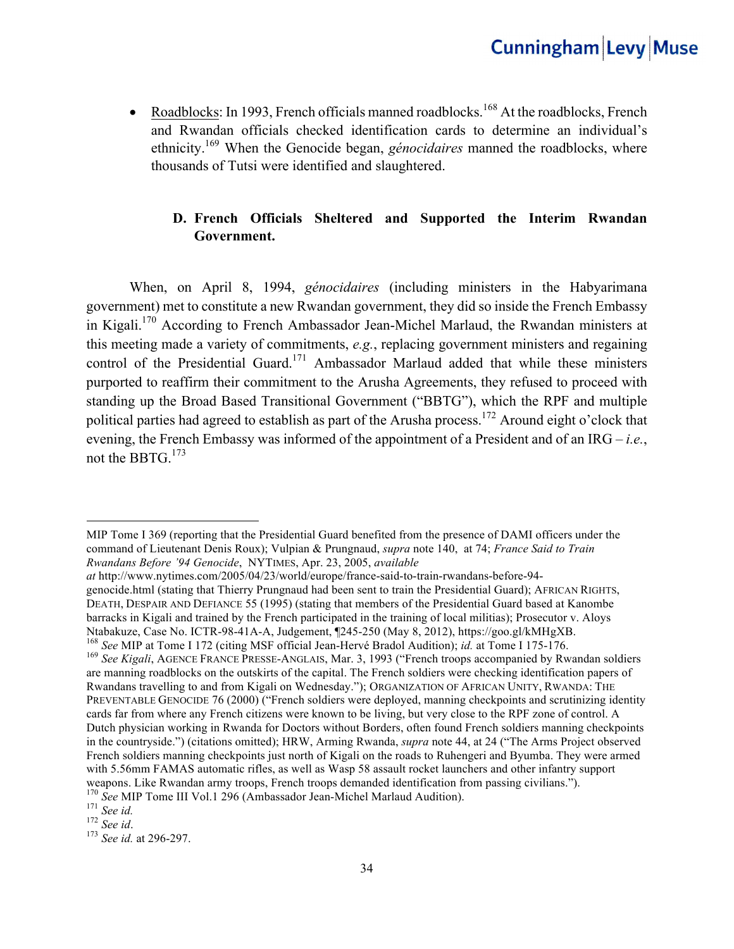• Roadblocks: In 1993, French officials manned roadblocks.<sup>168</sup> At the roadblocks, French and Rwandan officials checked identification cards to determine an individual's ethnicity.169 When the Genocide began, *génocidaires* manned the roadblocks, where thousands of Tutsi were identified and slaughtered.

### **D. French Officials Sheltered and Supported the Interim Rwandan Government.**

When, on April 8, 1994, *génocidaires* (including ministers in the Habyarimana government) met to constitute a new Rwandan government, they did so inside the French Embassy in Kigali.170 According to French Ambassador Jean-Michel Marlaud, the Rwandan ministers at this meeting made a variety of commitments, *e.g.*, replacing government ministers and regaining control of the Presidential Guard.<sup>171</sup> Ambassador Marlaud added that while these ministers purported to reaffirm their commitment to the Arusha Agreements, they refused to proceed with standing up the Broad Based Transitional Government ("BBTG"), which the RPF and multiple political parties had agreed to establish as part of the Arusha process.<sup>172</sup> Around eight o'clock that evening, the French Embassy was informed of the appointment of a President and of an IRG – *i.e.*, not the BBTG.<sup>173</sup>

MIP Tome I 369 (reporting that the Presidential Guard benefited from the presence of DAMI officers under the command of Lieutenant Denis Roux); Vulpian & Prungnaud, *supra* note 140, at 74; *France Said to Train Rwandans Before '94 Genocide*, NYTIMES, Apr. 23, 2005, *available* 

*at* http://www.nytimes.com/2005/04/23/world/europe/france-said-to-train-rwandans-before-94 genocide.html (stating that Thierry Prungnaud had been sent to train the Presidential Guard); AFRICAN RIGHTS, DEATH, DESPAIR AND DEFIANCE 55 (1995) (stating that members of the Presidential Guard based at Kanombe barracks in Kigali and trained by the French participated in the training of local militias); Prosecutor v. Aloys Ntabakuze, Case No. ICTR-98-41A-A, Judgement, ¶245-250 (May 8, 2012), https://goo.gl/kMHgXB.<br><sup>168</sup> See MIP at Tome I 172 (citing MSF official Jean-Hervé Bradol Audition); *id.* at Tome I 175-176.<br><sup>169</sup> See Kigali, AGENCE F

are manning roadblocks on the outskirts of the capital. The French soldiers were checking identification papers of Rwandans travelling to and from Kigali on Wednesday."); ORGANIZATION OF AFRICAN UNITY, RWANDA: THE PREVENTABLE GENOCIDE 76 (2000) ("French soldiers were deployed, manning checkpoints and scrutinizing identity cards far from where any French citizens were known to be living, but very close to the RPF zone of control. A Dutch physician working in Rwanda for Doctors without Borders, often found French soldiers manning checkpoints in the countryside.") (citations omitted); HRW, Arming Rwanda, *supra* note 44, at 24 ("The Arms Project observed French soldiers manning checkpoints just north of Kigali on the roads to Ruhengeri and Byumba. They were armed with 5.56mm FAMAS automatic rifles, as well as Wasp 58 assault rocket launchers and other infantry support weapons. Like Rwandan army troops, French troops demanded identification from passing civilians.").

<sup>170</sup> *See* MIP Tome III Vol.1 296 (Ambassador Jean-Michel Marlaud Audition). <sup>171</sup> *See id.* <sup>172</sup> *See id*. 173 *See id.* at 296-297.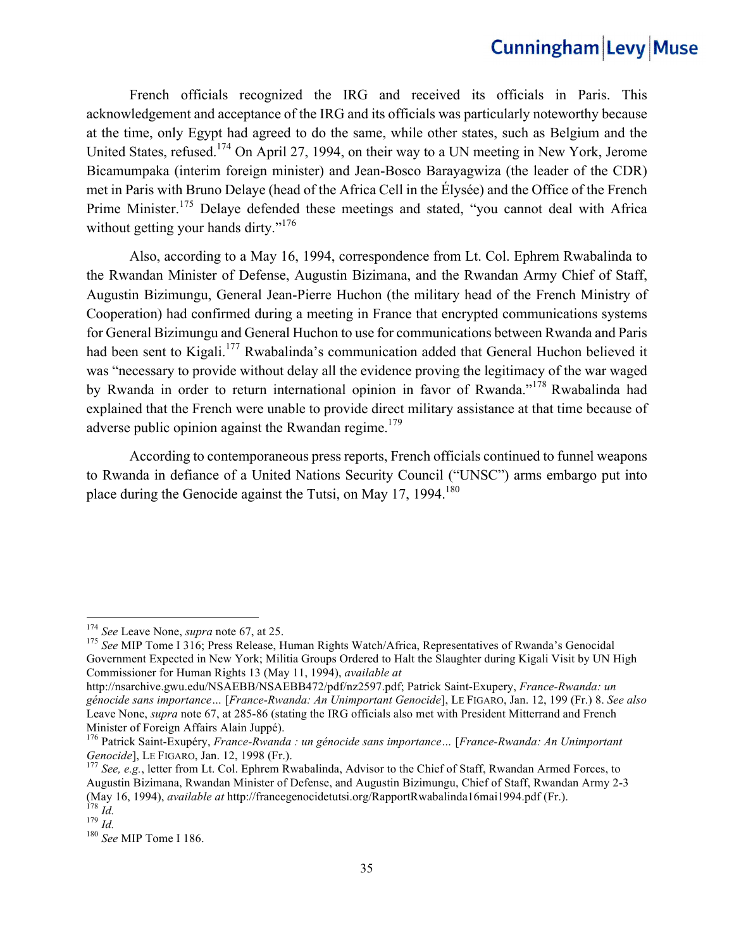French officials recognized the IRG and received its officials in Paris. This acknowledgement and acceptance of the IRG and its officials was particularly noteworthy because at the time, only Egypt had agreed to do the same, while other states, such as Belgium and the United States, refused.174 On April 27, 1994, on their way to a UN meeting in New York, Jerome Bicamumpaka (interim foreign minister) and Jean-Bosco Barayagwiza (the leader of the CDR) met in Paris with Bruno Delaye (head of the Africa Cell in the Élysée) and the Office of the French Prime Minister.<sup>175</sup> Delaye defended these meetings and stated, "you cannot deal with Africa without getting your hands dirty."<sup>176</sup>

Also, according to a May 16, 1994, correspondence from Lt. Col. Ephrem Rwabalinda to the Rwandan Minister of Defense, Augustin Bizimana, and the Rwandan Army Chief of Staff, Augustin Bizimungu, General Jean-Pierre Huchon (the military head of the French Ministry of Cooperation) had confirmed during a meeting in France that encrypted communications systems for General Bizimungu and General Huchon to use for communications between Rwanda and Paris had been sent to Kigali.<sup>177</sup> Rwabalinda's communication added that General Huchon believed it was "necessary to provide without delay all the evidence proving the legitimacy of the war waged by Rwanda in order to return international opinion in favor of Rwanda."178 Rwabalinda had explained that the French were unable to provide direct military assistance at that time because of adverse public opinion against the Rwandan regime.<sup>179</sup>

According to contemporaneous press reports, French officials continued to funnel weapons to Rwanda in defiance of a United Nations Security Council ("UNSC") arms embargo put into place during the Genocide against the Tutsi, on May 17,  $1994$ <sup>180</sup>

<sup>&</sup>lt;sup>174</sup> *See* Leave None, *supra* note 67, at 25.<br><sup>175</sup> *See* MIP Tome I 316; Press Release, Human Rights Watch/Africa, Representatives of Rwanda's Genocidal Government Expected in New York; Militia Groups Ordered to Halt the Slaughter during Kigali Visit by UN High Commissioner for Human Rights 13 (May 11, 1994), *available at*

http://nsarchive.gwu.edu/NSAEBB/NSAEBB472/pdf/nz2597.pdf; Patrick Saint-Exupery, *France-Rwanda: un génocide sans importance…* [*France-Rwanda: An Unimportant Genocide*], LE FIGARO, Jan. 12, 199 (Fr.) 8. *See also*  Leave None, *supra* note 67, at 285-86 (stating the IRG officials also met with President Mitterrand and French Minister of Foreign Affairs Alain Juppé).

<sup>176</sup> Patrick Saint-Exupéry, *France-Rwanda : un génocide sans importance…* [*France-Rwanda: An Unimportant Genocide*], LE FIGARO, Jan. 12, 1998 (Fr.).<br><sup>177</sup> *See, e.g.*, letter from Lt. Col. Ephrem Rwabalinda, Advisor to the Chief of Staff, Rwandan Armed Forces, to

Augustin Bizimana, Rwandan Minister of Defense, and Augustin Bizimungu, Chief of Staff, Rwandan Army 2-3 (May 16, 1994), *available at* http://francegenocidetutsi.org/RapportRwabalinda16mai1994.pdf (Fr.).<br>
<sup>178</sup> *Id.*<br>
<sup>180</sup> *See* MIP Tome I 186.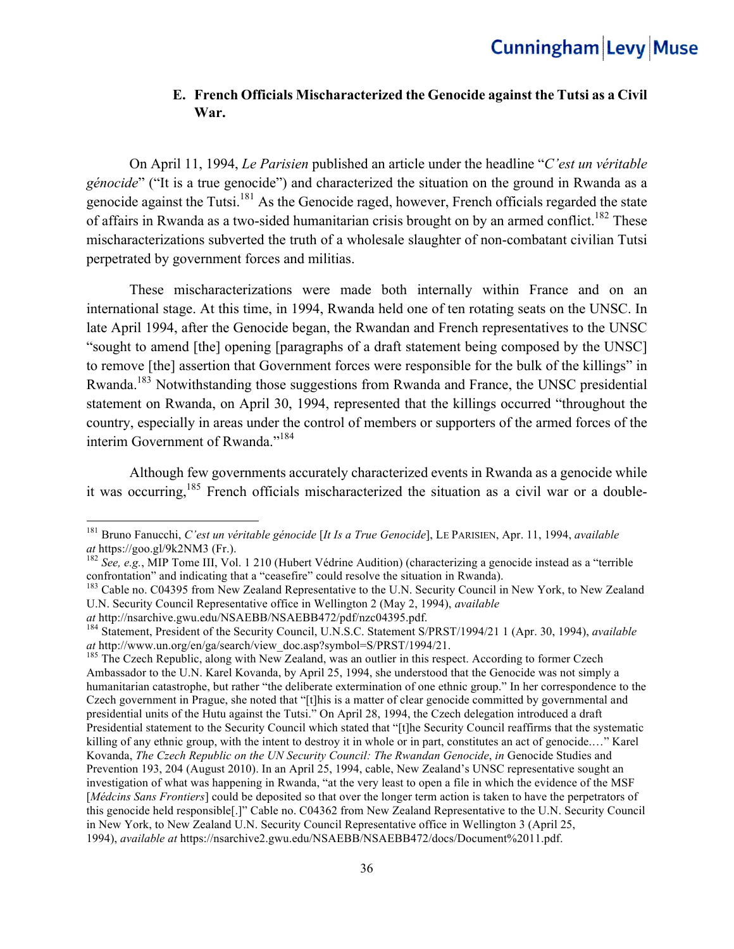#### **E. French Officials Mischaracterized the Genocide against the Tutsi as a Civil War.**

On April 11, 1994, *Le Parisien* published an article under the headline "*C'est un véritable génocide*" ("It is a true genocide") and characterized the situation on the ground in Rwanda as a genocide against the Tutsi.<sup>181</sup> As the Genocide raged, however, French officials regarded the state of affairs in Rwanda as a two-sided humanitarian crisis brought on by an armed conflict.<sup>182</sup> These mischaracterizations subverted the truth of a wholesale slaughter of non-combatant civilian Tutsi perpetrated by government forces and militias.

These mischaracterizations were made both internally within France and on an international stage. At this time, in 1994, Rwanda held one of ten rotating seats on the UNSC. In late April 1994, after the Genocide began, the Rwandan and French representatives to the UNSC "sought to amend [the] opening [paragraphs of a draft statement being composed by the UNSC] to remove [the] assertion that Government forces were responsible for the bulk of the killings" in Rwanda.<sup>183</sup> Notwithstanding those suggestions from Rwanda and France, the UNSC presidential statement on Rwanda, on April 30, 1994, represented that the killings occurred "throughout the country, especially in areas under the control of members or supporters of the armed forces of the interim Government of Rwanda."184

Although few governments accurately characterized events in Rwanda as a genocide while it was occurring,185 French officials mischaracterized the situation as a civil war or a double-

<sup>181</sup> Bruno Fanucchi, *C'est un véritable génocide* [*It Is a True Genocide*], LE PARISIEN, Apr. 11, 1994, *available at* https://goo.gl/9k2NM3 (Fr.). 182 *See, e.g.*, MIP Tome III, Vol. 1 210 (Hubert Védrine Audition) (characterizing a genocide instead as a "terrible

confrontation" and indicating that a "ceasefire" could resolve the situation in Rwanda).

<sup>&</sup>lt;sup>183</sup> Cable no. C04395 from New Zealand Representative to the U.N. Security Council in New York, to New Zealand U.N. Security Council Representative office in Wellington 2 (May 2, 1994), *available* 

*at* http://nsarchive.gwu.edu/NSAEBB/NSAEBB472/pdf/nzc04395.pdf.<br><sup>184</sup> Statement, President of the Security Council, U.N.S.C. Statement S/PRST/1994/21 1 (Apr. 30, 1994), *available at* http://www.un.org/en/ga/search/view

<sup>&</sup>lt;sup>185</sup> The Czech Republic, along with New Zealand, was an outlier in this respect. According to former Czech Ambassador to the U.N. Karel Kovanda, by April 25, 1994, she understood that the Genocide was not simply a humanitarian catastrophe, but rather "the deliberate extermination of one ethnic group." In her correspondence to the Czech government in Prague, she noted that "[t]his is a matter of clear genocide committed by governmental and presidential units of the Hutu against the Tutsi." On April 28, 1994, the Czech delegation introduced a draft Presidential statement to the Security Council which stated that "[t]he Security Council reaffirms that the systematic killing of any ethnic group, with the intent to destroy it in whole or in part, constitutes an act of genocide.…" Karel Kovanda, *The Czech Republic on the UN Security Council: The Rwandan Genocide*, *in* Genocide Studies and Prevention 193, 204 (August 2010). In an April 25, 1994, cable, New Zealand's UNSC representative sought an investigation of what was happening in Rwanda, "at the very least to open a file in which the evidence of the MSF [*Médcins Sans Frontiers*] could be deposited so that over the longer term action is taken to have the perpetrators of this genocide held responsible[.]" Cable no. C04362 from New Zealand Representative to the U.N. Security Council in New York, to New Zealand U.N. Security Council Representative office in Wellington 3 (April 25, 1994), *available at* https://nsarchive2.gwu.edu/NSAEBB/NSAEBB472/docs/Document%2011.pdf.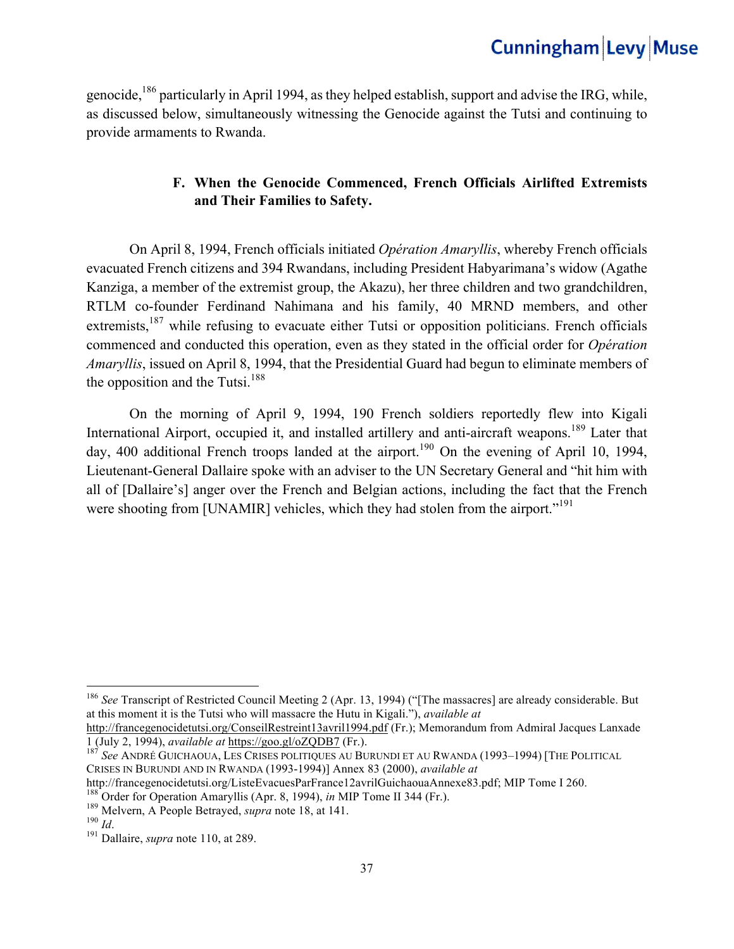genocide,<sup>186</sup> particularly in April 1994, as they helped establish, support and advise the IRG, while, as discussed below, simultaneously witnessing the Genocide against the Tutsi and continuing to provide armaments to Rwanda.

### **F. When the Genocide Commenced, French Officials Airlifted Extremists and Their Families to Safety.**

On April 8, 1994, French officials initiated *Opération Amaryllis*, whereby French officials evacuated French citizens and 394 Rwandans, including President Habyarimana's widow (Agathe Kanziga, a member of the extremist group, the Akazu), her three children and two grandchildren, RTLM co-founder Ferdinand Nahimana and his family, 40 MRND members, and other extremists,<sup>187</sup> while refusing to evacuate either Tutsi or opposition politicians. French officials commenced and conducted this operation, even as they stated in the official order for *Opération Amaryllis*, issued on April 8, 1994, that the Presidential Guard had begun to eliminate members of the opposition and the Tutsi. $188$ 

On the morning of April 9, 1994, 190 French soldiers reportedly flew into Kigali International Airport, occupied it, and installed artillery and anti-aircraft weapons.<sup>189</sup> Later that day, 400 additional French troops landed at the airport.<sup>190</sup> On the evening of April 10, 1994, Lieutenant-General Dallaire spoke with an adviser to the UN Secretary General and "hit him with all of [Dallaire's] anger over the French and Belgian actions, including the fact that the French were shooting from [UNAMIR] vehicles, which they had stolen from the airport."<sup>191</sup>

<sup>186</sup> *See* Transcript of Restricted Council Meeting 2 (Apr. 13, 1994) ("[The massacres] are already considerable. But at this moment it is the Tutsi who will massacre the Hutu in Kigali."), *available at* 

http://francegenocidetutsi.org/ConseilRestreint13avril1994.pdf (Fr.); Memorandum from Admiral Jacques Lanxade 1 (July 2, 1994), *available at* https://goo.gl/oZQDB7 (Fr.). <sup>187</sup> *See* ANDRÉ GUICHAOUA, LES CRISES POLITIQUES AU BURUNDI ET AU RWANDA (1993–1994) [THE POLITICAL

CRISES IN BURUNDI AND IN RWANDA (1993-1994)] Annex 83 (2000), *available at* 

http://francegenocidetutsi.org/ListeEvacuesParFrance12avrilGuichaouaAnnexe83.pdf; MIP Tome I 260.<br><sup>188</sup> Order for Operation Amaryllis (Apr. 8, 1994), *in* MIP Tome II 344 (Fr.).<br><sup>189</sup> Melvern, A People Betrayed, *supra* no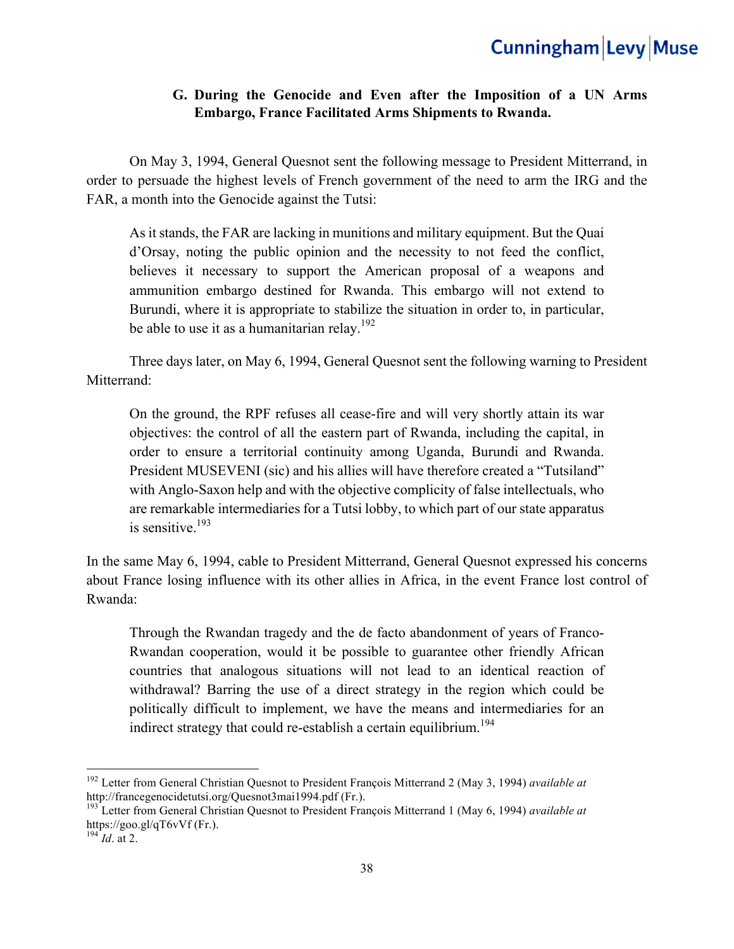### **G. During the Genocide and Even after the Imposition of a UN Arms Embargo, France Facilitated Arms Shipments to Rwanda.**

On May 3, 1994, General Quesnot sent the following message to President Mitterrand, in order to persuade the highest levels of French government of the need to arm the IRG and the FAR, a month into the Genocide against the Tutsi:

As it stands, the FAR are lacking in munitions and military equipment. But the Quai d'Orsay, noting the public opinion and the necessity to not feed the conflict, believes it necessary to support the American proposal of a weapons and ammunition embargo destined for Rwanda. This embargo will not extend to Burundi, where it is appropriate to stabilize the situation in order to, in particular, be able to use it as a humanitarian relay.<sup>192</sup>

Three days later, on May 6, 1994, General Quesnot sent the following warning to President Mitterrand:

On the ground, the RPF refuses all cease-fire and will very shortly attain its war objectives: the control of all the eastern part of Rwanda, including the capital, in order to ensure a territorial continuity among Uganda, Burundi and Rwanda. President MUSEVENI (sic) and his allies will have therefore created a "Tutsiland" with Anglo-Saxon help and with the objective complicity of false intellectuals, who are remarkable intermediaries for a Tutsi lobby, to which part of our state apparatus is sensitive.<sup>193</sup>

In the same May 6, 1994, cable to President Mitterrand, General Quesnot expressed his concerns about France losing influence with its other allies in Africa, in the event France lost control of Rwanda:

Through the Rwandan tragedy and the de facto abandonment of years of Franco-Rwandan cooperation, would it be possible to guarantee other friendly African countries that analogous situations will not lead to an identical reaction of withdrawal? Barring the use of a direct strategy in the region which could be politically difficult to implement, we have the means and intermediaries for an indirect strategy that could re-establish a certain equilibrium.<sup>194</sup>

 

<sup>192</sup> Letter from General Christian Quesnot to President François Mitterrand 2 (May 3, 1994) *available at* http://francegenocidetutsi.org/Quesnot3mai1994.pdf (Fr.).

<sup>193</sup> Letter from General Christian Quesnot to President François Mitterrand 1 (May 6, 1994) *available at* https://goo.gl/qT6vVf (Fr.).

 $^{194}$ *Id.* at 2.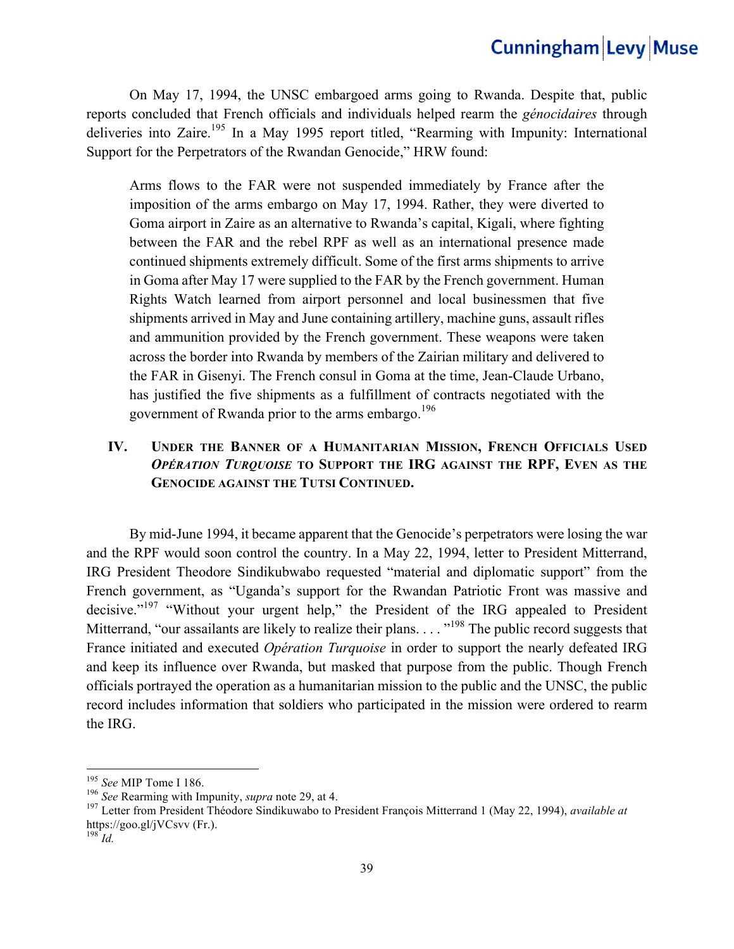On May 17, 1994, the UNSC embargoed arms going to Rwanda. Despite that, public reports concluded that French officials and individuals helped rearm the *génocidaires* through deliveries into Zaire.<sup>195</sup> In a May 1995 report titled, "Rearming with Impunity: International Support for the Perpetrators of the Rwandan Genocide," HRW found:

Arms flows to the FAR were not suspended immediately by France after the imposition of the arms embargo on May 17, 1994. Rather, they were diverted to Goma airport in Zaire as an alternative to Rwanda's capital, Kigali, where fighting between the FAR and the rebel RPF as well as an international presence made continued shipments extremely difficult. Some of the first arms shipments to arrive in Goma after May 17 were supplied to the FAR by the French government. Human Rights Watch learned from airport personnel and local businessmen that five shipments arrived in May and June containing artillery, machine guns, assault rifles and ammunition provided by the French government. These weapons were taken across the border into Rwanda by members of the Zairian military and delivered to the FAR in Gisenyi. The French consul in Goma at the time, Jean-Claude Urbano, has justified the five shipments as a fulfillment of contracts negotiated with the government of Rwanda prior to the arms embargo.<sup>196</sup>

#### **IV. UNDER THE BANNER OF A HUMANITARIAN MISSION, FRENCH OFFICIALS USED**  *OPÉRATION TURQUOISE* **TO SUPPORT THE IRG AGAINST THE RPF, EVEN AS THE GENOCIDE AGAINST THE TUTSI CONTINUED.**

By mid-June 1994, it became apparent that the Genocide's perpetrators were losing the war and the RPF would soon control the country. In a May 22, 1994, letter to President Mitterrand, IRG President Theodore Sindikubwabo requested "material and diplomatic support" from the French government, as "Uganda's support for the Rwandan Patriotic Front was massive and decisive."<sup>197</sup> "Without your urgent help," the President of the IRG appealed to President Mitterrand, "our assailants are likely to realize their plans.  $\ldots$ <sup>198</sup> The public record suggests that France initiated and executed *Opération Turquoise* in order to support the nearly defeated IRG and keep its influence over Rwanda, but masked that purpose from the public. Though French officials portrayed the operation as a humanitarian mission to the public and the UNSC, the public record includes information that soldiers who participated in the mission were ordered to rearm the IRG.

 

<sup>&</sup>lt;sup>195</sup> *See* MIP Tome I 186.<br><sup>196</sup> *See* Rearming with Impunity, *supra* note 29, at 4.<br><sup>197</sup> Letter from President Théodore Sindikuwabo to President François Mitterrand 1 (May 22, 1994), *available at* https://goo.gl/jVCsvv (Fr.). 198 *Id.*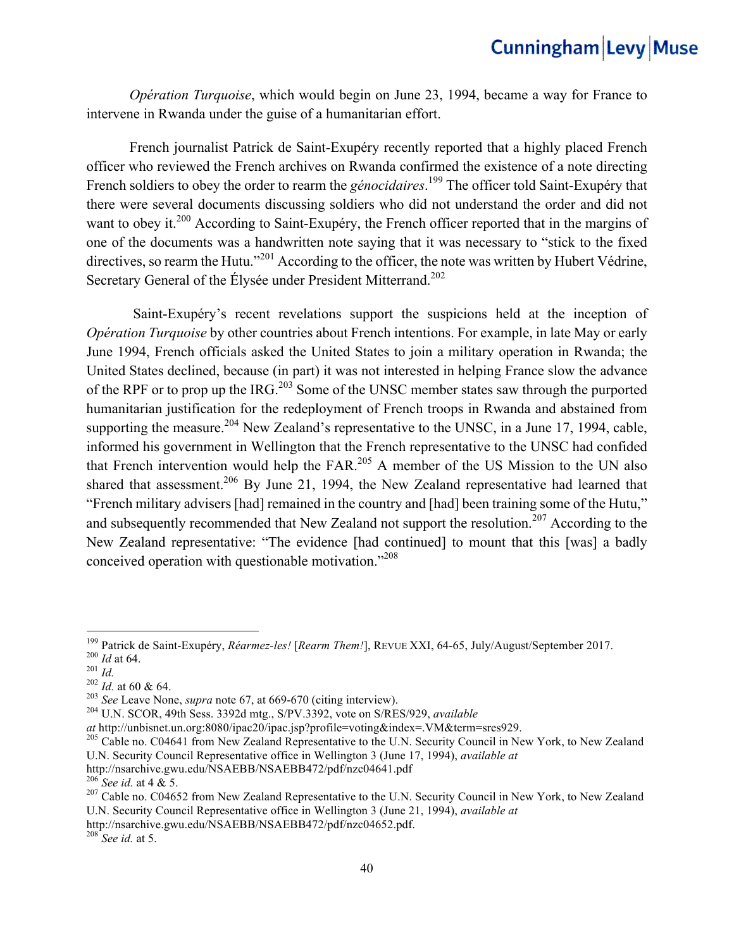*Opération Turquoise*, which would begin on June 23, 1994, became a way for France to intervene in Rwanda under the guise of a humanitarian effort.

 French journalist Patrick de Saint-Exupéry recently reported that a highly placed French officer who reviewed the French archives on Rwanda confirmed the existence of a note directing French soldiers to obey the order to rearm the *génocidaires*.<sup>199</sup> The officer told Saint-Exupéry that there were several documents discussing soldiers who did not understand the order and did not want to obey it.<sup>200</sup> According to Saint-Exupéry, the French officer reported that in the margins of one of the documents was a handwritten note saying that it was necessary to "stick to the fixed directives, so rearm the Hutu."<sup>201</sup> According to the officer, the note was written by Hubert Védrine, Secretary General of the Élysée under President Mitterrand.<sup>202</sup>

 Saint-Exupéry's recent revelations support the suspicions held at the inception of *Opération Turquoise* by other countries about French intentions. For example, in late May or early June 1994, French officials asked the United States to join a military operation in Rwanda; the United States declined, because (in part) it was not interested in helping France slow the advance of the RPF or to prop up the IRG.<sup>203</sup> Some of the UNSC member states saw through the purported humanitarian justification for the redeployment of French troops in Rwanda and abstained from supporting the measure.<sup>204</sup> New Zealand's representative to the UNSC, in a June 17, 1994, cable, informed his government in Wellington that the French representative to the UNSC had confided that French intervention would help the FAR.<sup>205</sup> A member of the US Mission to the UN also shared that assessment.<sup>206</sup> By June 21, 1994, the New Zealand representative had learned that "French military advisers [had] remained in the country and [had] been training some of the Hutu," and subsequently recommended that New Zealand not support the resolution.<sup>207</sup> According to the New Zealand representative: "The evidence [had continued] to mount that this [was] a badly conceived operation with questionable motivation."<sup>208</sup>

<sup>&</sup>lt;sup>199</sup> Patrick de Saint-Exupéry, *Réarmez-les!* [*Rearm Them!*], REVUE XXI, 64-65, July/August/September 2017.<br><sup>200</sup> *Id* at 64.<br><sup>201</sup> *Id.*<br><sup>202</sup> *Id.* at 60 & 64.<br><sup>203</sup> See Leave None, *supra* note 67, at 669-670 (citing

*at* http://unbisnet.un.org:8080/ipac20/ipac.jsp?profile=voting&index=.VM&term=sres929.<br><sup>205</sup> Cable no. C04641 from New Zealand Representative to the U.N. Security Council in New York, to New Zealand U.N. Security Council Representative office in Wellington 3 (June 17, 1994), *available at*

http://nsarchive.gwu.edu/NSAEBB/NSAEBB472/pdf/nzc04641.pdf<br><sup>206</sup> *See id.* at 4 & 5.<br><sup>207</sup> Cable no. C04652 from New Zealand Representative to the U.N. Security Council in New York, to New Zealand U.N. Security Council Representative office in Wellington 3 (June 21, 1994), *available at*

http://nsarchive.gwu.edu/NSAEBB/NSAEBB472/pdf/nzc04652.pdf.

<sup>208</sup> *See id.* at 5.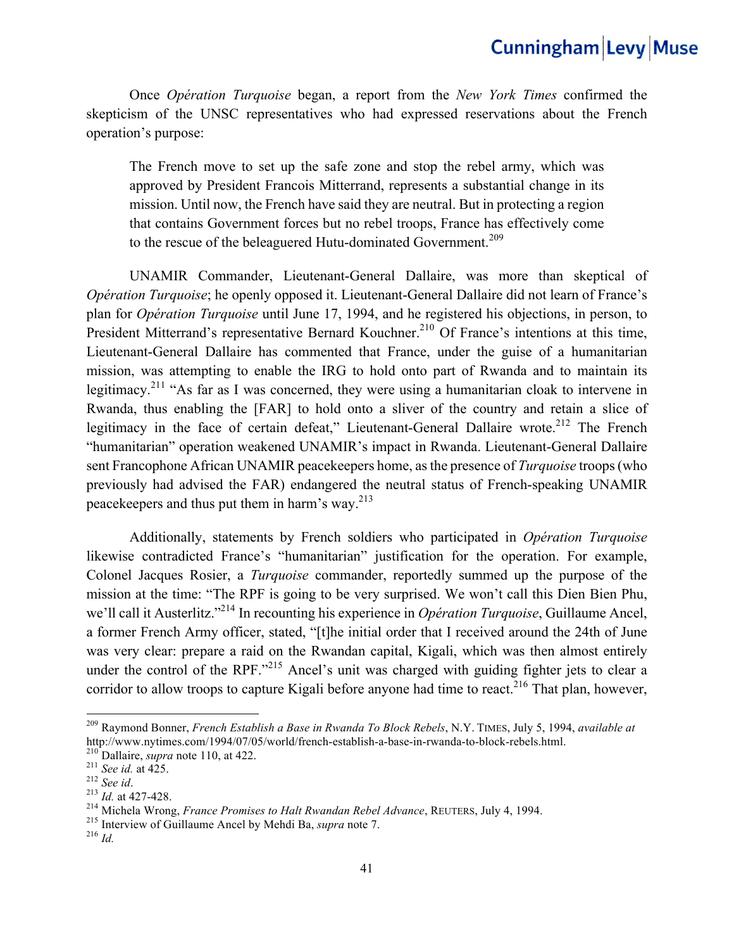Once *Opération Turquoise* began, a report from the *New York Times* confirmed the skepticism of the UNSC representatives who had expressed reservations about the French operation's purpose:

The French move to set up the safe zone and stop the rebel army, which was approved by President Francois Mitterrand, represents a substantial change in its mission. Until now, the French have said they are neutral. But in protecting a region that contains Government forces but no rebel troops, France has effectively come to the rescue of the beleaguered Hutu-dominated Government.<sup>209</sup>

UNAMIR Commander, Lieutenant-General Dallaire, was more than skeptical of *Opération Turquoise*; he openly opposed it. Lieutenant-General Dallaire did not learn of France's plan for *Opération Turquoise* until June 17, 1994, and he registered his objections, in person, to President Mitterrand's representative Bernard Kouchner.<sup>210</sup> Of France's intentions at this time, Lieutenant-General Dallaire has commented that France, under the guise of a humanitarian mission, was attempting to enable the IRG to hold onto part of Rwanda and to maintain its legitimacy.<sup>211</sup> "As far as I was concerned, they were using a humanitarian cloak to intervene in Rwanda, thus enabling the [FAR] to hold onto a sliver of the country and retain a slice of legitimacy in the face of certain defeat," Lieutenant-General Dallaire wrote.<sup>212</sup> The French "humanitarian" operation weakened UNAMIR's impact in Rwanda. Lieutenant-General Dallaire sent Francophone African UNAMIR peacekeepers home, as the presence of *Turquoise* troops (who previously had advised the FAR) endangered the neutral status of French-speaking UNAMIR peacekeepers and thus put them in harm's way. $^{213}$ 

Additionally, statements by French soldiers who participated in *Opération Turquoise* likewise contradicted France's "humanitarian" justification for the operation. For example, Colonel Jacques Rosier, a *Turquoise* commander, reportedly summed up the purpose of the mission at the time: "The RPF is going to be very surprised. We won't call this Dien Bien Phu, we'll call it Austerlitz."214 In recounting his experience in *Opération Turquoise*, Guillaume Ancel, a former French Army officer, stated, "[t]he initial order that I received around the 24th of June was very clear: prepare a raid on the Rwandan capital, Kigali, which was then almost entirely under the control of the RPF."<sup>215</sup> Ancel's unit was charged with guiding fighter jets to clear a corridor to allow troops to capture Kigali before anyone had time to react.<sup>216</sup> That plan, however,

<sup>209</sup> Raymond Bonner, *French Establish a Base in Rwanda To Block Rebels*, N.Y. TIMES, July 5, 1994, *available at* http://www.nytimes.com/1994/07/05/world/french-establish-a-base-in-rwanda-to-block-rebels.html.<br>
<sup>210</sup> Dallaire, *supra* note 110, at 422.<br>
<sup>211</sup> See id. at 425.<br>
<sup>213</sup> Id. at 427-428.<br>
<sup>213</sup> Id. at 427-428.<br>
<sup>214</sup> Michel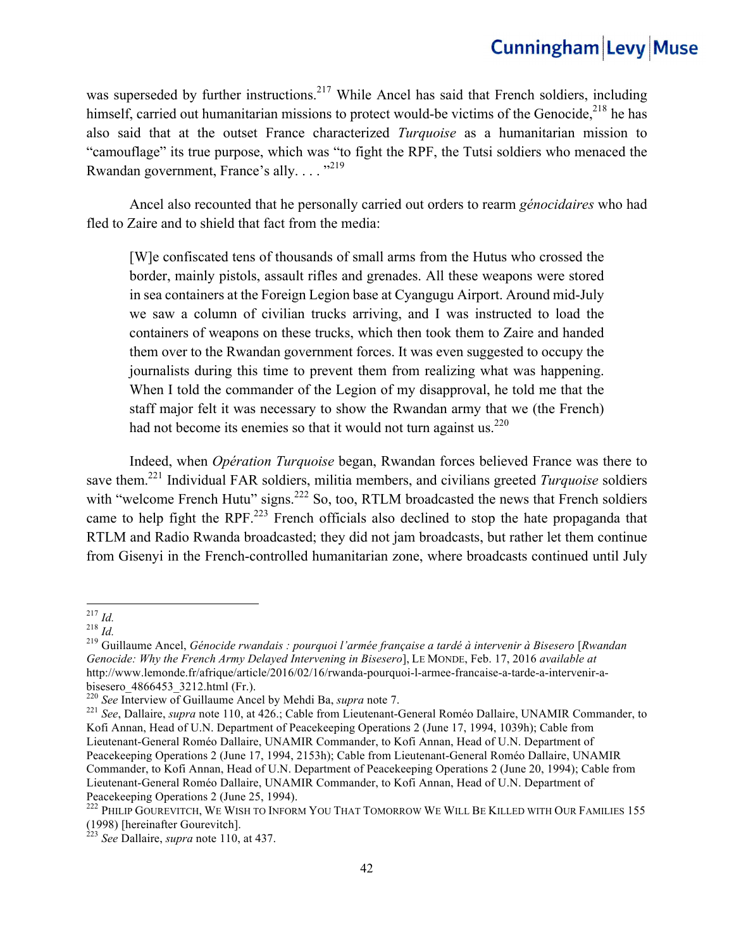was superseded by further instructions.<sup>217</sup> While Ancel has said that French soldiers, including himself, carried out humanitarian missions to protect would-be victims of the Genocide.<sup>218</sup> he has also said that at the outset France characterized *Turquoise* as a humanitarian mission to "camouflage" its true purpose, which was "to fight the RPF, the Tutsi soldiers who menaced the Rwandan government, France's ally....  $^{219}$ 

 Ancel also recounted that he personally carried out orders to rearm *génocidaires* who had fled to Zaire and to shield that fact from the media:

[W]e confiscated tens of thousands of small arms from the Hutus who crossed the border, mainly pistols, assault rifles and grenades. All these weapons were stored in sea containers at the Foreign Legion base at Cyangugu Airport. Around mid-July we saw a column of civilian trucks arriving, and I was instructed to load the containers of weapons on these trucks, which then took them to Zaire and handed them over to the Rwandan government forces. It was even suggested to occupy the journalists during this time to prevent them from realizing what was happening. When I told the commander of the Legion of my disapproval, he told me that the staff major felt it was necessary to show the Rwandan army that we (the French) had not become its enemies so that it would not turn against us.  $220$ 

Indeed, when *Opération Turquoise* began, Rwandan forces believed France was there to save them.221 Individual FAR soldiers, militia members, and civilians greeted *Turquoise* soldiers with "welcome French Hutu" signs.<sup>222</sup> So, too, RTLM broadcasted the news that French soldiers came to help fight the RPF.<sup>223</sup> French officials also declined to stop the hate propaganda that RTLM and Radio Rwanda broadcasted; they did not jam broadcasts, but rather let them continue from Gisenyi in the French-controlled humanitarian zone, where broadcasts continued until July

<sup>217</sup> *Id.* <sup>218</sup> *Id.* <sup>219</sup> Guillaume Ancel, *Génocide rwandais : pourquoi l'armée française a tardé à intervenir à Bisesero* [*Rwandan Genocide: Why the French Army Delayed Intervening in Bisesero*], LE MONDE, Feb. 17, 2016 *available at*  http://www.lemonde.fr/afrique/article/2016/02/16/rwanda-pourquoi-l-armee-francaise-a-tarde-a-intervenir-a-

bisesero\_4866453\_3212.html (Fr.).<br><sup>220</sup> See Interview of Guillaume Ancel by Mehdi Ba, *supra* note 7.

<sup>&</sup>lt;sup>221</sup> See, Dallaire, *supra* note 110, at 426.; Cable from Lieutenant-General Roméo Dallaire, UNAMIR Commander, to Kofi Annan, Head of U.N. Department of Peacekeeping Operations 2 (June 17, 1994, 1039h); Cable from Lieutenant-General Roméo Dallaire, UNAMIR Commander, to Kofi Annan, Head of U.N. Department of Peacekeeping Operations 2 (June 17, 1994, 2153h); Cable from Lieutenant-General Roméo Dallaire, UNAMIR Commander, to Kofi Annan, Head of U.N. Department of Peacekeeping Operations 2 (June 20, 1994); Cable from Lieutenant-General Roméo Dallaire, UNAMIR Commander, to Kofi Annan, Head of U.N. Department of Peacekeeping Operations 2 (June 25, 1994).

<sup>&</sup>lt;sup>222</sup> PHILIP GOUREVITCH, WE WISH TO INFORM YOU THAT TOMORROW WE WILL BE KILLED WITH OUR FAMILIES 155 (1998) [hereinafter Gourevitch].

<sup>223</sup> *See* Dallaire, *supra* note 110, at 437.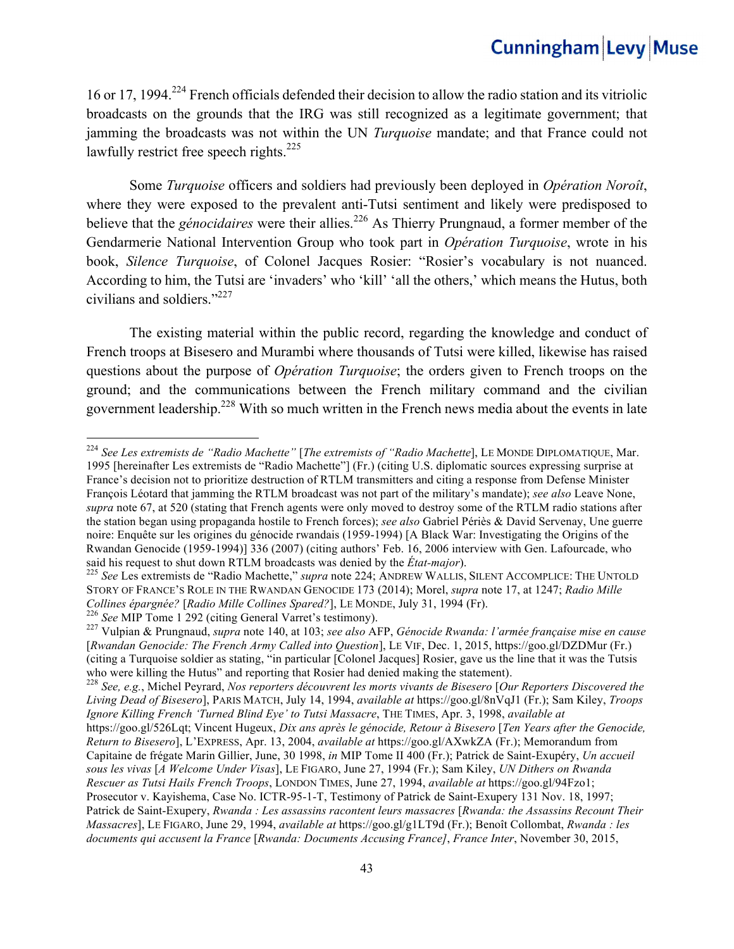16 or 17, 1994.224 French officials defended their decision to allow the radio station and its vitriolic broadcasts on the grounds that the IRG was still recognized as a legitimate government; that jamming the broadcasts was not within the UN *Turquoise* mandate; and that France could not lawfully restrict free speech rights. $225$ 

Some *Turquoise* officers and soldiers had previously been deployed in *Opération Noroît*, where they were exposed to the prevalent anti-Tutsi sentiment and likely were predisposed to believe that the *génocidaires* were their allies.<sup>226</sup> As Thierry Prungnaud, a former member of the Gendarmerie National Intervention Group who took part in *Opération Turquoise*, wrote in his book, *Silence Turquoise*, of Colonel Jacques Rosier: "Rosier's vocabulary is not nuanced. According to him, the Tutsi are 'invaders' who 'kill' 'all the others,' which means the Hutus, both civilians and soldiers."227

The existing material within the public record, regarding the knowledge and conduct of French troops at Bisesero and Murambi where thousands of Tutsi were killed, likewise has raised questions about the purpose of *Opération Turquoise*; the orders given to French troops on the ground; and the communications between the French military command and the civilian government leadership.228 With so much written in the French news media about the events in late

 

<sup>228</sup> See, e.g., Michel Peyrard, Nos reporters découvrent les morts vivants de Bisesero [Our Reporters Discovered the *Living Dead of Bisesero*], PARIS MATCH, July 14, 1994, *available at* https://goo.gl/8nVqJ1 (Fr.); Sam Kiley, *Troops Ignore Killing French 'Turned Blind Eye' to Tutsi Massacre*, THE TIMES, Apr. 3, 1998, *available at* https://goo.gl/526Lqt; Vincent Hugeux, *Dix ans après le génocide, Retour à Bisesero* [*Ten Years after the Genocide, Return to Bisesero*], L'EXPRESS, Apr. 13, 2004, *available at* https://goo.gl/AXwkZA (Fr.); Memorandum from Capitaine de frégate Marin Gillier, June, 30 1998, *in* MIP Tome II 400 (Fr.); Patrick de Saint-Exupéry, *Un accueil*

<sup>224</sup> *See Les extremists de "Radio Machette"* [*The extremists of "Radio Machette*], LE MONDE DIPLOMATIQUE, Mar. 1995 [hereinafter Les extremists de "Radio Machette"] (Fr.) (citing U.S. diplomatic sources expressing surprise at France's decision not to prioritize destruction of RTLM transmitters and citing a response from Defense Minister François Léotard that jamming the RTLM broadcast was not part of the military's mandate); *see also* Leave None, *supra* note 67, at 520 (stating that French agents were only moved to destroy some of the RTLM radio stations after the station began using propaganda hostile to French forces); *see also* Gabriel Périès & David Servenay, Une guerre noire: Enquête sur les origines du génocide rwandais (1959-1994) [A Black War: Investigating the Origins of the Rwandan Genocide (1959-1994)] 336 (2007) (citing authors' Feb. 16, 2006 interview with Gen. Lafourcade, who said his request to shut down RTLM broadcasts was denied by the *État-major*).<br><sup>225</sup> *See* Les extremists de "Radio Machette," *supra* note 224; ANDREW WALLIS, SILENT ACCOMPLICE: THE UNTOLD

STORY OF FRANCE'S ROLE IN THE RWANDAN GENOCIDE 173 (2014); Morel, *supra* note 17, at 1247; *Radio Mille*  Collines épargnée? [Radio Mille Collines Spared?], LE MONDE, July 31, 1994 (Fr).<br><sup>226</sup> See MIP Tome 1 292 (citing General Varret's testimony).<br><sup>227</sup> Vulpian & Prungnaud, *supra* note 140, at 103; see also AFP, Génocide Rwa

<sup>[</sup>*Rwandan Genocide: The French Army Called into Question*], LE VIF, Dec. 1, 2015, https://goo.gl/DZDMur (Fr.) (citing a Turquoise soldier as stating, "in particular [Colonel Jacques] Rosier, gave us the line that it was the Tutsis

*sous les vivas* [*A Welcome Under Visas*], LE FIGARO, June 27, 1994 (Fr.); Sam Kiley, *UN Dithers on Rwanda Rescuer as Tutsi Hails French Troops*, LONDON TIMES, June 27, 1994, *available at* https://goo.gl/94Fzo1; Prosecutor v. Kayishema, Case No. ICTR-95-1-T, Testimony of Patrick de Saint-Exupery 131 Nov. 18, 1997; Patrick de Saint-Exupery, *Rwanda : Les assassins racontent leurs massacres* [*Rwanda: the Assassins Recount Their Massacres*], LE FIGARO, June 29, 1994, *available at* https://goo.gl/g1LT9d (Fr.); Benoît Collombat, *Rwanda : les documents qui accusent la France* [*Rwanda: Documents Accusing France]*, *France Inter*, November 30, 2015,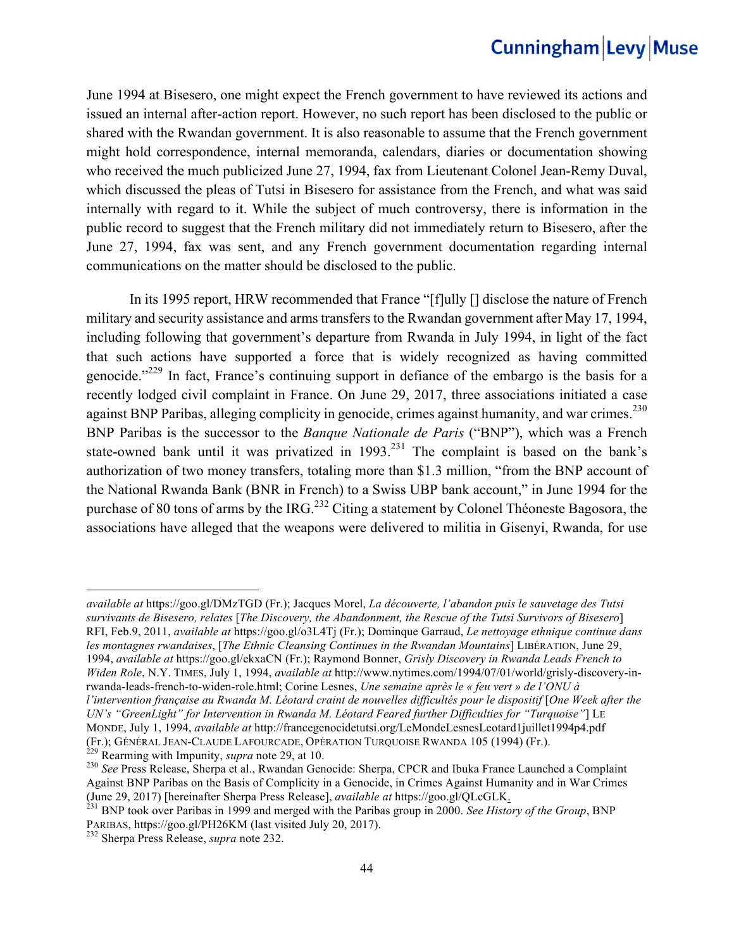June 1994 at Bisesero, one might expect the French government to have reviewed its actions and issued an internal after-action report. However, no such report has been disclosed to the public or shared with the Rwandan government. It is also reasonable to assume that the French government might hold correspondence, internal memoranda, calendars, diaries or documentation showing who received the much publicized June 27, 1994, fax from Lieutenant Colonel Jean-Remy Duval, which discussed the pleas of Tutsi in Bisesero for assistance from the French, and what was said internally with regard to it. While the subject of much controversy, there is information in the public record to suggest that the French military did not immediately return to Bisesero, after the June 27, 1994, fax was sent, and any French government documentation regarding internal communications on the matter should be disclosed to the public.

In its 1995 report, HRW recommended that France "[f]ully [] disclose the nature of French military and security assistance and arms transfers to the Rwandan government after May 17, 1994, including following that government's departure from Rwanda in July 1994, in light of the fact that such actions have supported a force that is widely recognized as having committed genocide."229 In fact, France's continuing support in defiance of the embargo is the basis for a recently lodged civil complaint in France. On June 29, 2017, three associations initiated a case against BNP Paribas, alleging complicity in genocide, crimes against humanity, and war crimes.<sup>230</sup> BNP Paribas is the successor to the *Banque Nationale de Paris* ("BNP"), which was a French state-owned bank until it was privatized in 1993.<sup>231</sup> The complaint is based on the bank's authorization of two money transfers, totaling more than \$1.3 million, "from the BNP account of the National Rwanda Bank (BNR in French) to a Swiss UBP bank account," in June 1994 for the purchase of 80 tons of arms by the IRG.<sup>232</sup> Citing a statement by Colonel Théoneste Bagosora, the associations have alleged that the weapons were delivered to militia in Gisenyi, Rwanda, for use

*available at* https://goo.gl/DMzTGD (Fr.); Jacques Morel, *La découverte, l'abandon puis le sauvetage des Tutsi survivants de Bisesero, relates* [*The Discovery, the Abandonment, the Rescue of the Tutsi Survivors of Bisesero*] RFI, Feb.9, 2011, *available at* https://goo.gl/o3L4Tj (Fr.); Dominque Garraud, *Le nettoyage ethnique continue dans les montagnes rwandaises*, [*The Ethnic Cleansing Continues in the Rwandan Mountains*] LIBÉRATION, June 29, 1994, *available at* https://goo.gl/ekxaCN (Fr.); Raymond Bonner, *Grisly Discovery in Rwanda Leads French to Widen Role*, N.Y. TIMES, July 1, 1994, *available at* http://www.nytimes.com/1994/07/01/world/grisly-discovery-inrwanda-leads-french-to-widen-role.html; Corine Lesnes, *Une semaine après le « feu vert » de l'ONU à l'intervention française au Rwanda M. Léotard craint de nouvelles difficultés pour le dispositif* [*One Week after the UN's "GreenLight" for Intervention in Rwanda M. Léotard Feared further Difficulties for "Turquoise"*] LE

MONDE, July 1, 1994, *available at* http://francegenocidetutsi.org/LeMondeLesnesLeotard1juillet1994p4.pdf (Fr.); GÉNÉRAL JEAN-CLAUDE LAFOURCADE, OPÉRATION TURQUOISE RWANDA 105 (1994) (Fr.).<br><sup>229</sup> Rearming with Impunity, *supra* note 29, at 10.<br><sup>230</sup> See Press Release, Sherpa et al., Rwandan Genocide: Sherpa, CPCR and Ibuka Fra

Against BNP Paribas on the Basis of Complicity in a Genocide, in Crimes Against Humanity and in War Crimes (June 29, 2017) [hereinafter Sherpa Press Release], *available at* https://goo.gl/QLcGLK. 231 BNP took over Paribas in 1999 and merged with the Paribas group in 2000. *See History of the Group*, BNP

PARIBAS, https://goo.gl/PH26KM (last visited July 20, 2017). <sup>232</sup> Sherpa Press Release, *supra* note 232.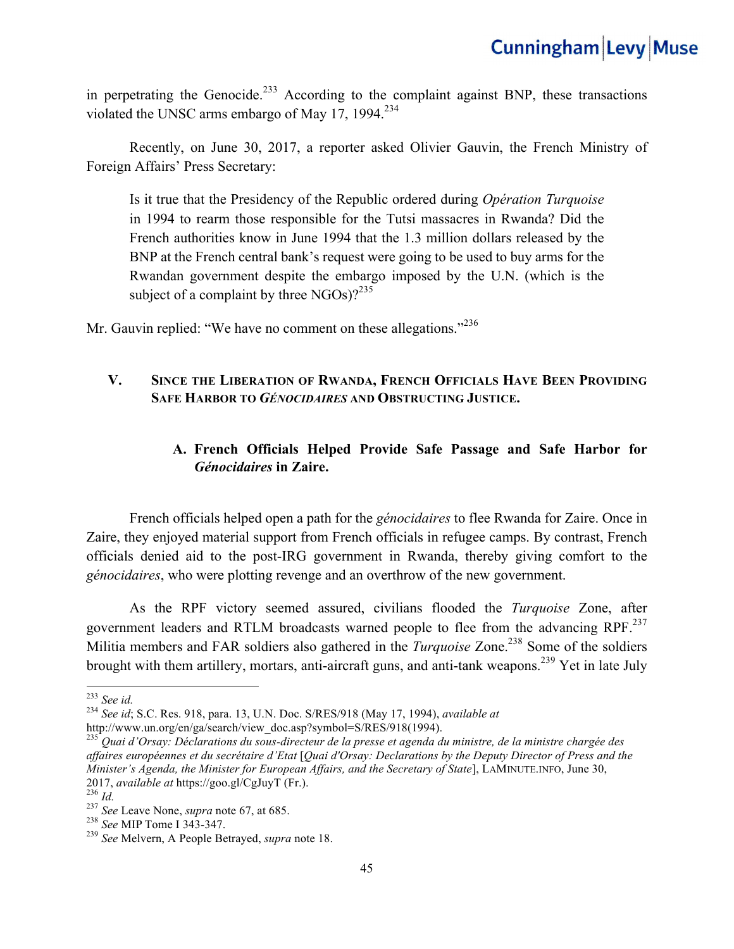in perpetrating the Genocide.<sup>233</sup> According to the complaint against BNP, these transactions violated the UNSC arms embargo of May 17, 1994. $^{234}$ 

Recently, on June 30, 2017, a reporter asked Olivier Gauvin, the French Ministry of Foreign Affairs' Press Secretary:

Is it true that the Presidency of the Republic ordered during *Opération Turquoise* in 1994 to rearm those responsible for the Tutsi massacres in Rwanda? Did the French authorities know in June 1994 that the 1.3 million dollars released by the BNP at the French central bank's request were going to be used to buy arms for the Rwandan government despite the embargo imposed by the U.N. (which is the subject of a complaint by three  $NGOs$ )?<sup>235</sup>

Mr. Gauvin replied: "We have no comment on these allegations."<sup>236</sup>

#### **V. SINCE THE LIBERATION OF RWANDA, FRENCH OFFICIALS HAVE BEEN PROVIDING SAFE HARBOR TO** *GÉNOCIDAIRES* **AND OBSTRUCTING JUSTICE.**

### **A. French Officials Helped Provide Safe Passage and Safe Harbor for**  *Génocidaires* **in Zaire.**

French officials helped open a path for the *génocidaires* to flee Rwanda for Zaire. Once in Zaire, they enjoyed material support from French officials in refugee camps. By contrast, French officials denied aid to the post-IRG government in Rwanda, thereby giving comfort to the *génocidaires*, who were plotting revenge and an overthrow of the new government.

As the RPF victory seemed assured, civilians flooded the *Turquoise* Zone, after government leaders and RTLM broadcasts warned people to flee from the advancing RPF.<sup>237</sup> Militia members and FAR soldiers also gathered in the *Turquoise* Zone.<sup>238</sup> Some of the soldiers brought with them artillery, mortars, anti-aircraft guns, and anti-tank weapons.<sup>239</sup> Yet in late July

<sup>233</sup> *See id.* <sup>234</sup> *See id*; S.C. Res. 918, para. 13, U.N. Doc. S/RES/918 (May 17, 1994), *available at*

http://www.un.org/en/ga/search/view\_doc.asp?symbol=S/RES/918(1994). 235 *Quai d'Orsay: Déclarations du sous-directeur de la presse et agenda du ministre, de la ministre chargée des affaires européennes et du secrétaire d'Etat* [*Quai d'Orsay: Declarations by the Deputy Director of Press and the Minister's Agenda, the Minister for European Affairs, and the Secretary of State*], LAMINUTE.INFO, June 30, 2017, *available at* https://goo.gl/CgJuyT (Fr.).<br>
<sup>236</sup> *Id.*<br>
<sup>237</sup> *See* Leave None, *supra* note 67, at 685.<br>
<sup>238</sup> *See* MIP Tome I 343-347.<br>
<sup>239</sup> *See* Melvern, A People Betrayed, *supra* note 18.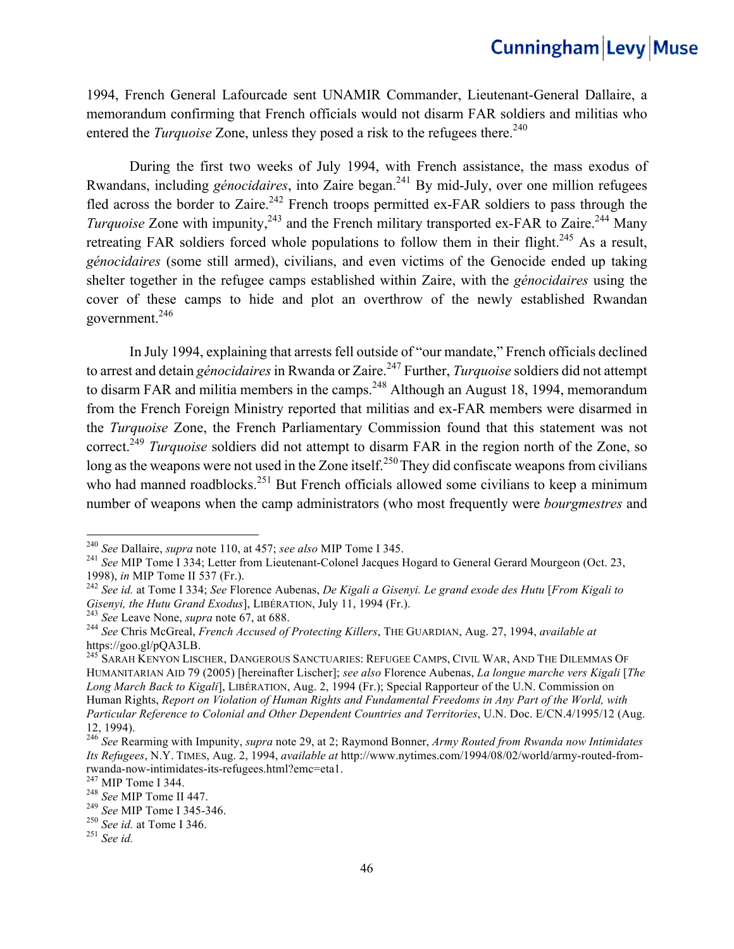1994, French General Lafourcade sent UNAMIR Commander, Lieutenant-General Dallaire, a memorandum confirming that French officials would not disarm FAR soldiers and militias who entered the *Turquoise* Zone, unless they posed a risk to the refugees there.<sup>240</sup>

During the first two weeks of July 1994, with French assistance, the mass exodus of Rwandans, including *génocidaires*, into Zaire began.241 By mid-July, over one million refugees fled across the border to Zaire.<sup>242</sup> French troops permitted ex-FAR soldiers to pass through the *Turquoise* Zone with impunity,<sup>243</sup> and the French military transported ex-FAR to Zaire.<sup>244</sup> Many retreating FAR soldiers forced whole populations to follow them in their flight.<sup>245</sup> As a result, *génocidaires* (some still armed), civilians, and even victims of the Genocide ended up taking shelter together in the refugee camps established within Zaire, with the *génocidaires* using the cover of these camps to hide and plot an overthrow of the newly established Rwandan government.246

In July 1994, explaining that arrests fell outside of "our mandate," French officials declined to arrest and detain *génocidaires* in Rwanda or Zaire.<sup>247</sup> Further, *Turquoise* soldiers did not attempt to disarm FAR and militia members in the camps.<sup>248</sup> Although an August 18, 1994, memorandum from the French Foreign Ministry reported that militias and ex-FAR members were disarmed in the *Turquoise* Zone, the French Parliamentary Commission found that this statement was not correct.<sup>249</sup> *Turquoise* soldiers did not attempt to disarm FAR in the region north of the Zone, so long as the weapons were not used in the Zone itself.<sup>250</sup>They did confiscate weapons from civilians who had manned roadblocks.<sup>251</sup> But French officials allowed some civilians to keep a minimum number of weapons when the camp administrators (who most frequently were *bourgmestres* and

<sup>&</sup>lt;sup>240</sup> See Dallaire, *supra* note 110, at 457; see also MIP Tome I 345.

<sup>&</sup>lt;sup>241</sup> See MIP Tome I 334; Letter from Lieutenant-Colonel Jacques Hogard to General Gerard Mourgeon (Oct. 23,

<sup>1998),</sup> *in* MIP Tome II 537 (Fr.).<br><sup>242</sup> See id. at Tome I 334; See Florence Aubenas, *De Kigali a Gisenyi. Le grand exode des Hutu* [*From Kigali to Gisenyi, the Hutu Grand Exodus*], LIBÉRATION, July 11, 1994 (Fr.).

<sup>243</sup> See Leave None, *supra* note 67, at 688.<br><sup>244</sup> See Chris McGreal, *French Accused of Protecting Killers*, THE GUARDIAN, Aug. 27, 1994, *available at* https://goo.gl/pQA3LB.<br><sup>245</sup> Sarah Kenyon Lischer, Dangerous Sanctuaries: Refugee Camps, Civil War, And The Dilemmas Of

HUMANITARIAN AID 79 (2005) [hereinafter Lischer]; *see also* Florence Aubenas, *La longue marche vers Kigali* [*The Long March Back to Kigali*], LIBÉRATION, Aug. 2, 1994 (Fr.); Special Rapporteur of the U.N. Commission on Human Rights, *Report on Violation of Human Rights and Fundamental Freedoms in Any Part of the World, with Particular Reference to Colonial and Other Dependent Countries and Territories*, U.N. Doc. E/CN.4/1995/12 (Aug. 12, 1994).

<sup>246</sup> *See* Rearming with Impunity, *supra* note 29, at 2; Raymond Bonner, *Army Routed from Rwanda now Intimidates Its Refugees*, N.Y. TIMES, Aug. 2, 1994, *available at* http://www.nytimes.com/1994/08/02/world/army-routed-fromrwanda-now-intimidates-its-refugees.html?emc=eta1.<br><sup>247</sup> MIP Tome I 344.<br><sup>248</sup> *See* MIP Tome I 345-346.<br><sup>250</sup> *See id.* at Tome I 346.<br><sup>251</sup> *See id.* 251 *See id.*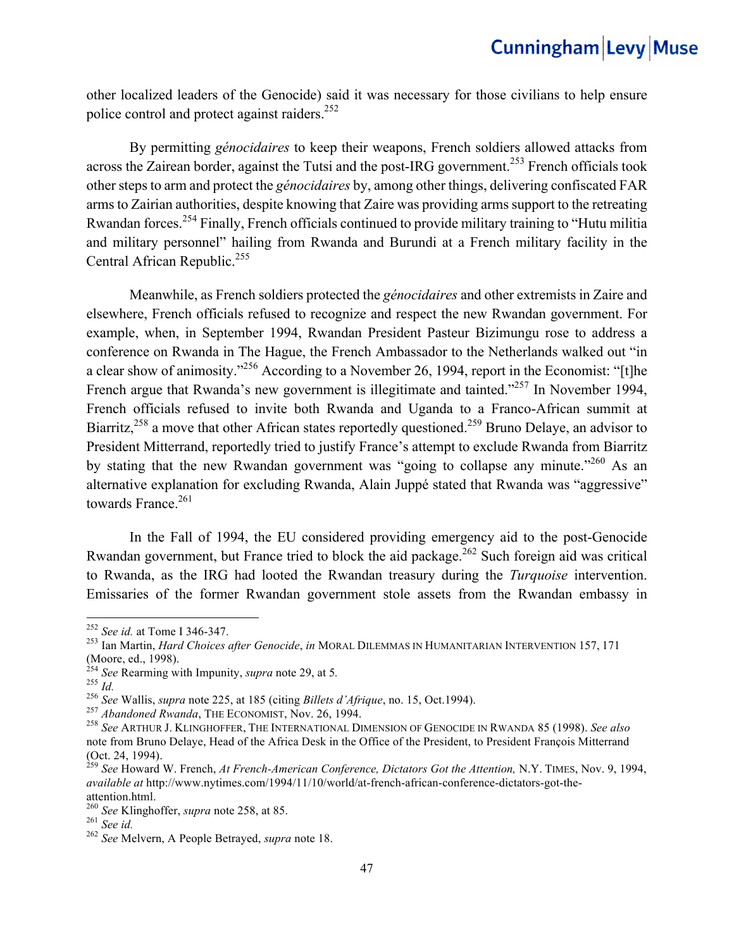other localized leaders of the Genocide) said it was necessary for those civilians to help ensure police control and protect against raiders.<sup>252</sup>

By permitting *génocidaires* to keep their weapons, French soldiers allowed attacks from across the Zairean border, against the Tutsi and the post-IRG government.<sup>253</sup> French officials took other steps to arm and protect the *génocidaires* by, among other things, delivering confiscated FAR arms to Zairian authorities, despite knowing that Zaire was providing arms support to the retreating Rwandan forces.254 Finally, French officials continued to provide military training to "Hutu militia and military personnel" hailing from Rwanda and Burundi at a French military facility in the Central African Republic.<sup>255</sup>

Meanwhile, as French soldiers protected the *génocidaires* and other extremists in Zaire and elsewhere, French officials refused to recognize and respect the new Rwandan government. For example, when, in September 1994, Rwandan President Pasteur Bizimungu rose to address a conference on Rwanda in The Hague, the French Ambassador to the Netherlands walked out "in a clear show of animosity."<sup>256</sup> According to a November 26, 1994, report in the Economist: "[t]he French argue that Rwanda's new government is illegitimate and tainted."<sup>257</sup> In November 1994, French officials refused to invite both Rwanda and Uganda to a Franco-African summit at Biarritz,<sup>258</sup> a move that other African states reportedly questioned.<sup>259</sup> Bruno Delaye, an advisor to President Mitterrand, reportedly tried to justify France's attempt to exclude Rwanda from Biarritz by stating that the new Rwandan government was "going to collapse any minute."<sup>260</sup> As an alternative explanation for excluding Rwanda, Alain Juppé stated that Rwanda was "aggressive" towards France. $261$ 

In the Fall of 1994, the EU considered providing emergency aid to the post-Genocide Rwandan government, but France tried to block the aid package.<sup>262</sup> Such foreign aid was critical to Rwanda, as the IRG had looted the Rwandan treasury during the *Turquoise* intervention. Emissaries of the former Rwandan government stole assets from the Rwandan embassy in

<sup>&</sup>lt;sup>252</sup> See id. at Tome I 346-347.

<sup>&</sup>lt;sup>253</sup> Ian Martin, *Hard Choices after Genocide, in* MORAL DILEMMAS IN HUMANITARIAN INTERVENTION 157, 171 (Moore, ed., 1998).<br> $^{254}$  See Rearming with Impunity, *supra* note 29, at 5.

<sup>255</sup> *Id.*<br>
256 *See* Wallis, *supra* note 225, at 185 (citing *Billets d'Afrique*, no. 15, Oct.1994).<br>
<sup>257</sup> *Abandoned Rwanda*, THE ECONOMIST, Nov. 26, 1994.<br>
<sup>258</sup> *See* ARTHUR J. KLINGHOFFER, THE INTERNATIONAL DIMENSIO note from Bruno Delaye, Head of the Africa Desk in the Office of the President, to President François Mitterrand (Oct. 24, 1994).

<sup>259</sup> *See* Howard W. French, *At French-American Conference, Dictators Got the Attention,* N.Y. TIMES, Nov. 9, 1994, *available at* http://www.nytimes.com/1994/11/10/world/at-french-african-conference-dictators-got-the-

attention.html. 260 *See* Klinghoffer, *supra* note 258, at 85. <sup>261</sup> *See id.*<sup>262</sup> *See* Melvern, A People Betrayed, *supra* note 18.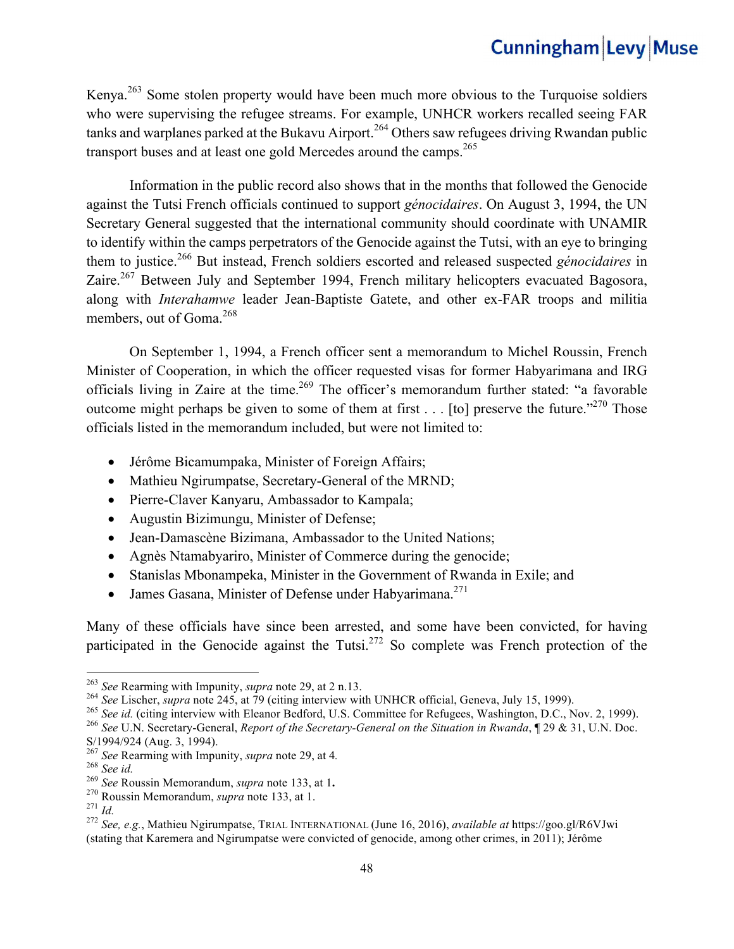Kenya.<sup>263</sup> Some stolen property would have been much more obvious to the Turquoise soldiers who were supervising the refugee streams. For example, UNHCR workers recalled seeing FAR tanks and warplanes parked at the Bukavu Airport.<sup>264</sup> Others saw refugees driving Rwandan public transport buses and at least one gold Mercedes around the camps.<sup>265</sup>

Information in the public record also shows that in the months that followed the Genocide against the Tutsi French officials continued to support *génocidaires*. On August 3, 1994, the UN Secretary General suggested that the international community should coordinate with UNAMIR to identify within the camps perpetrators of the Genocide against the Tutsi, with an eye to bringing them to justice.266 But instead, French soldiers escorted and released suspected *génocidaires* in Zaire.<sup>267</sup> Between July and September 1994, French military helicopters evacuated Bagosora, along with *Interahamwe* leader Jean-Baptiste Gatete, and other ex-FAR troops and militia members, out of Goma.<sup>268</sup>

On September 1, 1994, a French officer sent a memorandum to Michel Roussin, French Minister of Cooperation, in which the officer requested visas for former Habyarimana and IRG officials living in Zaire at the time.<sup>269</sup> The officer's memorandum further stated: "a favorable outcome might perhaps be given to some of them at first  $\dots$  [to] preserve the future."<sup>270</sup> Those officials listed in the memorandum included, but were not limited to:

- Jérôme Bicamumpaka, Minister of Foreign Affairs;
- Mathieu Ngirumpatse, Secretary-General of the MRND;
- Pierre-Claver Kanyaru, Ambassador to Kampala;
- Augustin Bizimungu, Minister of Defense;
- Jean-Damascène Bizimana, Ambassador to the United Nations;
- Agnès Ntamabyariro, Minister of Commerce during the genocide;
- Stanislas Mbonampeka, Minister in the Government of Rwanda in Exile; and
- James Gasana, Minister of Defense under Habyarimana.<sup>271</sup>

Many of these officials have since been arrested, and some have been convicted, for having participated in the Genocide against the Tutsi.<sup>272</sup> So complete was French protection of the

<sup>263</sup> See Rearming with Impunity, *supra* note 29, at 2 n.13.<br><sup>264</sup> See Lischer, *supra* note 245, at 79 (citing interview with UNHCR official, Geneva, July 15, 1999).<br><sup>265</sup> See id. (citing interview with Eleanor Bedford,

S/1994/924 (Aug. 3, 1994).<br><sup>267</sup> See Rearming with Impunity, *supra* note 29, at 4.

<sup>&</sup>lt;sup>268</sup> See id.<br>
<sup>269</sup> See Roussin Memorandum, *supra* note 133, at 1.<br>
<sup>270</sup> Roussin Memorandum, *supra* note 133, at 1.<br>
<sup>270</sup> Roussin Memorandum, *supra* note 133, at 1.<br>
<sup>272</sup> See, e.g., Mathieu Ngirumpatse, TRIAL INTER (stating that Karemera and Ngirumpatse were convicted of genocide, among other crimes, in 2011); Jérôme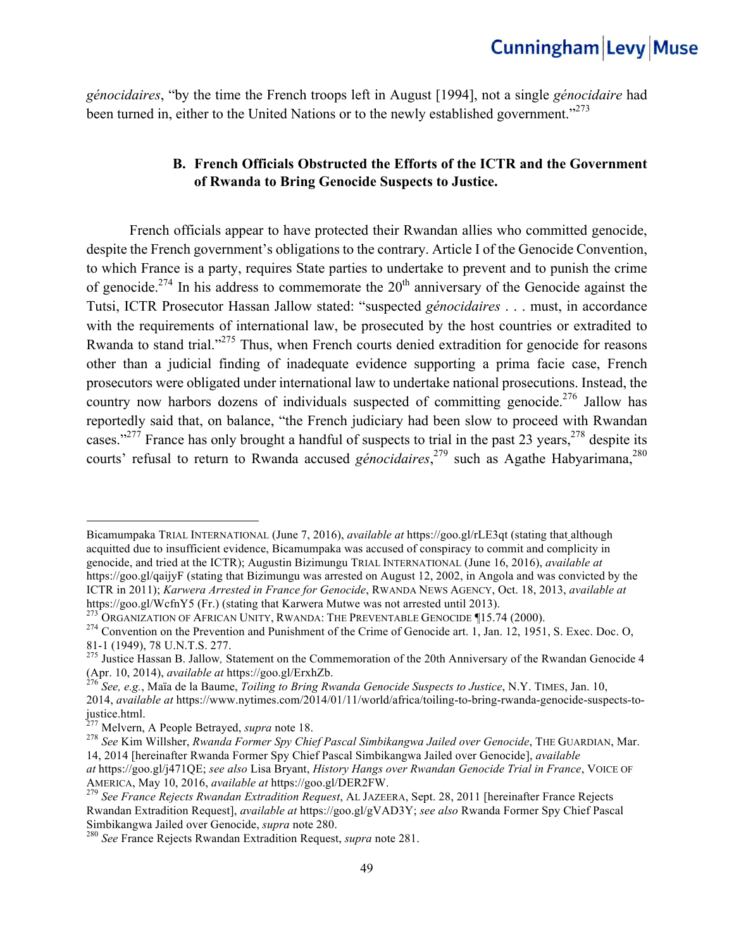*génocidaires*, "by the time the French troops left in August [1994], not a single *génocidaire* had been turned in, either to the United Nations or to the newly established government."<sup>273</sup>

#### **B. French Officials Obstructed the Efforts of the ICTR and the Government of Rwanda to Bring Genocide Suspects to Justice.**

French officials appear to have protected their Rwandan allies who committed genocide, despite the French government's obligations to the contrary. Article I of the Genocide Convention, to which France is a party, requires State parties to undertake to prevent and to punish the crime of genocide.<sup>274</sup> In his address to commemorate the  $20<sup>th</sup>$  anniversary of the Genocide against the Tutsi, ICTR Prosecutor Hassan Jallow stated: "suspected *génocidaires* . . . must, in accordance with the requirements of international law, be prosecuted by the host countries or extradited to Rwanda to stand trial."<sup>275</sup> Thus, when French courts denied extradition for genocide for reasons other than a judicial finding of inadequate evidence supporting a prima facie case, French prosecutors were obligated under international law to undertake national prosecutions. Instead, the country now harbors dozens of individuals suspected of committing genocide.<sup>276</sup> Jallow has reportedly said that, on balance, "the French judiciary had been slow to proceed with Rwandan cases."<sup>277</sup> France has only brought a handful of suspects to trial in the past 23 years,  $278$  despite its courts' refusal to return to Rwanda accused *génocidaires*,<sup>279</sup> such as Agathe Habyarimana,<sup>280</sup>

Bicamumpaka TRIAL INTERNATIONAL (June 7, 2016), *available at* https://goo.gl/rLE3qt (stating that although acquitted due to insufficient evidence, Bicamumpaka was accused of conspiracy to commit and complicity in genocide, and tried at the ICTR); Augustin Bizimungu TRIAL INTERNATIONAL (June 16, 2016), *available at* https://goo.gl/qaijyF (stating that Bizimungu was arrested on August 12, 2002, in Angola and was convicted by the ICTR in 2011); *Karwera Arrested in France for Genocide*, RWANDA NEWS AGENCY, Oct. 18, 2013, *available at* 

https://goo.gl/WcfnY5 (Fr.) (stating that Karwera Mutwe was not arrested until 2013).<br><sup>273</sup> ORGANIZATION OF AFRICAN UNITY, RWANDA: THE PREVENTABLE GENOCIDE ¶15.74 (2000).

 $274$  Convention on the Prevention and Punishment of the Crime of Genocide art. 1, Jan. 12, 1951, S. Exec. Doc. O, 81-1 (1949), 78 U.N.T.S. 277.<br><sup>275</sup> Justice Hassan B. Jallow, Statement on the Commemoration of the 20th Anniversary of the Rwandan Genocide 4

<sup>(</sup>Apr. 10, 2014), *available at* https://goo.gl/ErxhZb. <sup>276</sup> *See, e.g.*, Maïa de la Baume, *Toiling to Bring Rwanda Genocide Suspects to Justice*, N.Y. TIMES, Jan. 10,

<sup>2014,</sup> *available at* https://www.nytimes.com/2014/01/11/world/africa/toiling-to-bring-rwanda-genocide-suspects-tojustice.html.<br><sup>277</sup> Melvern, A People Betrayed, *supra* note 18.

<sup>278</sup> See Kim Willsher, *Rwanda Former Spy Chief Pascal Simbikangwa Jailed over Genocide*, THE GUARDIAN, Mar. 14, 2014 [hereinafter Rwanda Former Spy Chief Pascal Simbikangwa Jailed over Genocide], *available at* https://goo.gl/j471QE; *see also* Lisa Bryant, *History Hangs over Rwandan Genocide Trial in France*, VOICE OF

AMERICA, May 10, 2016, *available at* https://goo.gl/DER2FW. <sup>279</sup> *See France Rejects Rwandan Extradition Request*, AL JAZEERA, Sept. 28, 2011 [hereinafter France Rejects Rwandan Extradition Request], *available at* https://goo.gl/gVAD3Y; *see also* Rwanda Former Spy Chief Pascal

Simbikangwa Jailed over Genocide, *supra* note 280. <sup>280</sup> *See* France Rejects Rwandan Extradition Request, *supra* note 281.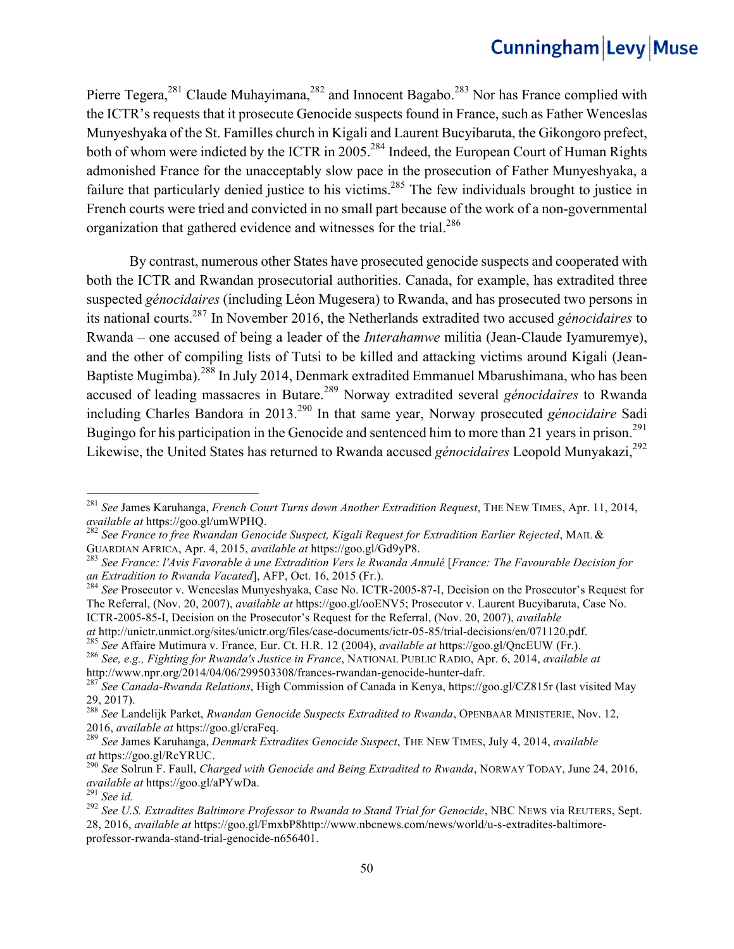Pierre Tegera,<sup>281</sup> Claude Muhayimana,<sup>282</sup> and Innocent Bagabo.<sup>283</sup> Nor has France complied with the ICTR's requests that it prosecute Genocide suspects found in France, such as Father Wenceslas Munyeshyaka of the St. Familles church in Kigali and Laurent Bucyibaruta, the Gikongoro prefect, both of whom were indicted by the ICTR in 2005.<sup>284</sup> Indeed, the European Court of Human Rights admonished France for the unacceptably slow pace in the prosecution of Father Munyeshyaka, a failure that particularly denied justice to his victims.<sup>285</sup> The few individuals brought to justice in French courts were tried and convicted in no small part because of the work of a non-governmental organization that gathered evidence and witnesses for the trial.<sup>286</sup>

By contrast, numerous other States have prosecuted genocide suspects and cooperated with both the ICTR and Rwandan prosecutorial authorities. Canada, for example, has extradited three suspected *génocidaires* (including Léon Mugesera) to Rwanda, and has prosecuted two persons in its national courts.287 In November 2016, the Netherlands extradited two accused *génocidaires* to Rwanda – one accused of being a leader of the *Interahamwe* militia (Jean-Claude Iyamuremye), and the other of compiling lists of Tutsi to be killed and attacking victims around Kigali (Jean-Baptiste Mugimba).288 In July 2014, Denmark extradited Emmanuel Mbarushimana, who has been accused of leading massacres in Butare.<sup>289</sup> Norway extradited several *génocidaires* to Rwanda including Charles Bandora in 2013.290 In that same year, Norway prosecuted *génocidaire* Sadi Bugingo for his participation in the Genocide and sentenced him to more than 21 years in prison.<sup>291</sup> Likewise, the United States has returned to Rwanda accused *génocidaires* Leopold Munyakazi,<sup>292</sup>

ICTR-2005-85-I, Decision on the Prosecutor's Request for the Referral, (Nov. 20, 2007), *available* 

<sup>&</sup>lt;sup>281</sup> *See James Karuhanga, French Court Turns down Another Extradition Request*, THE NEW TIMES, Apr. 11, 2014, *available at https://goo.gl/umWPHQ.* 

<sup>&</sup>lt;sup>282</sup> See France to free Rwandan Genocide Suspect, Kigali Request for Extradition Earlier Rejected, MAIL & GUARDIAN AFRICA, Apr. 4, 2015, *available at* https://goo.gl/Gd9yP8. <sup>283</sup> *See France: l'Avis Favorable à une Extradition Vers le Rwanda Annulé* [*France: The Favourable Decision for*

*an Extradition to Rwanda Vacated*], AFP, Oct. 16, 2015 (Fr.).<br><sup>284</sup> *See* Prosecutor v. Wenceslas Munyeshyaka, Case No. ICTR-2005-87-I, Decision on the Prosecutor's Request for

The Referral, (Nov. 20, 2007), *available at* https://goo.gl/ooENV5; Prosecutor v. Laurent Bucyibaruta, Case No.

at http://unictr.unmict.org/sites/unictr.org/files/case-documents/ictr-05-85/trial-decisions/en/071120.pdf.<br><sup>285</sup> See Affaire Mutimura v. France, Eur. Ct. H.R. 12 (2004), *available at* https://goo.gl/QncEUW (Fr.).<br><sup>286</sup> S

<sup>&</sup>lt;sup>287</sup> See *Canada-Rwanda Relations*, High Commission of Canada in Kenya, https://goo.gl/CZ815r (last visited May 29, 2017).

<sup>288</sup> *See* Landelijk Parket, *Rwandan Genocide Suspects Extradited to Rwanda*, OPENBAAR MINISTERIE, Nov. 12, 2016, *available at* https://goo.gl/craFeq. <sup>289</sup> *See* James Karuhanga, *Denmark Extradites Genocide Suspect*, THE NEW TIMES, July 4, 2014, *available* 

*at* https://goo.gl/RcYRUC. <sup>290</sup> *See* Solrun F. Faull, *Charged with Genocide and Being Extradited to Rwanda*, NORWAY TODAY, June 24, 2016,

<sup>&</sup>lt;sup>292</sup> *See U.S. Extradites Baltimore Professor to Rwanda to Stand Trial for Genocide*, NBC NEWS via REUTERS, Sept. 28, 2016, *available at* https://goo.gl/FmxbP8http://www.nbcnews.com/news/world/u-s-extradites-baltimoreprofessor-rwanda-stand-trial-genocide-n656401.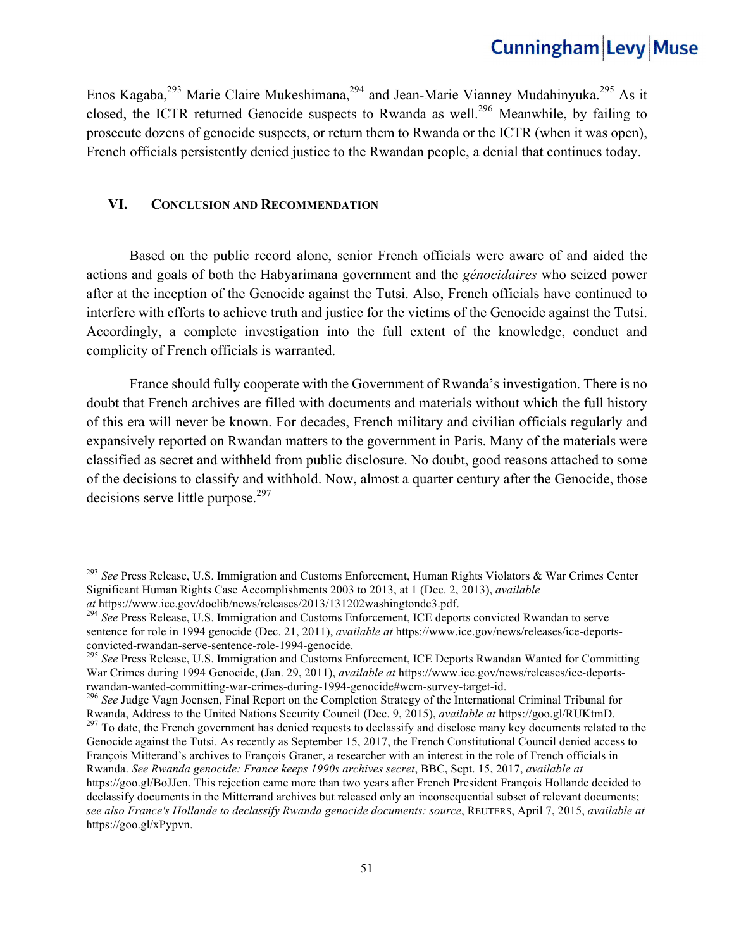Enos Kagaba,<sup>293</sup> Marie Claire Mukeshimana,<sup>294</sup> and Jean-Marie Vianney Mudahinyuka.<sup>295</sup> As it closed, the ICTR returned Genocide suspects to Rwanda as well.<sup>296</sup> Meanwhile, by failing to prosecute dozens of genocide suspects, or return them to Rwanda or the ICTR (when it was open), French officials persistently denied justice to the Rwandan people, a denial that continues today.

#### **VI. CONCLUSION AND RECOMMENDATION**

Based on the public record alone, senior French officials were aware of and aided the actions and goals of both the Habyarimana government and the *génocidaires* who seized power after at the inception of the Genocide against the Tutsi. Also, French officials have continued to interfere with efforts to achieve truth and justice for the victims of the Genocide against the Tutsi. Accordingly, a complete investigation into the full extent of the knowledge, conduct and complicity of French officials is warranted.

France should fully cooperate with the Government of Rwanda's investigation. There is no doubt that French archives are filled with documents and materials without which the full history of this era will never be known. For decades, French military and civilian officials regularly and expansively reported on Rwandan matters to the government in Paris. Many of the materials were classified as secret and withheld from public disclosure. No doubt, good reasons attached to some of the decisions to classify and withhold. Now, almost a quarter century after the Genocide, those decisions serve little purpose.<sup>297</sup>

<sup>293</sup> *See* Press Release, U.S. Immigration and Customs Enforcement, Human Rights Violators & War Crimes Center Significant Human Rights Case Accomplishments 2003 to 2013, at 1 (Dec. 2, 2013), *available* 

*at* https://www.ice.gov/doclib/news/releases/2013/131202washingtondc3.pdf. <sup>294</sup> *See* Press Release, U.S. Immigration and Customs Enforcement, ICE deports convicted Rwandan to serve sentence for role in 1994 genocide (Dec. 21, 2011), *available at* https://www.ice.gov/news/releases/ice-deportsconvicted-rwandan-serve-sentence-role-1994-genocide. <sup>295</sup> *See* Press Release, U.S. Immigration and Customs Enforcement, ICE Deports Rwandan Wanted for Committing

War Crimes during 1994 Genocide, (Jan. 29, 2011), *available at* https://www.ice.gov/news/releases/ice-deports-

rwandan-wanted-committing-war-crimes-during-1994-genocide#wcm-survey-target-id.<br><sup>296</sup> *See* Judge Vagn Joensen, Final Report on the Completion Strategy of the International Criminal Tribunal for<br>Rwanda, Address to the Unit

<sup>&</sup>lt;sup>297</sup> To date, the French government has denied requests to declassify and disclose many key documents related to the Genocide against the Tutsi. As recently as September 15, 2017, the French Constitutional Council denied access to François Mitterand's archives to François Graner, a researcher with an interest in the role of French officials in Rwanda. *See Rwanda genocide: France keeps 1990s archives secret*, BBC, Sept. 15, 2017, *available at*  https://goo.gl/BoJJen. This rejection came more than two years after French President François Hollande decided to declassify documents in the Mitterrand archives but released only an inconsequential subset of relevant documents; *see also France's Hollande to declassify Rwanda genocide documents: source*, REUTERS, April 7, 2015, *available at* https://goo.gl/xPypvn.